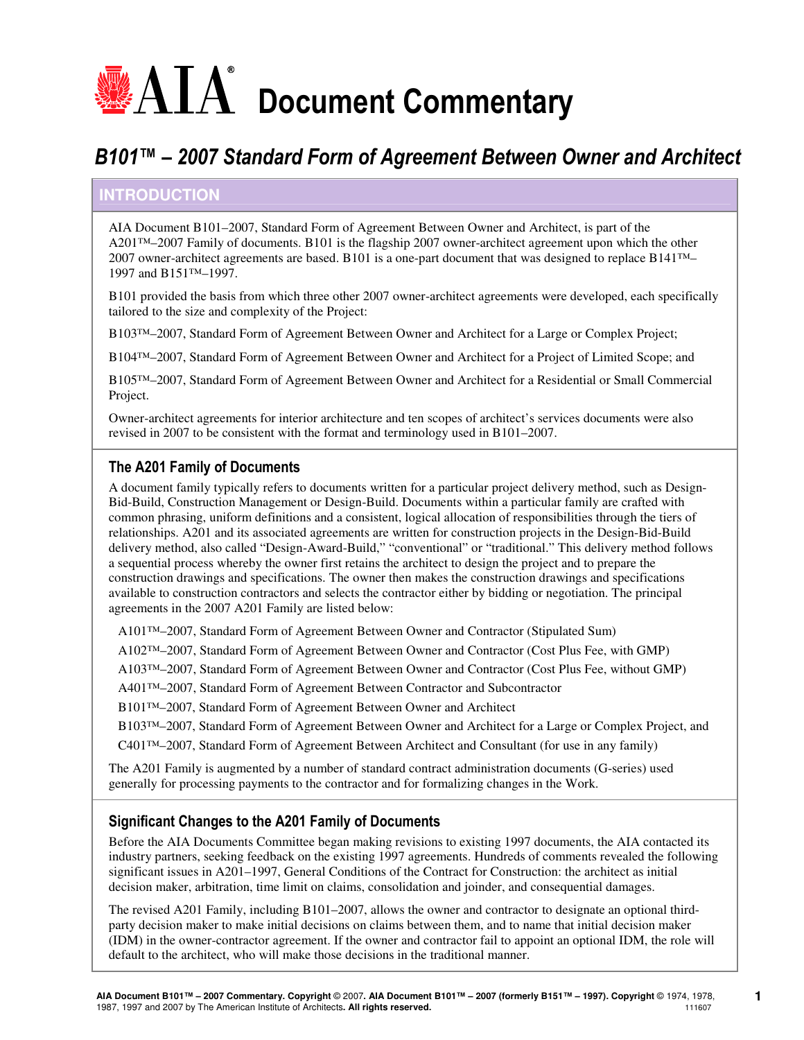# $\blacksquare\!\!\!\blacktriangle\!\!\!\!\triangle\!\!\!\triangle\!\!\!\triangle$  Document Commentary

# B101™ – 2007 Standard Form of Agreement Between Owner and Architect

# **INTRODUCTION**

AIA Document B101–2007, Standard Form of Agreement Between Owner and Architect, is part of the A201™–2007 Family of documents. B101 is the flagship 2007 owner-architect agreement upon which the other 2007 owner-architect agreements are based. B101 is a one-part document that was designed to replace B141™– 1997 and B151™–1997.

B101 provided the basis from which three other 2007 owner-architect agreements were developed, each specifically tailored to the size and complexity of the Project:

B103™–2007, Standard Form of Agreement Between Owner and Architect for a Large or Complex Project;

B104™–2007, Standard Form of Agreement Between Owner and Architect for a Project of Limited Scope; and

B105™–2007, Standard Form of Agreement Between Owner and Architect for a Residential or Small Commercial Project.

Owner-architect agreements for interior architecture and ten scopes of architect's services documents were also revised in 2007 to be consistent with the format and terminology used in B101–2007.

# The A201 Family of Documents

A document family typically refers to documents written for a particular project delivery method, such as Design-Bid-Build, Construction Management or Design-Build. Documents within a particular family are crafted with common phrasing, uniform definitions and a consistent, logical allocation of responsibilities through the tiers of relationships. A201 and its associated agreements are written for construction projects in the Design-Bid-Build delivery method, also called "Design-Award-Build," "conventional" or "traditional." This delivery method follows a sequential process whereby the owner first retains the architect to design the project and to prepare the construction drawings and specifications. The owner then makes the construction drawings and specifications available to construction contractors and selects the contractor either by bidding or negotiation. The principal agreements in the 2007 A201 Family are listed below:

A101™–2007, Standard Form of Agreement Between Owner and Contractor (Stipulated Sum)

A102™–2007, Standard Form of Agreement Between Owner and Contractor (Cost Plus Fee, with GMP)

A103™–2007, Standard Form of Agreement Between Owner and Contractor (Cost Plus Fee, without GMP)

A401™–2007, Standard Form of Agreement Between Contractor and Subcontractor

B101™–2007, Standard Form of Agreement Between Owner and Architect

B103™–2007, Standard Form of Agreement Between Owner and Architect for a Large or Complex Project, and

C401™–2007, Standard Form of Agreement Between Architect and Consultant (for use in any family)

The A201 Family is augmented by a number of standard contract administration documents (G-series) used generally for processing payments to the contractor and for formalizing changes in the Work.

# Significant Changes to the A201 Family of Documents

Before the AIA Documents Committee began making revisions to existing 1997 documents, the AIA contacted its industry partners, seeking feedback on the existing 1997 agreements. Hundreds of comments revealed the following significant issues in A201–1997, General Conditions of the Contract for Construction: the architect as initial decision maker, arbitration, time limit on claims, consolidation and joinder, and consequential damages.

The revised A201 Family, including B101–2007, allows the owner and contractor to designate an optional thirdparty decision maker to make initial decisions on claims between them, and to name that initial decision maker (IDM) in the owner-contractor agreement. If the owner and contractor fail to appoint an optional IDM, the role will default to the architect, who will make those decisions in the traditional manner.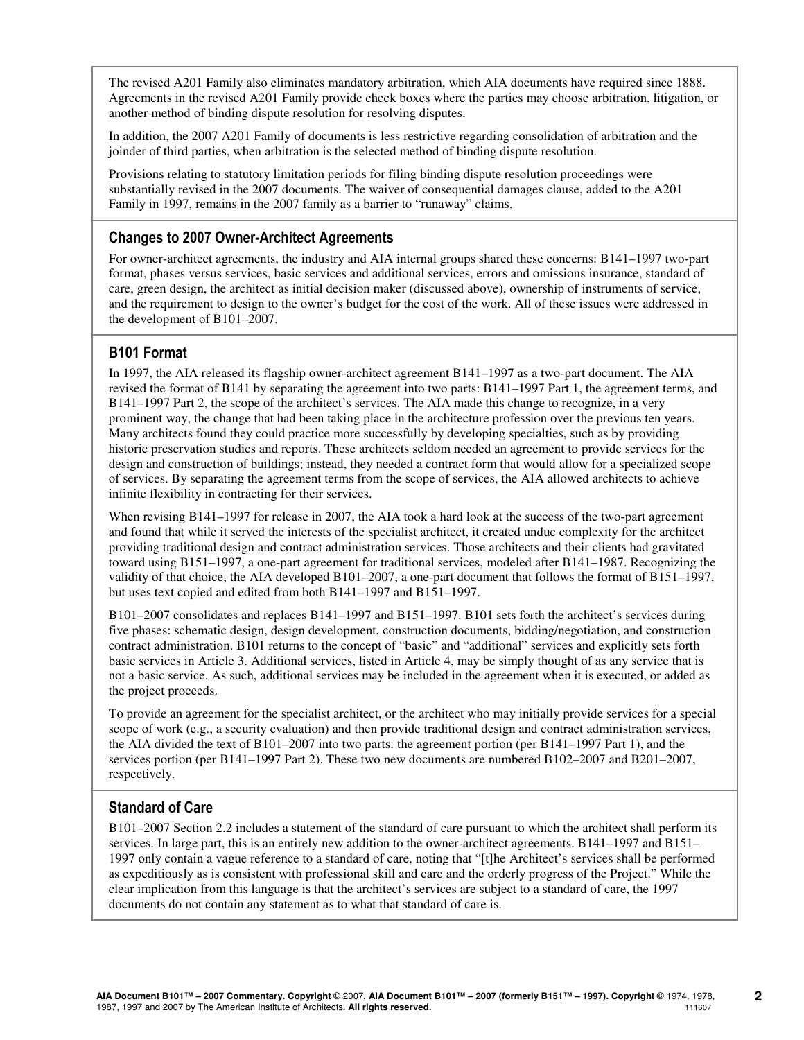The revised A201 Family also eliminates mandatory arbitration, which AIA documents have required since 1888. Agreements in the revised A201 Family provide check boxes where the parties may choose arbitration, litigation, or another method of binding dispute resolution for resolving disputes.

In addition, the 2007 A201 Family of documents is less restrictive regarding consolidation of arbitration and the joinder of third parties, when arbitration is the selected method of binding dispute resolution.

Provisions relating to statutory limitation periods for filing binding dispute resolution proceedings were substantially revised in the 2007 documents. The waiver of consequential damages clause, added to the A201 Family in 1997, remains in the 2007 family as a barrier to "runaway" claims.

# Changes to 2007 Owner-Architect Agreements

For owner-architect agreements, the industry and AIA internal groups shared these concerns: B141–1997 two-part format, phases versus services, basic services and additional services, errors and omissions insurance, standard of care, green design, the architect as initial decision maker (discussed above), ownership of instruments of service, and the requirement to design to the owner's budget for the cost of the work. All of these issues were addressed in the development of B101–2007.

### B101 Format

In 1997, the AIA released its flagship owner-architect agreement B141–1997 as a two-part document. The AIA revised the format of B141 by separating the agreement into two parts: B141–1997 Part 1, the agreement terms, and B141–1997 Part 2, the scope of the architect's services. The AIA made this change to recognize, in a very prominent way, the change that had been taking place in the architecture profession over the previous ten years. Many architects found they could practice more successfully by developing specialties, such as by providing historic preservation studies and reports. These architects seldom needed an agreement to provide services for the design and construction of buildings; instead, they needed a contract form that would allow for a specialized scope of services. By separating the agreement terms from the scope of services, the AIA allowed architects to achieve infinite flexibility in contracting for their services.

When revising B141–1997 for release in 2007, the AIA took a hard look at the success of the two-part agreement and found that while it served the interests of the specialist architect, it created undue complexity for the architect providing traditional design and contract administration services. Those architects and their clients had gravitated toward using B151–1997, a one-part agreement for traditional services, modeled after B141–1987. Recognizing the validity of that choice, the AIA developed B101–2007, a one-part document that follows the format of B151–1997, but uses text copied and edited from both B141–1997 and B151–1997.

B101–2007 consolidates and replaces B141–1997 and B151–1997. B101 sets forth the architect's services during five phases: schematic design, design development, construction documents, bidding/negotiation, and construction contract administration. B101 returns to the concept of "basic" and "additional" services and explicitly sets forth basic services in Article 3. Additional services, listed in Article 4, may be simply thought of as any service that is not a basic service. As such, additional services may be included in the agreement when it is executed, or added as the project proceeds.

To provide an agreement for the specialist architect, or the architect who may initially provide services for a special scope of work (e.g., a security evaluation) and then provide traditional design and contract administration services, the AIA divided the text of B101–2007 into two parts: the agreement portion (per B141–1997 Part 1), and the services portion (per B141–1997 Part 2). These two new documents are numbered B102–2007 and B201–2007, respectively.

### Standard of Care

B101–2007 Section 2.2 includes a statement of the standard of care pursuant to which the architect shall perform its services. In large part, this is an entirely new addition to the owner-architect agreements. B141–1997 and B151– 1997 only contain a vague reference to a standard of care, noting that "[t]he Architect's services shall be performed as expeditiously as is consistent with professional skill and care and the orderly progress of the Project." While the clear implication from this language is that the architect's services are subject to a standard of care, the 1997 documents do not contain any statement as to what that standard of care is.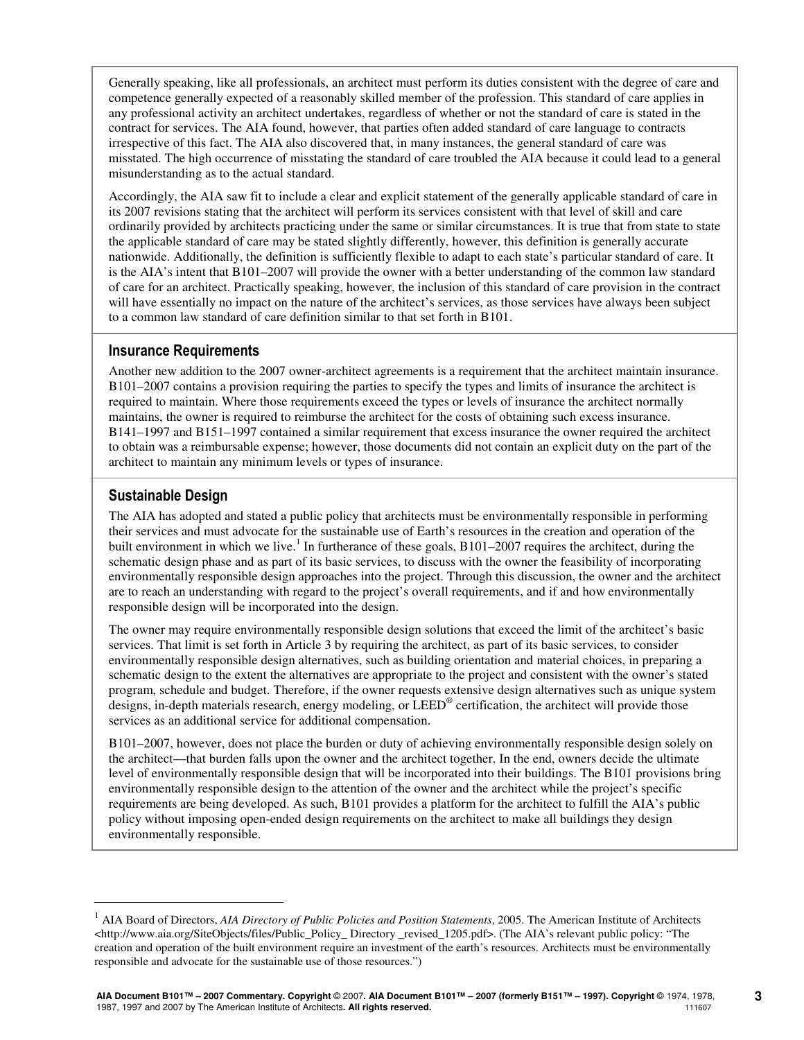Generally speaking, like all professionals, an architect must perform its duties consistent with the degree of care and competence generally expected of a reasonably skilled member of the profession. This standard of care applies in any professional activity an architect undertakes, regardless of whether or not the standard of care is stated in the contract for services. The AIA found, however, that parties often added standard of care language to contracts irrespective of this fact. The AIA also discovered that, in many instances, the general standard of care was misstated. The high occurrence of misstating the standard of care troubled the AIA because it could lead to a general misunderstanding as to the actual standard.

Accordingly, the AIA saw fit to include a clear and explicit statement of the generally applicable standard of care in its 2007 revisions stating that the architect will perform its services consistent with that level of skill and care ordinarily provided by architects practicing under the same or similar circumstances. It is true that from state to state the applicable standard of care may be stated slightly differently, however, this definition is generally accurate nationwide. Additionally, the definition is sufficiently flexible to adapt to each state's particular standard of care. It is the AIA's intent that B101–2007 will provide the owner with a better understanding of the common law standard of care for an architect. Practically speaking, however, the inclusion of this standard of care provision in the contract will have essentially no impact on the nature of the architect's services, as those services have always been subject to a common law standard of care definition similar to that set forth in B101.

### Insurance Requirements

Another new addition to the 2007 owner-architect agreements is a requirement that the architect maintain insurance. B101–2007 contains a provision requiring the parties to specify the types and limits of insurance the architect is required to maintain. Where those requirements exceed the types or levels of insurance the architect normally maintains, the owner is required to reimburse the architect for the costs of obtaining such excess insurance. B141–1997 and B151–1997 contained a similar requirement that excess insurance the owner required the architect to obtain was a reimbursable expense; however, those documents did not contain an explicit duty on the part of the architect to maintain any minimum levels or types of insurance.

# Sustainable Design

-

The AIA has adopted and stated a public policy that architects must be environmentally responsible in performing their services and must advocate for the sustainable use of Earth's resources in the creation and operation of the built environment in which we live.<sup>1</sup> In furtherance of these goals, B101–2007 requires the architect, during the schematic design phase and as part of its basic services, to discuss with the owner the feasibility of incorporating environmentally responsible design approaches into the project. Through this discussion, the owner and the architect are to reach an understanding with regard to the project's overall requirements, and if and how environmentally responsible design will be incorporated into the design.

The owner may require environmentally responsible design solutions that exceed the limit of the architect's basic services. That limit is set forth in Article 3 by requiring the architect, as part of its basic services, to consider environmentally responsible design alternatives, such as building orientation and material choices, in preparing a schematic design to the extent the alternatives are appropriate to the project and consistent with the owner's stated program, schedule and budget. Therefore, if the owner requests extensive design alternatives such as unique system designs, in-depth materials research, energy modeling, or LEED® certification, the architect will provide those services as an additional service for additional compensation.

B101–2007, however, does not place the burden or duty of achieving environmentally responsible design solely on the architect—that burden falls upon the owner and the architect together. In the end, owners decide the ultimate level of environmentally responsible design that will be incorporated into their buildings. The B101 provisions bring environmentally responsible design to the attention of the owner and the architect while the project's specific requirements are being developed. As such, B101 provides a platform for the architect to fulfill the AIA's public policy without imposing open-ended design requirements on the architect to make all buildings they design environmentally responsible.

<sup>&</sup>lt;sup>1</sup> AIA Board of Directors, *AIA Directory of Public Policies and Position Statements*, 2005. The American Institute of Architects <http://www.aia.org/SiteObjects/files/Public\_Policy\_ Directory \_revised\_1205.pdf>. (The AIA's relevant public policy: "The creation and operation of the built environment require an investment of the earth's resources. Architects must be environmentally responsible and advocate for the sustainable use of those resources.")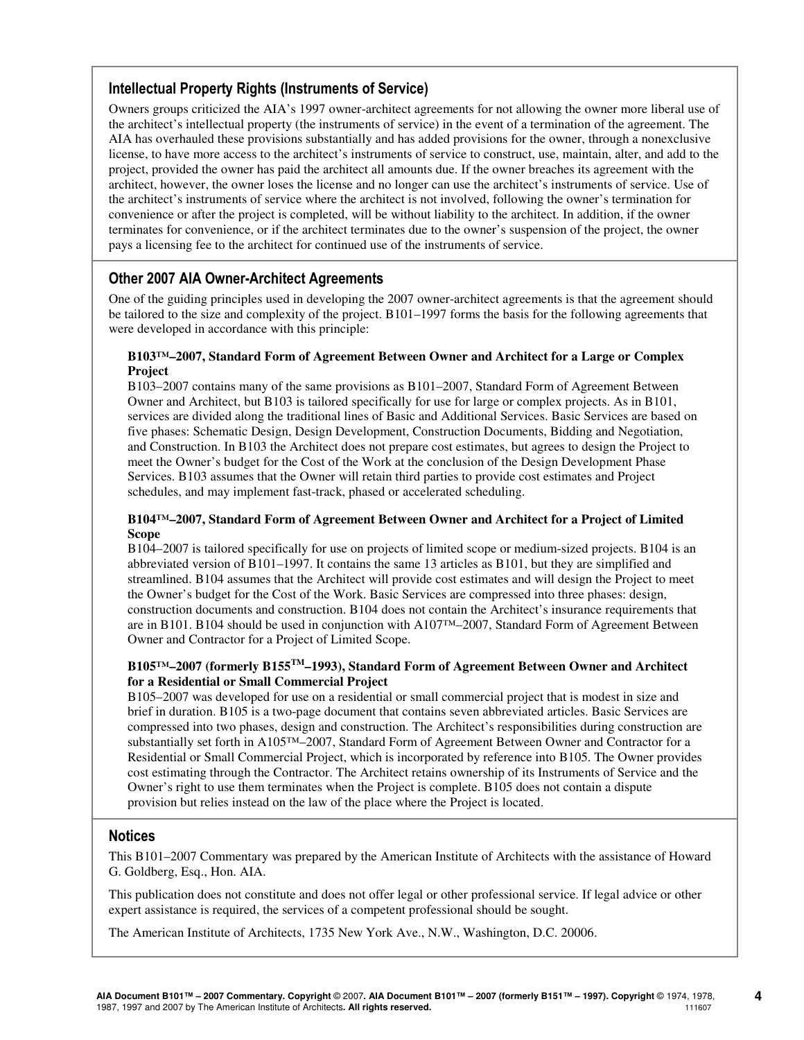### Intellectual Property Rights (Instruments of Service)

Owners groups criticized the AIA's 1997 owner-architect agreements for not allowing the owner more liberal use of the architect's intellectual property (the instruments of service) in the event of a termination of the agreement. The AIA has overhauled these provisions substantially and has added provisions for the owner, through a nonexclusive license, to have more access to the architect's instruments of service to construct, use, maintain, alter, and add to the project, provided the owner has paid the architect all amounts due. If the owner breaches its agreement with the architect, however, the owner loses the license and no longer can use the architect's instruments of service. Use of the architect's instruments of service where the architect is not involved, following the owner's termination for convenience or after the project is completed, will be without liability to the architect. In addition, if the owner terminates for convenience, or if the architect terminates due to the owner's suspension of the project, the owner pays a licensing fee to the architect for continued use of the instruments of service.

### Other 2007 AIA Owner-Architect Agreements

One of the guiding principles used in developing the 2007 owner-architect agreements is that the agreement should be tailored to the size and complexity of the project. B101–1997 forms the basis for the following agreements that were developed in accordance with this principle:

### **B103™–2007, Standard Form of Agreement Between Owner and Architect for a Large or Complex Project**

B103–2007 contains many of the same provisions as B101–2007, Standard Form of Agreement Between Owner and Architect, but B103 is tailored specifically for use for large or complex projects. As in B101, services are divided along the traditional lines of Basic and Additional Services. Basic Services are based on five phases: Schematic Design, Design Development, Construction Documents, Bidding and Negotiation, and Construction. In B103 the Architect does not prepare cost estimates, but agrees to design the Project to meet the Owner's budget for the Cost of the Work at the conclusion of the Design Development Phase Services. B103 assumes that the Owner will retain third parties to provide cost estimates and Project schedules, and may implement fast-track, phased or accelerated scheduling.

### **B104™–2007, Standard Form of Agreement Between Owner and Architect for a Project of Limited Scope**

B104–2007 is tailored specifically for use on projects of limited scope or medium-sized projects. B104 is an abbreviated version of B101–1997. It contains the same 13 articles as B101, but they are simplified and streamlined. B104 assumes that the Architect will provide cost estimates and will design the Project to meet the Owner's budget for the Cost of the Work. Basic Services are compressed into three phases: design, construction documents and construction. B104 does not contain the Architect's insurance requirements that are in B101. B104 should be used in conjunction with A107™–2007, Standard Form of Agreement Between Owner and Contractor for a Project of Limited Scope.

### **B105™–2007 (formerly B155TM–1993), Standard Form of Agreement Between Owner and Architect for a Residential or Small Commercial Project**

B105–2007 was developed for use on a residential or small commercial project that is modest in size and brief in duration. B105 is a two-page document that contains seven abbreviated articles. Basic Services are compressed into two phases, design and construction. The Architect's responsibilities during construction are substantially set forth in A105™–2007, Standard Form of Agreement Between Owner and Contractor for a Residential or Small Commercial Project, which is incorporated by reference into B105. The Owner provides cost estimating through the Contractor. The Architect retains ownership of its Instruments of Service and the Owner's right to use them terminates when the Project is complete. B105 does not contain a dispute provision but relies instead on the law of the place where the Project is located.

### Notices

This B101–2007 Commentary was prepared by the American Institute of Architects with the assistance of Howard G. Goldberg, Esq., Hon. AIA.

This publication does not constitute and does not offer legal or other professional service. If legal advice or other expert assistance is required, the services of a competent professional should be sought.

The American Institute of Architects, 1735 New York Ave., N.W., Washington, D.C. 20006.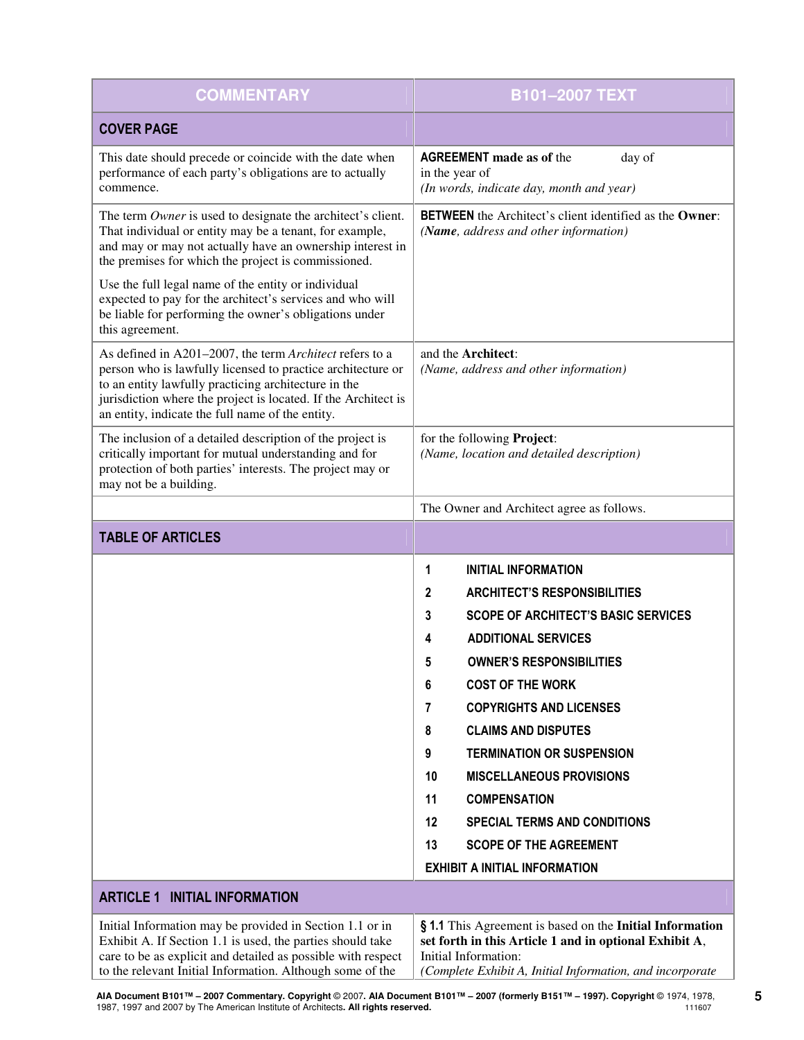| <b>COMMENTARY</b>                                                                                                                                                                                                                                                                                    | <b>B101-2007 TEXT</b>                                                                                                                                                                                   |
|------------------------------------------------------------------------------------------------------------------------------------------------------------------------------------------------------------------------------------------------------------------------------------------------------|---------------------------------------------------------------------------------------------------------------------------------------------------------------------------------------------------------|
| <b>COVER PAGE</b>                                                                                                                                                                                                                                                                                    |                                                                                                                                                                                                         |
| This date should precede or coincide with the date when<br>performance of each party's obligations are to actually<br>commence.                                                                                                                                                                      | <b>AGREEMENT</b> made as of the<br>day of<br>in the year of<br>(In words, indicate day, month and year)                                                                                                 |
| The term Owner is used to designate the architect's client.<br>That individual or entity may be a tenant, for example,<br>and may or may not actually have an ownership interest in<br>the premises for which the project is commissioned.                                                           | <b>BETWEEN</b> the Architect's client identified as the <b>Owner:</b><br>(Name, address and other information)                                                                                          |
| Use the full legal name of the entity or individual<br>expected to pay for the architect's services and who will<br>be liable for performing the owner's obligations under<br>this agreement.                                                                                                        |                                                                                                                                                                                                         |
| As defined in A201-2007, the term Architect refers to a<br>person who is lawfully licensed to practice architecture or<br>to an entity lawfully practicing architecture in the<br>jurisdiction where the project is located. If the Architect is<br>an entity, indicate the full name of the entity. | and the Architect:<br>(Name, address and other information)                                                                                                                                             |
| The inclusion of a detailed description of the project is<br>critically important for mutual understanding and for<br>protection of both parties' interests. The project may or<br>may not be a building.                                                                                            | for the following Project:<br>(Name, location and detailed description)                                                                                                                                 |
|                                                                                                                                                                                                                                                                                                      | The Owner and Architect agree as follows.                                                                                                                                                               |
| <b>TABLE OF ARTICLES</b>                                                                                                                                                                                                                                                                             |                                                                                                                                                                                                         |
|                                                                                                                                                                                                                                                                                                      | <b>INITIAL INFORMATION</b><br>1                                                                                                                                                                         |
|                                                                                                                                                                                                                                                                                                      | <b>ARCHITECT'S RESPONSIBILITIES</b><br>2                                                                                                                                                                |
|                                                                                                                                                                                                                                                                                                      | <b>SCOPE OF ARCHITECT'S BASIC SERVICES</b><br>3                                                                                                                                                         |
|                                                                                                                                                                                                                                                                                                      | <b>ADDITIONAL SERVICES</b><br>4                                                                                                                                                                         |
|                                                                                                                                                                                                                                                                                                      | <b>OWNER'S RESPONSIBILITIES</b><br>5                                                                                                                                                                    |
|                                                                                                                                                                                                                                                                                                      | <b>COST OF THE WORK</b><br>6                                                                                                                                                                            |
|                                                                                                                                                                                                                                                                                                      | <b>COPYRIGHTS AND LICENSES</b><br>7                                                                                                                                                                     |
|                                                                                                                                                                                                                                                                                                      | 8<br><b>CLAIMS AND DISPUTES</b>                                                                                                                                                                         |
|                                                                                                                                                                                                                                                                                                      | 9<br><b>TERMINATION OR SUSPENSION</b>                                                                                                                                                                   |
|                                                                                                                                                                                                                                                                                                      | 10<br><b>MISCELLANEOUS PROVISIONS</b>                                                                                                                                                                   |
|                                                                                                                                                                                                                                                                                                      | 11<br><b>COMPENSATION</b>                                                                                                                                                                               |
|                                                                                                                                                                                                                                                                                                      | 12<br><b>SPECIAL TERMS AND CONDITIONS</b>                                                                                                                                                               |
|                                                                                                                                                                                                                                                                                                      | <b>SCOPE OF THE AGREEMENT</b><br>13                                                                                                                                                                     |
|                                                                                                                                                                                                                                                                                                      | <b>EXHIBIT A INITIAL INFORMATION</b>                                                                                                                                                                    |
| <b>ARTICLE 1 INITIAL INFORMATION</b>                                                                                                                                                                                                                                                                 |                                                                                                                                                                                                         |
| Initial Information may be provided in Section 1.1 or in<br>Exhibit A. If Section 1.1 is used, the parties should take<br>care to be as explicit and detailed as possible with respect<br>to the relevant Initial Information. Although some of the                                                  | § 1.1 This Agreement is based on the Initial Information<br>set forth in this Article 1 and in optional Exhibit A,<br>Initial Information:<br>(Complete Exhibit A, Initial Information, and incorporate |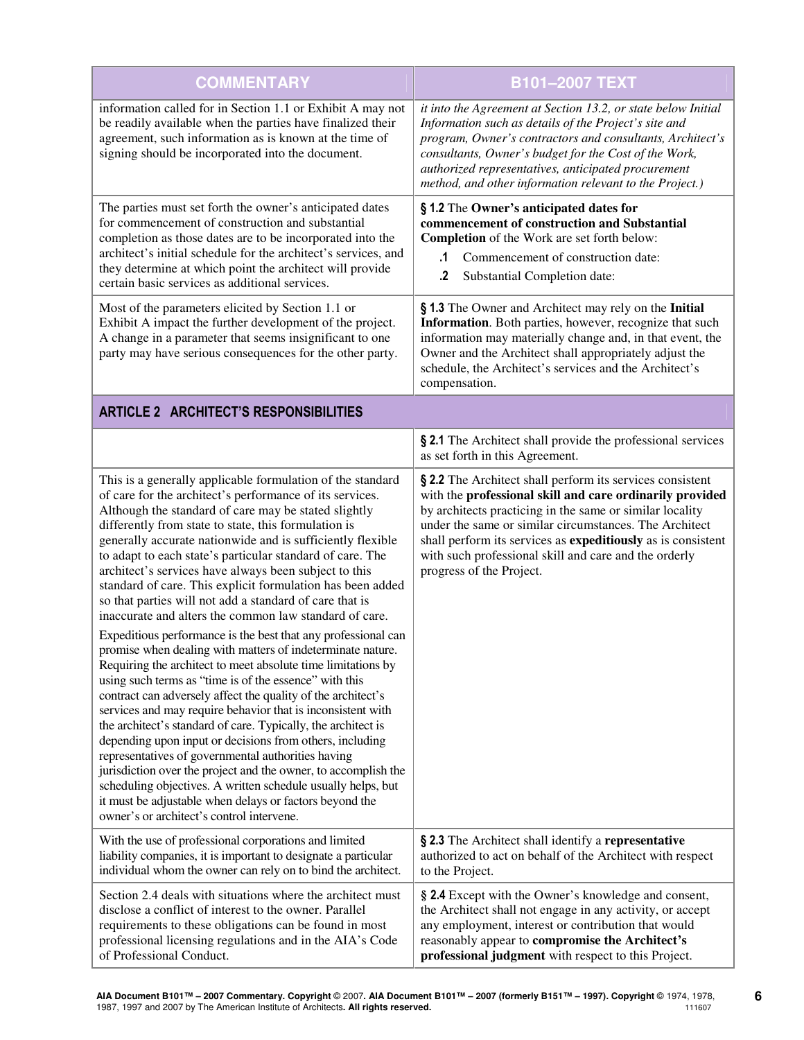| <b>COMMENTARY</b>                                                                                                                                                                                                                                                                                                                                                                                                                                                                                                                                                                                                                                                                                                                                                                                                                                                                                                                                                                                                                                                                                                                                                                                                                                                                                                                                                                                                                  | <b>B101-2007 TEXT</b>                                                                                                                                                                                                                                                                                                                                                                            |  |
|------------------------------------------------------------------------------------------------------------------------------------------------------------------------------------------------------------------------------------------------------------------------------------------------------------------------------------------------------------------------------------------------------------------------------------------------------------------------------------------------------------------------------------------------------------------------------------------------------------------------------------------------------------------------------------------------------------------------------------------------------------------------------------------------------------------------------------------------------------------------------------------------------------------------------------------------------------------------------------------------------------------------------------------------------------------------------------------------------------------------------------------------------------------------------------------------------------------------------------------------------------------------------------------------------------------------------------------------------------------------------------------------------------------------------------|--------------------------------------------------------------------------------------------------------------------------------------------------------------------------------------------------------------------------------------------------------------------------------------------------------------------------------------------------------------------------------------------------|--|
| information called for in Section 1.1 or Exhibit A may not<br>be readily available when the parties have finalized their<br>agreement, such information as is known at the time of<br>signing should be incorporated into the document.                                                                                                                                                                                                                                                                                                                                                                                                                                                                                                                                                                                                                                                                                                                                                                                                                                                                                                                                                                                                                                                                                                                                                                                            | it into the Agreement at Section 13.2, or state below Initial<br>Information such as details of the Project's site and<br>program, Owner's contractors and consultants, Architect's<br>consultants, Owner's budget for the Cost of the Work,<br>authorized representatives, anticipated procurement<br>method, and other information relevant to the Project.)                                   |  |
| The parties must set forth the owner's anticipated dates<br>for commencement of construction and substantial<br>completion as those dates are to be incorporated into the<br>architect's initial schedule for the architect's services, and<br>they determine at which point the architect will provide<br>certain basic services as additional services.                                                                                                                                                                                                                                                                                                                                                                                                                                                                                                                                                                                                                                                                                                                                                                                                                                                                                                                                                                                                                                                                          | §1.2 The Owner's anticipated dates for<br>commencement of construction and Substantial<br>Completion of the Work are set forth below:<br>Commencement of construction date:<br>.1<br>.2<br>Substantial Completion date:                                                                                                                                                                          |  |
| Most of the parameters elicited by Section 1.1 or<br>Exhibit A impact the further development of the project.<br>A change in a parameter that seems insignificant to one<br>party may have serious consequences for the other party.                                                                                                                                                                                                                                                                                                                                                                                                                                                                                                                                                                                                                                                                                                                                                                                                                                                                                                                                                                                                                                                                                                                                                                                               | § 1.3 The Owner and Architect may rely on the Initial<br>Information. Both parties, however, recognize that such<br>information may materially change and, in that event, the<br>Owner and the Architect shall appropriately adjust the<br>schedule, the Architect's services and the Architect's<br>compensation.                                                                               |  |
| <b>ARTICLE 2 ARCHITECT'S RESPONSIBILITIES</b>                                                                                                                                                                                                                                                                                                                                                                                                                                                                                                                                                                                                                                                                                                                                                                                                                                                                                                                                                                                                                                                                                                                                                                                                                                                                                                                                                                                      |                                                                                                                                                                                                                                                                                                                                                                                                  |  |
|                                                                                                                                                                                                                                                                                                                                                                                                                                                                                                                                                                                                                                                                                                                                                                                                                                                                                                                                                                                                                                                                                                                                                                                                                                                                                                                                                                                                                                    | § 2.1 The Architect shall provide the professional services<br>as set forth in this Agreement.                                                                                                                                                                                                                                                                                                   |  |
| This is a generally applicable formulation of the standard<br>of care for the architect's performance of its services.<br>Although the standard of care may be stated slightly<br>differently from state to state, this formulation is<br>generally accurate nationwide and is sufficiently flexible<br>to adapt to each state's particular standard of care. The<br>architect's services have always been subject to this<br>standard of care. This explicit formulation has been added<br>so that parties will not add a standard of care that is<br>inaccurate and alters the common law standard of care.<br>Expeditious performance is the best that any professional can<br>promise when dealing with matters of indeterminate nature.<br>Requiring the architect to meet absolute time limitations by<br>using such terms as "time is of the essence" with this<br>contract can adversely affect the quality of the architect's<br>services and may require behavior that is inconsistent with<br>the architect's standard of care. Typically, the architect is<br>depending upon input or decisions from others, including<br>representatives of governmental authorities having<br>jurisdiction over the project and the owner, to accomplish the<br>scheduling objectives. A written schedule usually helps, but<br>it must be adjustable when delays or factors beyond the<br>owner's or architect's control intervene. | § 2.2 The Architect shall perform its services consistent<br>with the professional skill and care ordinarily provided<br>by architects practicing in the same or similar locality<br>under the same or similar circumstances. The Architect<br>shall perform its services as expeditiously as is consistent<br>with such professional skill and care and the orderly<br>progress of the Project. |  |
| With the use of professional corporations and limited<br>liability companies, it is important to designate a particular<br>individual whom the owner can rely on to bind the architect.                                                                                                                                                                                                                                                                                                                                                                                                                                                                                                                                                                                                                                                                                                                                                                                                                                                                                                                                                                                                                                                                                                                                                                                                                                            | § 2.3 The Architect shall identify a representative<br>authorized to act on behalf of the Architect with respect<br>to the Project.                                                                                                                                                                                                                                                              |  |
| Section 2.4 deals with situations where the architect must<br>disclose a conflict of interest to the owner. Parallel<br>requirements to these obligations can be found in most<br>professional licensing regulations and in the AIA's Code<br>of Professional Conduct.                                                                                                                                                                                                                                                                                                                                                                                                                                                                                                                                                                                                                                                                                                                                                                                                                                                                                                                                                                                                                                                                                                                                                             | § 2.4 Except with the Owner's knowledge and consent,<br>the Architect shall not engage in any activity, or accept<br>any employment, interest or contribution that would<br>reasonably appear to compromise the Architect's<br>professional judgment with respect to this Project.                                                                                                               |  |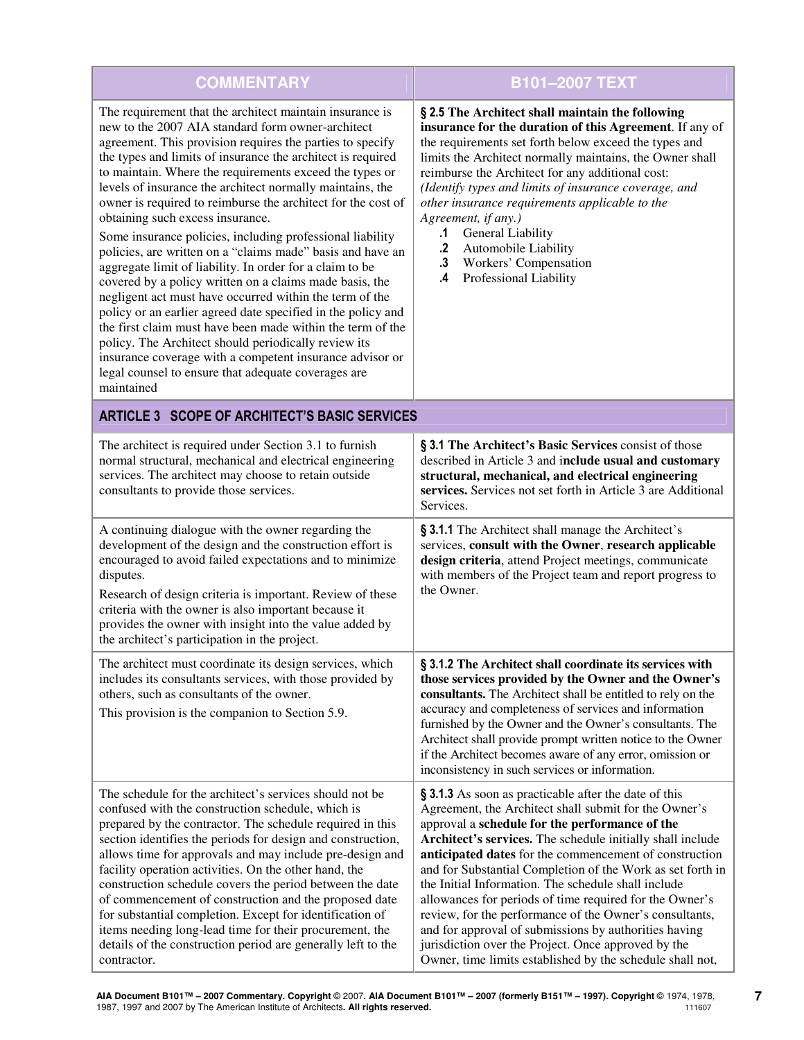| <b>COMMENTARY</b>                                                                                                                                                                                                                                                                                                                                                                                                                                                                                                                                                                                                                                                                                                                                                                                                                                                                                                                                                                                                                                                                                         | <b>B101-2007 TEXT</b>                                                                                                                                                                                                                                                                                                                                                                                                                                                                                                                                                                                                                                                                                            |
|-----------------------------------------------------------------------------------------------------------------------------------------------------------------------------------------------------------------------------------------------------------------------------------------------------------------------------------------------------------------------------------------------------------------------------------------------------------------------------------------------------------------------------------------------------------------------------------------------------------------------------------------------------------------------------------------------------------------------------------------------------------------------------------------------------------------------------------------------------------------------------------------------------------------------------------------------------------------------------------------------------------------------------------------------------------------------------------------------------------|------------------------------------------------------------------------------------------------------------------------------------------------------------------------------------------------------------------------------------------------------------------------------------------------------------------------------------------------------------------------------------------------------------------------------------------------------------------------------------------------------------------------------------------------------------------------------------------------------------------------------------------------------------------------------------------------------------------|
| The requirement that the architect maintain insurance is<br>new to the 2007 AIA standard form owner-architect<br>agreement. This provision requires the parties to specify<br>the types and limits of insurance the architect is required<br>to maintain. Where the requirements exceed the types or<br>levels of insurance the architect normally maintains, the<br>owner is required to reimburse the architect for the cost of<br>obtaining such excess insurance.<br>Some insurance policies, including professional liability<br>policies, are written on a "claims made" basis and have an<br>aggregate limit of liability. In order for a claim to be<br>covered by a policy written on a claims made basis, the<br>negligent act must have occurred within the term of the<br>policy or an earlier agreed date specified in the policy and<br>the first claim must have been made within the term of the<br>policy. The Architect should periodically review its<br>insurance coverage with a competent insurance advisor or<br>legal counsel to ensure that adequate coverages are<br>maintained | § 2.5 The Architect shall maintain the following<br>insurance for the duration of this Agreement. If any of<br>the requirements set forth below exceed the types and<br>limits the Architect normally maintains, the Owner shall<br>reimburse the Architect for any additional cost:<br>(Identify types and limits of insurance coverage, and<br>other insurance requirements applicable to the<br>Agreement, if any.)<br>General Liability<br>.1<br>$\cdot$<br>Automobile Liability<br>.3 Workers' Compensation<br>Professional Liability<br>.4                                                                                                                                                                 |
| ARTICLE 3 SCOPE OF ARCHITECT'S BASIC SERVICES                                                                                                                                                                                                                                                                                                                                                                                                                                                                                                                                                                                                                                                                                                                                                                                                                                                                                                                                                                                                                                                             |                                                                                                                                                                                                                                                                                                                                                                                                                                                                                                                                                                                                                                                                                                                  |
| The architect is required under Section 3.1 to furnish<br>normal structural, mechanical and electrical engineering<br>services. The architect may choose to retain outside<br>consultants to provide those services.                                                                                                                                                                                                                                                                                                                                                                                                                                                                                                                                                                                                                                                                                                                                                                                                                                                                                      | § 3.1 The Architect's Basic Services consist of those<br>described in Article 3 and include usual and customary<br>structural, mechanical, and electrical engineering<br>services. Services not set forth in Article 3 are Additional<br>Services.                                                                                                                                                                                                                                                                                                                                                                                                                                                               |
| A continuing dialogue with the owner regarding the<br>development of the design and the construction effort is<br>encouraged to avoid failed expectations and to minimize<br>disputes.<br>Research of design criteria is important. Review of these<br>criteria with the owner is also important because it<br>provides the owner with insight into the value added by<br>the architect's participation in the project.                                                                                                                                                                                                                                                                                                                                                                                                                                                                                                                                                                                                                                                                                   | § 3.1.1 The Architect shall manage the Architect's<br>services, consult with the Owner, research applicable<br>design criteria, attend Project meetings, communicate<br>with members of the Project team and report progress to<br>the Owner.                                                                                                                                                                                                                                                                                                                                                                                                                                                                    |
| The architect must coordinate its design services, which<br>includes its consultants services, with those provided by<br>others, such as consultants of the owner.<br>This provision is the companion to Section 5.9.                                                                                                                                                                                                                                                                                                                                                                                                                                                                                                                                                                                                                                                                                                                                                                                                                                                                                     | § 3.1.2 The Architect shall coordinate its services with<br>those services provided by the Owner and the Owner's<br>consultants. The Architect shall be entitled to rely on the<br>accuracy and completeness of services and information<br>furnished by the Owner and the Owner's consultants. The<br>Architect shall provide prompt written notice to the Owner<br>if the Architect becomes aware of any error, omission or<br>inconsistency in such services or information.                                                                                                                                                                                                                                  |
| The schedule for the architect's services should not be<br>confused with the construction schedule, which is<br>prepared by the contractor. The schedule required in this<br>section identifies the periods for design and construction,<br>allows time for approvals and may include pre-design and<br>facility operation activities. On the other hand, the<br>construction schedule covers the period between the date<br>of commencement of construction and the proposed date<br>for substantial completion. Except for identification of<br>items needing long-lead time for their procurement, the<br>details of the construction period are generally left to the<br>contractor.                                                                                                                                                                                                                                                                                                                                                                                                                  | § 3.1.3 As soon as practicable after the date of this<br>Agreement, the Architect shall submit for the Owner's<br>approval a schedule for the performance of the<br>Architect's services. The schedule initially shall include<br>anticipated dates for the commencement of construction<br>and for Substantial Completion of the Work as set forth in<br>the Initial Information. The schedule shall include<br>allowances for periods of time required for the Owner's<br>review, for the performance of the Owner's consultants,<br>and for approval of submissions by authorities having<br>jurisdiction over the Project. Once approved by the<br>Owner, time limits established by the schedule shall not, |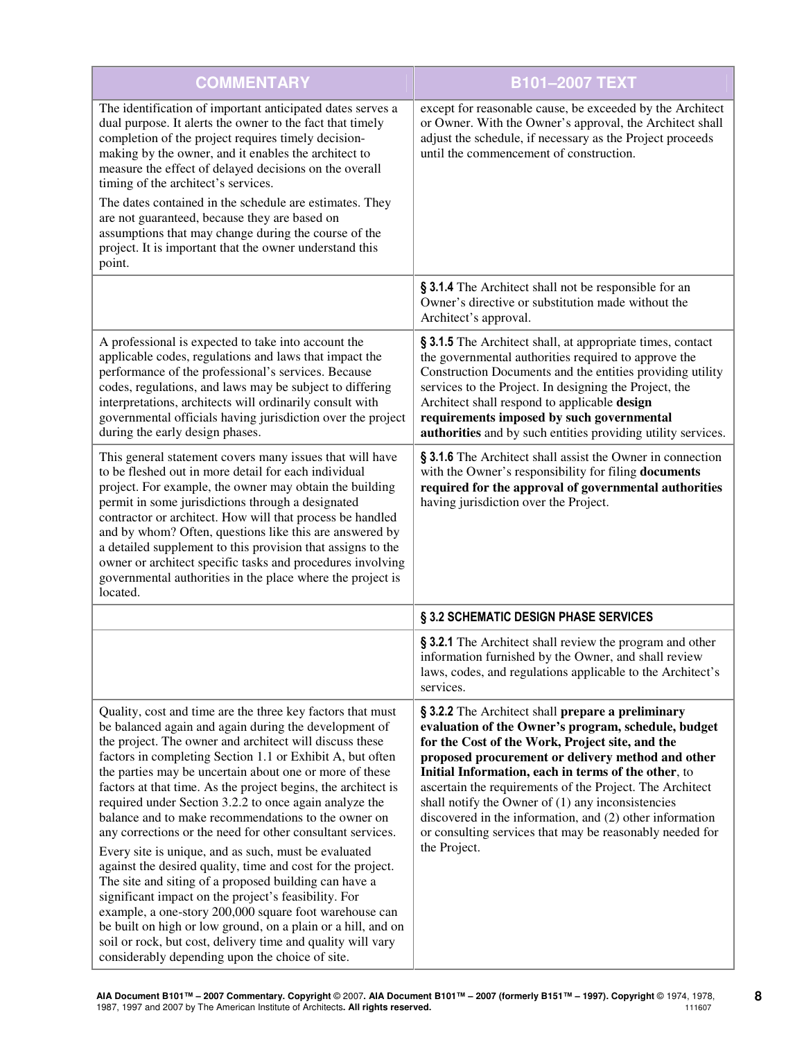| <b>COMMENTARY</b>                                                                                                                                                                                                                                                                                                                                                                                                                                                                                                                                                                                                                                                                                                                                                                                                                                                                                                                                                                                                                          | <b>B101-2007 TEXT</b>                                                                                                                                                                                                                                                                                                                                                                                                                                                                                                              |
|--------------------------------------------------------------------------------------------------------------------------------------------------------------------------------------------------------------------------------------------------------------------------------------------------------------------------------------------------------------------------------------------------------------------------------------------------------------------------------------------------------------------------------------------------------------------------------------------------------------------------------------------------------------------------------------------------------------------------------------------------------------------------------------------------------------------------------------------------------------------------------------------------------------------------------------------------------------------------------------------------------------------------------------------|------------------------------------------------------------------------------------------------------------------------------------------------------------------------------------------------------------------------------------------------------------------------------------------------------------------------------------------------------------------------------------------------------------------------------------------------------------------------------------------------------------------------------------|
| The identification of important anticipated dates serves a<br>dual purpose. It alerts the owner to the fact that timely<br>completion of the project requires timely decision-<br>making by the owner, and it enables the architect to<br>measure the effect of delayed decisions on the overall<br>timing of the architect's services.<br>The dates contained in the schedule are estimates. They                                                                                                                                                                                                                                                                                                                                                                                                                                                                                                                                                                                                                                         | except for reasonable cause, be exceeded by the Architect<br>or Owner. With the Owner's approval, the Architect shall<br>adjust the schedule, if necessary as the Project proceeds<br>until the commencement of construction.                                                                                                                                                                                                                                                                                                      |
| are not guaranteed, because they are based on<br>assumptions that may change during the course of the<br>project. It is important that the owner understand this<br>point.                                                                                                                                                                                                                                                                                                                                                                                                                                                                                                                                                                                                                                                                                                                                                                                                                                                                 |                                                                                                                                                                                                                                                                                                                                                                                                                                                                                                                                    |
|                                                                                                                                                                                                                                                                                                                                                                                                                                                                                                                                                                                                                                                                                                                                                                                                                                                                                                                                                                                                                                            | § 3.1.4 The Architect shall not be responsible for an<br>Owner's directive or substitution made without the<br>Architect's approval.                                                                                                                                                                                                                                                                                                                                                                                               |
| A professional is expected to take into account the<br>applicable codes, regulations and laws that impact the<br>performance of the professional's services. Because<br>codes, regulations, and laws may be subject to differing<br>interpretations, architects will ordinarily consult with<br>governmental officials having jurisdiction over the project<br>during the early design phases.                                                                                                                                                                                                                                                                                                                                                                                                                                                                                                                                                                                                                                             | § 3.1.5 The Architect shall, at appropriate times, contact<br>the governmental authorities required to approve the<br>Construction Documents and the entities providing utility<br>services to the Project. In designing the Project, the<br>Architect shall respond to applicable design<br>requirements imposed by such governmental<br>authorities and by such entities providing utility services.                                                                                                                             |
| This general statement covers many issues that will have<br>to be fleshed out in more detail for each individual<br>project. For example, the owner may obtain the building<br>permit in some jurisdictions through a designated<br>contractor or architect. How will that process be handled<br>and by whom? Often, questions like this are answered by<br>a detailed supplement to this provision that assigns to the<br>owner or architect specific tasks and procedures involving<br>governmental authorities in the place where the project is<br>located.                                                                                                                                                                                                                                                                                                                                                                                                                                                                            | § 3.1.6 The Architect shall assist the Owner in connection<br>with the Owner's responsibility for filing documents<br>required for the approval of governmental authorities<br>having jurisdiction over the Project.                                                                                                                                                                                                                                                                                                               |
|                                                                                                                                                                                                                                                                                                                                                                                                                                                                                                                                                                                                                                                                                                                                                                                                                                                                                                                                                                                                                                            | § 3.2 SCHEMATIC DESIGN PHASE SERVICES                                                                                                                                                                                                                                                                                                                                                                                                                                                                                              |
|                                                                                                                                                                                                                                                                                                                                                                                                                                                                                                                                                                                                                                                                                                                                                                                                                                                                                                                                                                                                                                            | § 3.2.1 The Architect shall review the program and other<br>information furnished by the Owner, and shall review<br>laws, codes, and regulations applicable to the Architect's<br>services.                                                                                                                                                                                                                                                                                                                                        |
| Quality, cost and time are the three key factors that must<br>be balanced again and again during the development of<br>the project. The owner and architect will discuss these<br>factors in completing Section 1.1 or Exhibit A, but often<br>the parties may be uncertain about one or more of these<br>factors at that time. As the project begins, the architect is<br>required under Section 3.2.2 to once again analyze the<br>balance and to make recommendations to the owner on<br>any corrections or the need for other consultant services.<br>Every site is unique, and as such, must be evaluated<br>against the desired quality, time and cost for the project.<br>The site and siting of a proposed building can have a<br>significant impact on the project's feasibility. For<br>example, a one-story 200,000 square foot warehouse can<br>be built on high or low ground, on a plain or a hill, and on<br>soil or rock, but cost, delivery time and quality will vary<br>considerably depending upon the choice of site. | § 3.2.2 The Architect shall prepare a preliminary<br>evaluation of the Owner's program, schedule, budget<br>for the Cost of the Work, Project site, and the<br>proposed procurement or delivery method and other<br>Initial Information, each in terms of the other, to<br>ascertain the requirements of the Project. The Architect<br>shall notify the Owner of $(1)$ any inconsistencies<br>discovered in the information, and (2) other information<br>or consulting services that may be reasonably needed for<br>the Project. |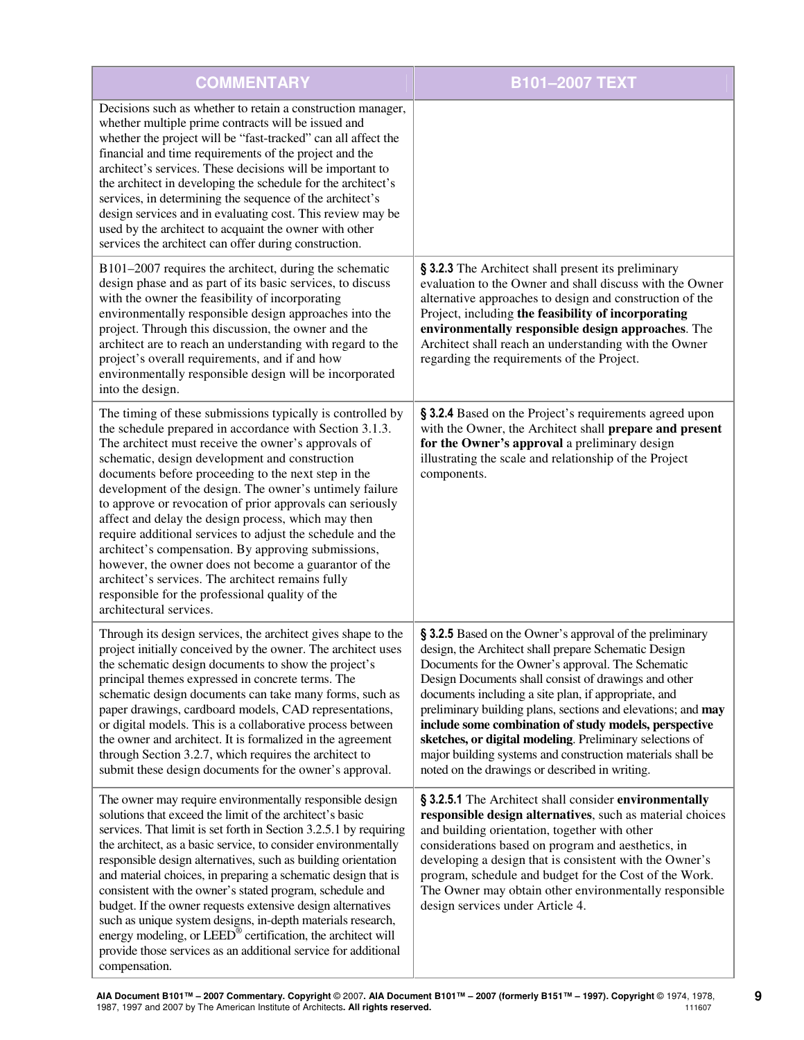| <b>COMMENTARY</b>                                                                                                                                                                                                                                                                                                                                                                                                                                                                                                                                                                                                                                                                                                                                                                     | <b>B101-2007 TEXT</b>                                                                                                                                                                                                                                                                                                                                                                                                                                                                                                                                                                      |
|---------------------------------------------------------------------------------------------------------------------------------------------------------------------------------------------------------------------------------------------------------------------------------------------------------------------------------------------------------------------------------------------------------------------------------------------------------------------------------------------------------------------------------------------------------------------------------------------------------------------------------------------------------------------------------------------------------------------------------------------------------------------------------------|--------------------------------------------------------------------------------------------------------------------------------------------------------------------------------------------------------------------------------------------------------------------------------------------------------------------------------------------------------------------------------------------------------------------------------------------------------------------------------------------------------------------------------------------------------------------------------------------|
| Decisions such as whether to retain a construction manager,<br>whether multiple prime contracts will be issued and<br>whether the project will be "fast-tracked" can all affect the<br>financial and time requirements of the project and the<br>architect's services. These decisions will be important to<br>the architect in developing the schedule for the architect's<br>services, in determining the sequence of the architect's<br>design services and in evaluating cost. This review may be<br>used by the architect to acquaint the owner with other<br>services the architect can offer during construction.                                                                                                                                                              |                                                                                                                                                                                                                                                                                                                                                                                                                                                                                                                                                                                            |
| B101-2007 requires the architect, during the schematic<br>design phase and as part of its basic services, to discuss<br>with the owner the feasibility of incorporating<br>environmentally responsible design approaches into the<br>project. Through this discussion, the owner and the<br>architect are to reach an understanding with regard to the<br>project's overall requirements, and if and how<br>environmentally responsible design will be incorporated<br>into the design.                                                                                                                                                                                                                                                                                               | § 3.2.3 The Architect shall present its preliminary<br>evaluation to the Owner and shall discuss with the Owner<br>alternative approaches to design and construction of the<br>Project, including the feasibility of incorporating<br>environmentally responsible design approaches. The<br>Architect shall reach an understanding with the Owner<br>regarding the requirements of the Project.                                                                                                                                                                                            |
| The timing of these submissions typically is controlled by<br>the schedule prepared in accordance with Section 3.1.3.<br>The architect must receive the owner's approvals of<br>schematic, design development and construction<br>documents before proceeding to the next step in the<br>development of the design. The owner's untimely failure<br>to approve or revocation of prior approvals can seriously<br>affect and delay the design process, which may then<br>require additional services to adjust the schedule and the<br>architect's compensation. By approving submissions,<br>however, the owner does not become a guarantor of the<br>architect's services. The architect remains fully<br>responsible for the professional quality of the<br>architectural services. | § 3.2.4 Based on the Project's requirements agreed upon<br>with the Owner, the Architect shall prepare and present<br>for the Owner's approval a preliminary design<br>illustrating the scale and relationship of the Project<br>components.                                                                                                                                                                                                                                                                                                                                               |
| Through its design services, the architect gives shape to the<br>project initially conceived by the owner. The architect uses<br>the schematic design documents to show the project's<br>principal themes expressed in concrete terms. The<br>schematic design documents can take many forms, such as<br>paper drawings, cardboard models, CAD representations,<br>or digital models. This is a collaborative process between<br>the owner and architect. It is formalized in the agreement<br>through Section 3.2.7, which requires the architect to<br>submit these design documents for the owner's approval.                                                                                                                                                                      | § 3.2.5 Based on the Owner's approval of the preliminary<br>design, the Architect shall prepare Schematic Design<br>Documents for the Owner's approval. The Schematic<br>Design Documents shall consist of drawings and other<br>documents including a site plan, if appropriate, and<br>preliminary building plans, sections and elevations; and may<br>include some combination of study models, perspective<br>sketches, or digital modeling. Preliminary selections of<br>major building systems and construction materials shall be<br>noted on the drawings or described in writing. |
| The owner may require environmentally responsible design<br>solutions that exceed the limit of the architect's basic<br>services. That limit is set forth in Section 3.2.5.1 by requiring<br>the architect, as a basic service, to consider environmentally<br>responsible design alternatives, such as building orientation<br>and material choices, in preparing a schematic design that is<br>consistent with the owner's stated program, schedule and<br>budget. If the owner requests extensive design alternatives<br>such as unique system designs, in-depth materials research,<br>energy modeling, or LEED® certification, the architect will<br>provide those services as an additional service for additional<br>compensation.                                             | § 3.2.5.1 The Architect shall consider environmentally<br>responsible design alternatives, such as material choices<br>and building orientation, together with other<br>considerations based on program and aesthetics, in<br>developing a design that is consistent with the Owner's<br>program, schedule and budget for the Cost of the Work.<br>The Owner may obtain other environmentally responsible<br>design services under Article 4.                                                                                                                                              |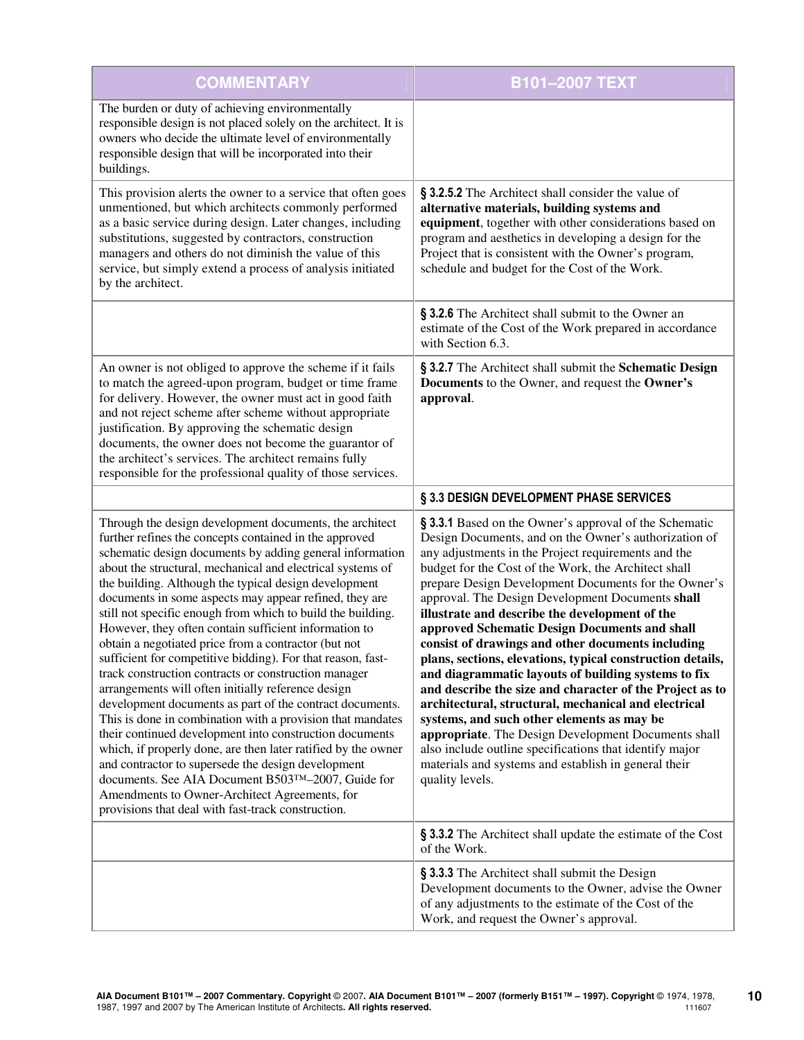| <b>COMMENTARY</b>                                                                                                                                                                                                                                                                                                                                                                                                                                                                                                                                                                                                                                                                                                                                                                                                                                                                                                                                                                                                                                                                                                                                                                                    | B101-2007 TEXT                                                                                                                                                                                                                                                                                                                                                                                                                                                                                                                                                                                                                                                                                                                                                                                                                                                                                                                                                                         |
|------------------------------------------------------------------------------------------------------------------------------------------------------------------------------------------------------------------------------------------------------------------------------------------------------------------------------------------------------------------------------------------------------------------------------------------------------------------------------------------------------------------------------------------------------------------------------------------------------------------------------------------------------------------------------------------------------------------------------------------------------------------------------------------------------------------------------------------------------------------------------------------------------------------------------------------------------------------------------------------------------------------------------------------------------------------------------------------------------------------------------------------------------------------------------------------------------|----------------------------------------------------------------------------------------------------------------------------------------------------------------------------------------------------------------------------------------------------------------------------------------------------------------------------------------------------------------------------------------------------------------------------------------------------------------------------------------------------------------------------------------------------------------------------------------------------------------------------------------------------------------------------------------------------------------------------------------------------------------------------------------------------------------------------------------------------------------------------------------------------------------------------------------------------------------------------------------|
| The burden or duty of achieving environmentally<br>responsible design is not placed solely on the architect. It is<br>owners who decide the ultimate level of environmentally<br>responsible design that will be incorporated into their<br>buildings.                                                                                                                                                                                                                                                                                                                                                                                                                                                                                                                                                                                                                                                                                                                                                                                                                                                                                                                                               |                                                                                                                                                                                                                                                                                                                                                                                                                                                                                                                                                                                                                                                                                                                                                                                                                                                                                                                                                                                        |
| This provision alerts the owner to a service that often goes<br>unmentioned, but which architects commonly performed<br>as a basic service during design. Later changes, including<br>substitutions, suggested by contractors, construction<br>managers and others do not diminish the value of this<br>service, but simply extend a process of analysis initiated<br>by the architect.                                                                                                                                                                                                                                                                                                                                                                                                                                                                                                                                                                                                                                                                                                                                                                                                              | § 3.2.5.2 The Architect shall consider the value of<br>alternative materials, building systems and<br>equipment, together with other considerations based on<br>program and aesthetics in developing a design for the<br>Project that is consistent with the Owner's program,<br>schedule and budget for the Cost of the Work.                                                                                                                                                                                                                                                                                                                                                                                                                                                                                                                                                                                                                                                         |
|                                                                                                                                                                                                                                                                                                                                                                                                                                                                                                                                                                                                                                                                                                                                                                                                                                                                                                                                                                                                                                                                                                                                                                                                      | § 3.2.6 The Architect shall submit to the Owner an<br>estimate of the Cost of the Work prepared in accordance<br>with Section 6.3.                                                                                                                                                                                                                                                                                                                                                                                                                                                                                                                                                                                                                                                                                                                                                                                                                                                     |
| An owner is not obliged to approve the scheme if it fails<br>to match the agreed-upon program, budget or time frame<br>for delivery. However, the owner must act in good faith<br>and not reject scheme after scheme without appropriate<br>justification. By approving the schematic design<br>documents, the owner does not become the guarantor of<br>the architect's services. The architect remains fully<br>responsible for the professional quality of those services.                                                                                                                                                                                                                                                                                                                                                                                                                                                                                                                                                                                                                                                                                                                        | § 3.2.7 The Architect shall submit the Schematic Design<br>Documents to the Owner, and request the Owner's<br>approval.                                                                                                                                                                                                                                                                                                                                                                                                                                                                                                                                                                                                                                                                                                                                                                                                                                                                |
|                                                                                                                                                                                                                                                                                                                                                                                                                                                                                                                                                                                                                                                                                                                                                                                                                                                                                                                                                                                                                                                                                                                                                                                                      | § 3.3 DESIGN DEVELOPMENT PHASE SERVICES                                                                                                                                                                                                                                                                                                                                                                                                                                                                                                                                                                                                                                                                                                                                                                                                                                                                                                                                                |
| Through the design development documents, the architect<br>further refines the concepts contained in the approved<br>schematic design documents by adding general information<br>about the structural, mechanical and electrical systems of<br>the building. Although the typical design development<br>documents in some aspects may appear refined, they are<br>still not specific enough from which to build the building.<br>However, they often contain sufficient information to<br>obtain a negotiated price from a contractor (but not<br>sufficient for competitive bidding). For that reason, fast-<br>track construction contracts or construction manager<br>arrangements will often initially reference design<br>development documents as part of the contract documents.<br>This is done in combination with a provision that mandates<br>their continued development into construction documents<br>which, if properly done, are then later ratified by the owner<br>and contractor to supersede the design development<br>documents. See AIA Document B503TM-2007, Guide for<br>Amendments to Owner-Architect Agreements, for<br>provisions that deal with fast-track construction. | § 3.3.1 Based on the Owner's approval of the Schematic<br>Design Documents, and on the Owner's authorization of<br>any adjustments in the Project requirements and the<br>budget for the Cost of the Work, the Architect shall<br>prepare Design Development Documents for the Owner's<br>approval. The Design Development Documents shall<br>illustrate and describe the development of the<br>approved Schematic Design Documents and shall<br>consist of drawings and other documents including<br>plans, sections, elevations, typical construction details,<br>and diagrammatic layouts of building systems to fix<br>and describe the size and character of the Project as to<br>architectural, structural, mechanical and electrical<br>systems, and such other elements as may be<br>appropriate. The Design Development Documents shall<br>also include outline specifications that identify major<br>materials and systems and establish in general their<br>quality levels. |
|                                                                                                                                                                                                                                                                                                                                                                                                                                                                                                                                                                                                                                                                                                                                                                                                                                                                                                                                                                                                                                                                                                                                                                                                      | § 3.3.2 The Architect shall update the estimate of the Cost<br>of the Work.                                                                                                                                                                                                                                                                                                                                                                                                                                                                                                                                                                                                                                                                                                                                                                                                                                                                                                            |
|                                                                                                                                                                                                                                                                                                                                                                                                                                                                                                                                                                                                                                                                                                                                                                                                                                                                                                                                                                                                                                                                                                                                                                                                      | § 3.3.3 The Architect shall submit the Design<br>Development documents to the Owner, advise the Owner<br>of any adjustments to the estimate of the Cost of the<br>Work, and request the Owner's approval.                                                                                                                                                                                                                                                                                                                                                                                                                                                                                                                                                                                                                                                                                                                                                                              |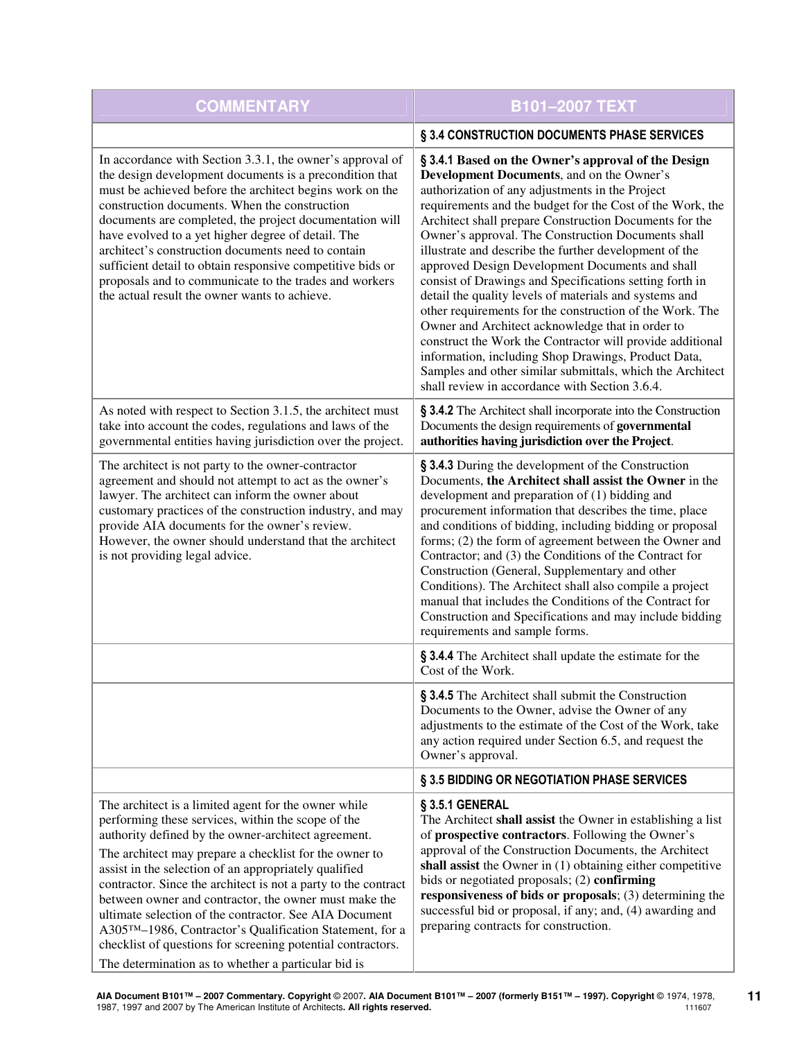| <b>COMMENTARY</b>                                                                                                                                                                                                                                                                                                                                                                                                                                                                                                                                                                                                                                          | B101-2007 TEXT                                                                                                                                                                                                                                                                                                                                                                                                                                                                                                                                                                                                                                                                                                                                                                                                                                                                                                        |
|------------------------------------------------------------------------------------------------------------------------------------------------------------------------------------------------------------------------------------------------------------------------------------------------------------------------------------------------------------------------------------------------------------------------------------------------------------------------------------------------------------------------------------------------------------------------------------------------------------------------------------------------------------|-----------------------------------------------------------------------------------------------------------------------------------------------------------------------------------------------------------------------------------------------------------------------------------------------------------------------------------------------------------------------------------------------------------------------------------------------------------------------------------------------------------------------------------------------------------------------------------------------------------------------------------------------------------------------------------------------------------------------------------------------------------------------------------------------------------------------------------------------------------------------------------------------------------------------|
|                                                                                                                                                                                                                                                                                                                                                                                                                                                                                                                                                                                                                                                            | § 3.4 CONSTRUCTION DOCUMENTS PHASE SERVICES                                                                                                                                                                                                                                                                                                                                                                                                                                                                                                                                                                                                                                                                                                                                                                                                                                                                           |
| In accordance with Section 3.3.1, the owner's approval of<br>the design development documents is a precondition that<br>must be achieved before the architect begins work on the<br>construction documents. When the construction<br>documents are completed, the project documentation will<br>have evolved to a yet higher degree of detail. The<br>architect's construction documents need to contain<br>sufficient detail to obtain responsive competitive bids or<br>proposals and to communicate to the trades and workers<br>the actual result the owner wants to achieve.                                                                          | § 3.4.1 Based on the Owner's approval of the Design<br>Development Documents, and on the Owner's<br>authorization of any adjustments in the Project<br>requirements and the budget for the Cost of the Work, the<br>Architect shall prepare Construction Documents for the<br>Owner's approval. The Construction Documents shall<br>illustrate and describe the further development of the<br>approved Design Development Documents and shall<br>consist of Drawings and Specifications setting forth in<br>detail the quality levels of materials and systems and<br>other requirements for the construction of the Work. The<br>Owner and Architect acknowledge that in order to<br>construct the Work the Contractor will provide additional<br>information, including Shop Drawings, Product Data,<br>Samples and other similar submittals, which the Architect<br>shall review in accordance with Section 3.6.4. |
| As noted with respect to Section 3.1.5, the architect must<br>take into account the codes, regulations and laws of the<br>governmental entities having jurisdiction over the project.                                                                                                                                                                                                                                                                                                                                                                                                                                                                      | § 3.4.2 The Architect shall incorporate into the Construction<br>Documents the design requirements of governmental<br>authorities having jurisdiction over the Project.                                                                                                                                                                                                                                                                                                                                                                                                                                                                                                                                                                                                                                                                                                                                               |
| The architect is not party to the owner-contractor<br>agreement and should not attempt to act as the owner's<br>lawyer. The architect can inform the owner about<br>customary practices of the construction industry, and may<br>provide AIA documents for the owner's review.<br>However, the owner should understand that the architect<br>is not providing legal advice.                                                                                                                                                                                                                                                                                | § 3.4.3 During the development of the Construction<br>Documents, the Architect shall assist the Owner in the<br>development and preparation of (1) bidding and<br>procurement information that describes the time, place<br>and conditions of bidding, including bidding or proposal<br>forms; (2) the form of agreement between the Owner and<br>Contractor; and (3) the Conditions of the Contract for<br>Construction (General, Supplementary and other<br>Conditions). The Architect shall also compile a project<br>manual that includes the Conditions of the Contract for<br>Construction and Specifications and may include bidding<br>requirements and sample forms.                                                                                                                                                                                                                                         |
|                                                                                                                                                                                                                                                                                                                                                                                                                                                                                                                                                                                                                                                            | § 3.4.4 The Architect shall update the estimate for the<br>Cost of the Work.                                                                                                                                                                                                                                                                                                                                                                                                                                                                                                                                                                                                                                                                                                                                                                                                                                          |
|                                                                                                                                                                                                                                                                                                                                                                                                                                                                                                                                                                                                                                                            | § 3.4.5 The Architect shall submit the Construction<br>Documents to the Owner, advise the Owner of any<br>adjustments to the estimate of the Cost of the Work, take<br>any action required under Section 6.5, and request the<br>Owner's approval.                                                                                                                                                                                                                                                                                                                                                                                                                                                                                                                                                                                                                                                                    |
|                                                                                                                                                                                                                                                                                                                                                                                                                                                                                                                                                                                                                                                            | § 3.5 BIDDING OR NEGOTIATION PHASE SERVICES                                                                                                                                                                                                                                                                                                                                                                                                                                                                                                                                                                                                                                                                                                                                                                                                                                                                           |
| The architect is a limited agent for the owner while<br>performing these services, within the scope of the<br>authority defined by the owner-architect agreement.<br>The architect may prepare a checklist for the owner to<br>assist in the selection of an appropriately qualified<br>contractor. Since the architect is not a party to the contract<br>between owner and contractor, the owner must make the<br>ultimate selection of the contractor. See AIA Document<br>A305™-1986, Contractor's Qualification Statement, for a<br>checklist of questions for screening potential contractors.<br>The determination as to whether a particular bid is | § 3.5.1 GENERAL<br>The Architect shall assist the Owner in establishing a list<br>of prospective contractors. Following the Owner's<br>approval of the Construction Documents, the Architect<br>shall assist the Owner in (1) obtaining either competitive<br>bids or negotiated proposals; (2) confirming<br>responsiveness of bids or proposals; (3) determining the<br>successful bid or proposal, if any; and, (4) awarding and<br>preparing contracts for construction.                                                                                                                                                                                                                                                                                                                                                                                                                                          |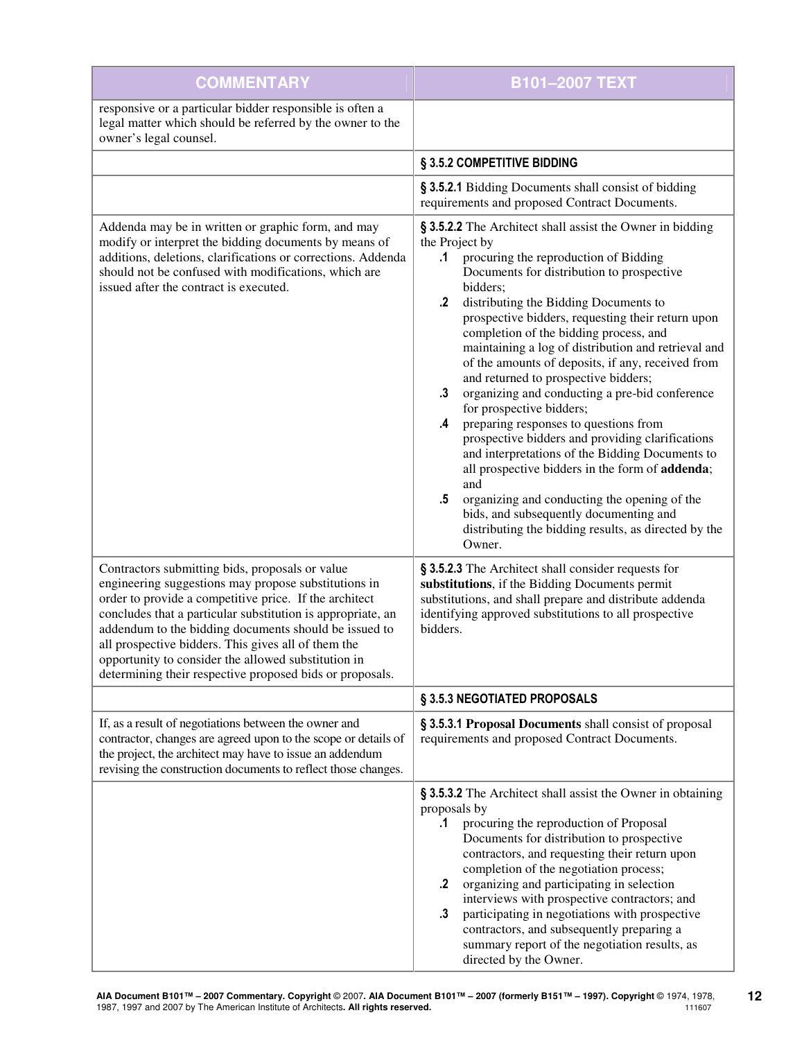| <b>COMMENTARY</b>                                                                                                                                                                                                                                                                                                                                                                                                                                                   | <b>B101-2007 TEXT</b>                                                                                                                                                                                                                                                                                                                                                                                                                                                                                                                                                                                                                                                                                                                                                                                                                                                                                                                                                   |
|---------------------------------------------------------------------------------------------------------------------------------------------------------------------------------------------------------------------------------------------------------------------------------------------------------------------------------------------------------------------------------------------------------------------------------------------------------------------|-------------------------------------------------------------------------------------------------------------------------------------------------------------------------------------------------------------------------------------------------------------------------------------------------------------------------------------------------------------------------------------------------------------------------------------------------------------------------------------------------------------------------------------------------------------------------------------------------------------------------------------------------------------------------------------------------------------------------------------------------------------------------------------------------------------------------------------------------------------------------------------------------------------------------------------------------------------------------|
| responsive or a particular bidder responsible is often a<br>legal matter which should be referred by the owner to the<br>owner's legal counsel.                                                                                                                                                                                                                                                                                                                     |                                                                                                                                                                                                                                                                                                                                                                                                                                                                                                                                                                                                                                                                                                                                                                                                                                                                                                                                                                         |
|                                                                                                                                                                                                                                                                                                                                                                                                                                                                     | § 3.5.2 COMPETITIVE BIDDING                                                                                                                                                                                                                                                                                                                                                                                                                                                                                                                                                                                                                                                                                                                                                                                                                                                                                                                                             |
|                                                                                                                                                                                                                                                                                                                                                                                                                                                                     | § 3.5.2.1 Bidding Documents shall consist of bidding<br>requirements and proposed Contract Documents.                                                                                                                                                                                                                                                                                                                                                                                                                                                                                                                                                                                                                                                                                                                                                                                                                                                                   |
| Addenda may be in written or graphic form, and may<br>modify or interpret the bidding documents by means of<br>additions, deletions, clarifications or corrections. Addenda<br>should not be confused with modifications, which are<br>issued after the contract is executed.                                                                                                                                                                                       | § 3.5.2.2 The Architect shall assist the Owner in bidding<br>the Project by<br>procuring the reproduction of Bidding<br>.1<br>Documents for distribution to prospective<br>bidders;<br>$\cdot$<br>distributing the Bidding Documents to<br>prospective bidders, requesting their return upon<br>completion of the bidding process, and<br>maintaining a log of distribution and retrieval and<br>of the amounts of deposits, if any, received from<br>and returned to prospective bidders;<br>organizing and conducting a pre-bid conference<br>$\cdot$ 3<br>for prospective bidders;<br>preparing responses to questions from<br>.4<br>prospective bidders and providing clarifications<br>and interpretations of the Bidding Documents to<br>all prospective bidders in the form of addenda;<br>and<br>.5<br>organizing and conducting the opening of the<br>bids, and subsequently documenting and<br>distributing the bidding results, as directed by the<br>Owner. |
| Contractors submitting bids, proposals or value<br>engineering suggestions may propose substitutions in<br>order to provide a competitive price. If the architect<br>concludes that a particular substitution is appropriate, an<br>addendum to the bidding documents should be issued to<br>all prospective bidders. This gives all of them the<br>opportunity to consider the allowed substitution in<br>determining their respective proposed bids or proposals. | § 3.5.2.3 The Architect shall consider requests for<br>substitutions, if the Bidding Documents permit<br>substitutions, and shall prepare and distribute addenda<br>identifying approved substitutions to all prospective<br>bidders.                                                                                                                                                                                                                                                                                                                                                                                                                                                                                                                                                                                                                                                                                                                                   |
|                                                                                                                                                                                                                                                                                                                                                                                                                                                                     | § 3.5.3 NEGOTIATED PROPOSALS                                                                                                                                                                                                                                                                                                                                                                                                                                                                                                                                                                                                                                                                                                                                                                                                                                                                                                                                            |
| If, as a result of negotiations between the owner and<br>contractor, changes are agreed upon to the scope or details of<br>the project, the architect may have to issue an addendum<br>revising the construction documents to reflect those changes.                                                                                                                                                                                                                | § 3.5.3.1 Proposal Documents shall consist of proposal<br>requirements and proposed Contract Documents.                                                                                                                                                                                                                                                                                                                                                                                                                                                                                                                                                                                                                                                                                                                                                                                                                                                                 |
|                                                                                                                                                                                                                                                                                                                                                                                                                                                                     | § 3.5.3.2 The Architect shall assist the Owner in obtaining<br>proposals by<br>procuring the reproduction of Proposal<br>.1<br>Documents for distribution to prospective<br>contractors, and requesting their return upon<br>completion of the negotiation process;<br>$\cdot$<br>organizing and participating in selection<br>interviews with prospective contractors; and<br>participating in negotiations with prospective<br>$\cdot$ 3<br>contractors, and subsequently preparing a<br>summary report of the negotiation results, as<br>directed by the Owner.                                                                                                                                                                                                                                                                                                                                                                                                      |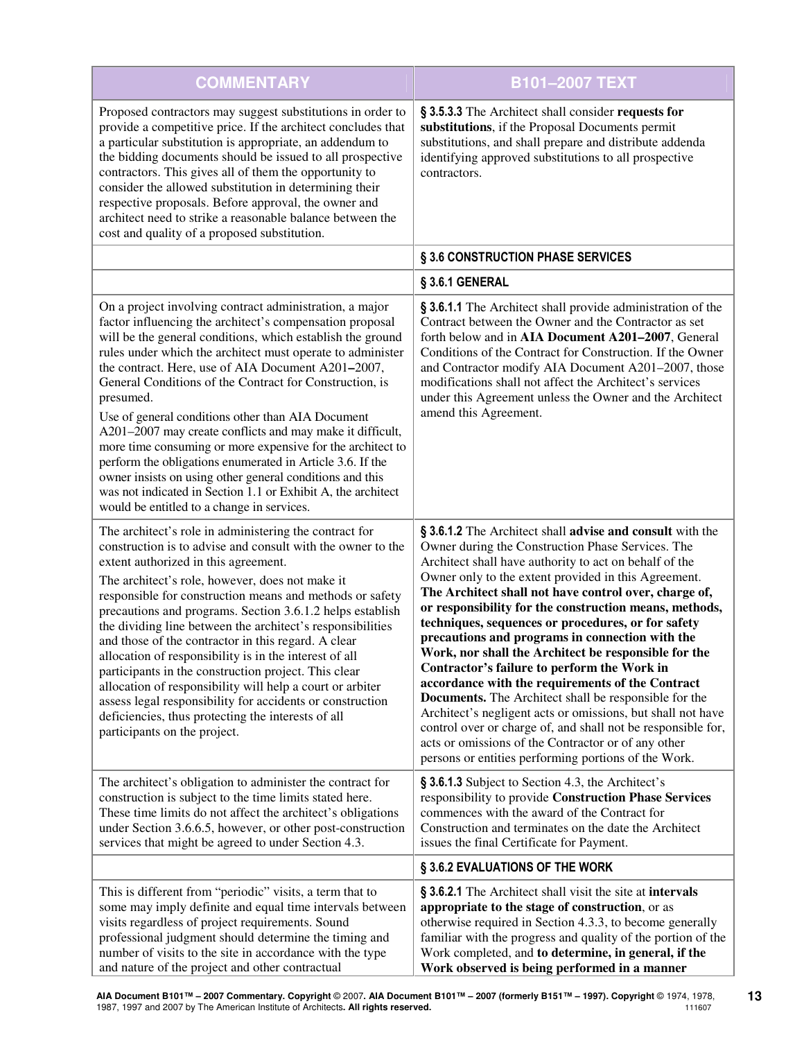| <b>COMMENTARY</b>                                                                                                                                                                                                                                                                                                                                                                                                                                                                                                                                                                                                                                                                                                                                                                                    | <b>B101-2007 TEXT</b>                                                                                                                                                                                                                                                                                                                                                                                                                                                                                                                                                                                                                                                                                                                                                                                                                                                                                                                 |
|------------------------------------------------------------------------------------------------------------------------------------------------------------------------------------------------------------------------------------------------------------------------------------------------------------------------------------------------------------------------------------------------------------------------------------------------------------------------------------------------------------------------------------------------------------------------------------------------------------------------------------------------------------------------------------------------------------------------------------------------------------------------------------------------------|---------------------------------------------------------------------------------------------------------------------------------------------------------------------------------------------------------------------------------------------------------------------------------------------------------------------------------------------------------------------------------------------------------------------------------------------------------------------------------------------------------------------------------------------------------------------------------------------------------------------------------------------------------------------------------------------------------------------------------------------------------------------------------------------------------------------------------------------------------------------------------------------------------------------------------------|
| Proposed contractors may suggest substitutions in order to<br>provide a competitive price. If the architect concludes that<br>a particular substitution is appropriate, an addendum to<br>the bidding documents should be issued to all prospective<br>contractors. This gives all of them the opportunity to<br>consider the allowed substitution in determining their<br>respective proposals. Before approval, the owner and<br>architect need to strike a reasonable balance between the<br>cost and quality of a proposed substitution.                                                                                                                                                                                                                                                         | § 3.5.3.3 The Architect shall consider requests for<br>substitutions, if the Proposal Documents permit<br>substitutions, and shall prepare and distribute addenda<br>identifying approved substitutions to all prospective<br>contractors.                                                                                                                                                                                                                                                                                                                                                                                                                                                                                                                                                                                                                                                                                            |
|                                                                                                                                                                                                                                                                                                                                                                                                                                                                                                                                                                                                                                                                                                                                                                                                      | § 3.6 CONSTRUCTION PHASE SERVICES                                                                                                                                                                                                                                                                                                                                                                                                                                                                                                                                                                                                                                                                                                                                                                                                                                                                                                     |
|                                                                                                                                                                                                                                                                                                                                                                                                                                                                                                                                                                                                                                                                                                                                                                                                      | § 3.6.1 GENERAL                                                                                                                                                                                                                                                                                                                                                                                                                                                                                                                                                                                                                                                                                                                                                                                                                                                                                                                       |
| On a project involving contract administration, a major<br>factor influencing the architect's compensation proposal<br>will be the general conditions, which establish the ground<br>rules under which the architect must operate to administer<br>the contract. Here, use of AIA Document A201-2007,<br>General Conditions of the Contract for Construction, is<br>presumed.<br>Use of general conditions other than AIA Document<br>A201-2007 may create conflicts and may make it difficult,<br>more time consuming or more expensive for the architect to<br>perform the obligations enumerated in Article 3.6. If the<br>owner insists on using other general conditions and this<br>was not indicated in Section 1.1 or Exhibit A, the architect<br>would be entitled to a change in services. | § 3.6.1.1 The Architect shall provide administration of the<br>Contract between the Owner and the Contractor as set<br>forth below and in AIA Document A201-2007, General<br>Conditions of the Contract for Construction. If the Owner<br>and Contractor modify AIA Document A201-2007, those<br>modifications shall not affect the Architect's services<br>under this Agreement unless the Owner and the Architect<br>amend this Agreement.                                                                                                                                                                                                                                                                                                                                                                                                                                                                                          |
| The architect's role in administering the contract for<br>construction is to advise and consult with the owner to the<br>extent authorized in this agreement.<br>The architect's role, however, does not make it<br>responsible for construction means and methods or safety<br>precautions and programs. Section 3.6.1.2 helps establish<br>the dividing line between the architect's responsibilities<br>and those of the contractor in this regard. A clear<br>allocation of responsibility is in the interest of all<br>participants in the construction project. This clear<br>allocation of responsibility will help a court or arbiter<br>assess legal responsibility for accidents or construction<br>deficiencies, thus protecting the interests of all<br>participants on the project.     | § 3.6.1.2 The Architect shall advise and consult with the<br>Owner during the Construction Phase Services. The<br>Architect shall have authority to act on behalf of the<br>Owner only to the extent provided in this Agreement.<br>The Architect shall not have control over, charge of,<br>or responsibility for the construction means, methods,<br>techniques, sequences or procedures, or for safety<br>precautions and programs in connection with the<br>Work, nor shall the Architect be responsible for the<br>Contractor's failure to perform the Work in<br>accordance with the requirements of the Contract<br><b>Documents.</b> The Architect shall be responsible for the<br>Architect's negligent acts or omissions, but shall not have<br>control over or charge of, and shall not be responsible for,<br>acts or omissions of the Contractor or of any other<br>persons or entities performing portions of the Work. |
| The architect's obligation to administer the contract for<br>construction is subject to the time limits stated here.<br>These time limits do not affect the architect's obligations<br>under Section 3.6.6.5, however, or other post-construction<br>services that might be agreed to under Section 4.3.                                                                                                                                                                                                                                                                                                                                                                                                                                                                                             | § 3.6.1.3 Subject to Section 4.3, the Architect's<br>responsibility to provide Construction Phase Services<br>commences with the award of the Contract for<br>Construction and terminates on the date the Architect<br>issues the final Certificate for Payment.                                                                                                                                                                                                                                                                                                                                                                                                                                                                                                                                                                                                                                                                      |
|                                                                                                                                                                                                                                                                                                                                                                                                                                                                                                                                                                                                                                                                                                                                                                                                      | § 3.6.2 EVALUATIONS OF THE WORK                                                                                                                                                                                                                                                                                                                                                                                                                                                                                                                                                                                                                                                                                                                                                                                                                                                                                                       |
| This is different from "periodic" visits, a term that to<br>some may imply definite and equal time intervals between<br>visits regardless of project requirements. Sound<br>professional judgment should determine the timing and<br>number of visits to the site in accordance with the type<br>and nature of the project and other contractual                                                                                                                                                                                                                                                                                                                                                                                                                                                     | § 3.6.2.1 The Architect shall visit the site at intervals<br>appropriate to the stage of construction, or as<br>otherwise required in Section 4.3.3, to become generally<br>familiar with the progress and quality of the portion of the<br>Work completed, and to determine, in general, if the<br>Work observed is being performed in a manner                                                                                                                                                                                                                                                                                                                                                                                                                                                                                                                                                                                      |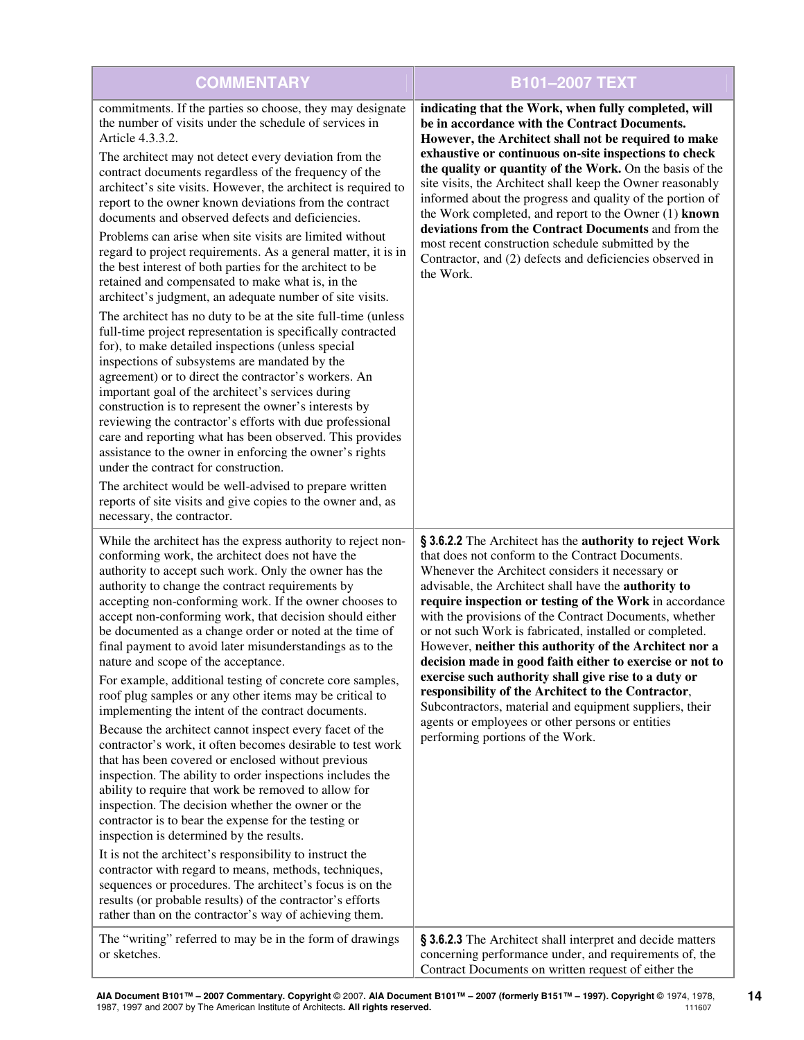| <b>COMMENTARY</b>                                                                                                                                                                                                                                                                                                                                                                                                                                                                                                                                                                                                                                                                                                                                                                                                                                                                                                                                                                                                                                                                                                                                                                                                                                                                                                                                                                                                                                                                                                                                 | <b>B101-2007 TEXT</b>                                                                                                                                                                                                                                                                                                                                                                                                                                                                                                                                                                                                                                                                                                                                                                           |
|---------------------------------------------------------------------------------------------------------------------------------------------------------------------------------------------------------------------------------------------------------------------------------------------------------------------------------------------------------------------------------------------------------------------------------------------------------------------------------------------------------------------------------------------------------------------------------------------------------------------------------------------------------------------------------------------------------------------------------------------------------------------------------------------------------------------------------------------------------------------------------------------------------------------------------------------------------------------------------------------------------------------------------------------------------------------------------------------------------------------------------------------------------------------------------------------------------------------------------------------------------------------------------------------------------------------------------------------------------------------------------------------------------------------------------------------------------------------------------------------------------------------------------------------------|-------------------------------------------------------------------------------------------------------------------------------------------------------------------------------------------------------------------------------------------------------------------------------------------------------------------------------------------------------------------------------------------------------------------------------------------------------------------------------------------------------------------------------------------------------------------------------------------------------------------------------------------------------------------------------------------------------------------------------------------------------------------------------------------------|
| commitments. If the parties so choose, they may designate<br>the number of visits under the schedule of services in<br>Article 4.3.3.2.<br>The architect may not detect every deviation from the<br>contract documents regardless of the frequency of the<br>architect's site visits. However, the architect is required to<br>report to the owner known deviations from the contract<br>documents and observed defects and deficiencies.<br>Problems can arise when site visits are limited without<br>regard to project requirements. As a general matter, it is in<br>the best interest of both parties for the architect to be<br>retained and compensated to make what is, in the<br>architect's judgment, an adequate number of site visits.<br>The architect has no duty to be at the site full-time (unless<br>full-time project representation is specifically contracted<br>for), to make detailed inspections (unless special<br>inspections of subsystems are mandated by the<br>agreement) or to direct the contractor's workers. An<br>important goal of the architect's services during<br>construction is to represent the owner's interests by<br>reviewing the contractor's efforts with due professional<br>care and reporting what has been observed. This provides<br>assistance to the owner in enforcing the owner's rights<br>under the contract for construction.<br>The architect would be well-advised to prepare written<br>reports of site visits and give copies to the owner and, as<br>necessary, the contractor. | indicating that the Work, when fully completed, will<br>be in accordance with the Contract Documents.<br>However, the Architect shall not be required to make<br>exhaustive or continuous on-site inspections to check<br>the quality or quantity of the Work. On the basis of the<br>site visits, the Architect shall keep the Owner reasonably<br>informed about the progress and quality of the portion of<br>the Work completed, and report to the Owner (1) known<br>deviations from the Contract Documents and from the<br>most recent construction schedule submitted by the<br>Contractor, and (2) defects and deficiencies observed in<br>the Work.                                                                                                                                    |
| While the architect has the express authority to reject non-<br>conforming work, the architect does not have the<br>authority to accept such work. Only the owner has the<br>authority to change the contract requirements by<br>accepting non-conforming work. If the owner chooses to<br>accept non-conforming work, that decision should either<br>be documented as a change order or noted at the time of<br>final payment to avoid later misunderstandings as to the<br>nature and scope of the acceptance.<br>For example, additional testing of concrete core samples,<br>roof plug samples or any other items may be critical to<br>implementing the intent of the contract documents.<br>Because the architect cannot inspect every facet of the<br>contractor's work, it often becomes desirable to test work<br>that has been covered or enclosed without previous<br>inspection. The ability to order inspections includes the<br>ability to require that work be removed to allow for<br>inspection. The decision whether the owner or the<br>contractor is to bear the expense for the testing or<br>inspection is determined by the results.<br>It is not the architect's responsibility to instruct the<br>contractor with regard to means, methods, techniques,<br>sequences or procedures. The architect's focus is on the<br>results (or probable results) of the contractor's efforts<br>rather than on the contractor's way of achieving them.                                                                               | § 3.6.2.2 The Architect has the authority to reject Work<br>that does not conform to the Contract Documents.<br>Whenever the Architect considers it necessary or<br>advisable, the Architect shall have the authority to<br>require inspection or testing of the Work in accordance<br>with the provisions of the Contract Documents, whether<br>or not such Work is fabricated, installed or completed.<br>However, neither this authority of the Architect nor a<br>decision made in good faith either to exercise or not to<br>exercise such authority shall give rise to a duty or<br>responsibility of the Architect to the Contractor,<br>Subcontractors, material and equipment suppliers, their<br>agents or employees or other persons or entities<br>performing portions of the Work. |
| The "writing" referred to may be in the form of drawings<br>or sketches.                                                                                                                                                                                                                                                                                                                                                                                                                                                                                                                                                                                                                                                                                                                                                                                                                                                                                                                                                                                                                                                                                                                                                                                                                                                                                                                                                                                                                                                                          | § 3.6.2.3 The Architect shall interpret and decide matters<br>concerning performance under, and requirements of, the<br>Contract Documents on written request of either the                                                                                                                                                                                                                                                                                                                                                                                                                                                                                                                                                                                                                     |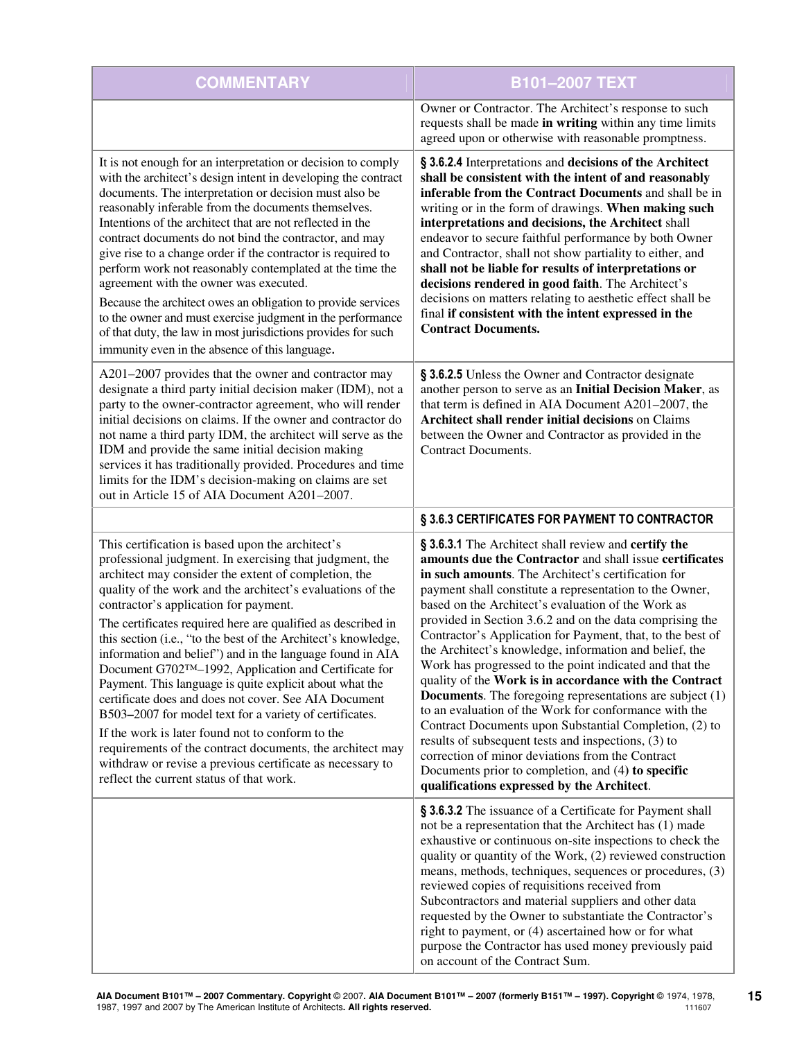| <b>COMMENTARY</b>                                                                                                                                                                                                                                                                                                                                                                                                                                                                                                                                                                                                                                                                                                                                                                                                                                                                                                                           | <b>B101-2007 TEXT</b>                                                                                                                                                                                                                                                                                                                                                                                                                                                                                                                                                                                                                                                                                                                                                                                                                                                                                                                                                                                 |
|---------------------------------------------------------------------------------------------------------------------------------------------------------------------------------------------------------------------------------------------------------------------------------------------------------------------------------------------------------------------------------------------------------------------------------------------------------------------------------------------------------------------------------------------------------------------------------------------------------------------------------------------------------------------------------------------------------------------------------------------------------------------------------------------------------------------------------------------------------------------------------------------------------------------------------------------|-------------------------------------------------------------------------------------------------------------------------------------------------------------------------------------------------------------------------------------------------------------------------------------------------------------------------------------------------------------------------------------------------------------------------------------------------------------------------------------------------------------------------------------------------------------------------------------------------------------------------------------------------------------------------------------------------------------------------------------------------------------------------------------------------------------------------------------------------------------------------------------------------------------------------------------------------------------------------------------------------------|
|                                                                                                                                                                                                                                                                                                                                                                                                                                                                                                                                                                                                                                                                                                                                                                                                                                                                                                                                             | Owner or Contractor. The Architect's response to such<br>requests shall be made in writing within any time limits<br>agreed upon or otherwise with reasonable promptness.                                                                                                                                                                                                                                                                                                                                                                                                                                                                                                                                                                                                                                                                                                                                                                                                                             |
| It is not enough for an interpretation or decision to comply<br>with the architect's design intent in developing the contract<br>documents. The interpretation or decision must also be<br>reasonably inferable from the documents themselves.<br>Intentions of the architect that are not reflected in the<br>contract documents do not bind the contractor, and may<br>give rise to a change order if the contractor is required to<br>perform work not reasonably contemplated at the time the<br>agreement with the owner was executed.<br>Because the architect owes an obligation to provide services<br>to the owner and must exercise judgment in the performance<br>of that duty, the law in most jurisdictions provides for such<br>immunity even in the absence of this language.                                                                                                                                                | § 3.6.2.4 Interpretations and decisions of the Architect<br>shall be consistent with the intent of and reasonably<br>inferable from the Contract Documents and shall be in<br>writing or in the form of drawings. When making such<br>interpretations and decisions, the Architect shall<br>endeavor to secure faithful performance by both Owner<br>and Contractor, shall not show partiality to either, and<br>shall not be liable for results of interpretations or<br>decisions rendered in good faith. The Architect's<br>decisions on matters relating to aesthetic effect shall be<br>final if consistent with the intent expressed in the<br><b>Contract Documents.</b>                                                                                                                                                                                                                                                                                                                       |
| A201-2007 provides that the owner and contractor may<br>designate a third party initial decision maker (IDM), not a<br>party to the owner-contractor agreement, who will render<br>initial decisions on claims. If the owner and contractor do<br>not name a third party IDM, the architect will serve as the<br>IDM and provide the same initial decision making<br>services it has traditionally provided. Procedures and time<br>limits for the IDM's decision-making on claims are set<br>out in Article 15 of AIA Document A201-2007.                                                                                                                                                                                                                                                                                                                                                                                                  | § 3.6.2.5 Unless the Owner and Contractor designate<br>another person to serve as an Initial Decision Maker, as<br>that term is defined in AIA Document A201-2007, the<br>Architect shall render initial decisions on Claims<br>between the Owner and Contractor as provided in the<br><b>Contract Documents.</b>                                                                                                                                                                                                                                                                                                                                                                                                                                                                                                                                                                                                                                                                                     |
|                                                                                                                                                                                                                                                                                                                                                                                                                                                                                                                                                                                                                                                                                                                                                                                                                                                                                                                                             | § 3.6.3 CERTIFICATES FOR PAYMENT TO CONTRACTOR                                                                                                                                                                                                                                                                                                                                                                                                                                                                                                                                                                                                                                                                                                                                                                                                                                                                                                                                                        |
| This certification is based upon the architect's<br>professional judgment. In exercising that judgment, the<br>architect may consider the extent of completion, the<br>quality of the work and the architect's evaluations of the<br>contractor's application for payment.<br>The certificates required here are qualified as described in<br>this section (i.e., "to the best of the Architect's knowledge,<br>information and belief") and in the language found in AIA<br>Document G702TM-1992, Application and Certificate for<br>Payment. This language is quite explicit about what the<br>certificate does and does not cover. See AIA Document<br>B503-2007 for model text for a variety of certificates.<br>If the work is later found not to conform to the<br>requirements of the contract documents, the architect may<br>withdraw or revise a previous certificate as necessary to<br>reflect the current status of that work. | § 3.6.3.1 The Architect shall review and certify the<br>amounts due the Contractor and shall issue certificates<br>in such amounts. The Architect's certification for<br>payment shall constitute a representation to the Owner,<br>based on the Architect's evaluation of the Work as<br>provided in Section 3.6.2 and on the data comprising the<br>Contractor's Application for Payment, that, to the best of<br>the Architect's knowledge, information and belief, the<br>Work has progressed to the point indicated and that the<br>quality of the Work is in accordance with the Contract<br><b>Documents</b> . The foregoing representations are subject (1)<br>to an evaluation of the Work for conformance with the<br>Contract Documents upon Substantial Completion, (2) to<br>results of subsequent tests and inspections, (3) to<br>correction of minor deviations from the Contract<br>Documents prior to completion, and (4) to specific<br>qualifications expressed by the Architect. |
|                                                                                                                                                                                                                                                                                                                                                                                                                                                                                                                                                                                                                                                                                                                                                                                                                                                                                                                                             | § 3.6.3.2 The issuance of a Certificate for Payment shall<br>not be a representation that the Architect has (1) made<br>exhaustive or continuous on-site inspections to check the<br>quality or quantity of the Work, (2) reviewed construction<br>means, methods, techniques, sequences or procedures, (3)<br>reviewed copies of requisitions received from<br>Subcontractors and material suppliers and other data<br>requested by the Owner to substantiate the Contractor's<br>right to payment, or (4) ascertained how or for what<br>purpose the Contractor has used money previously paid<br>on account of the Contract Sum.                                                                                                                                                                                                                                                                                                                                                                   |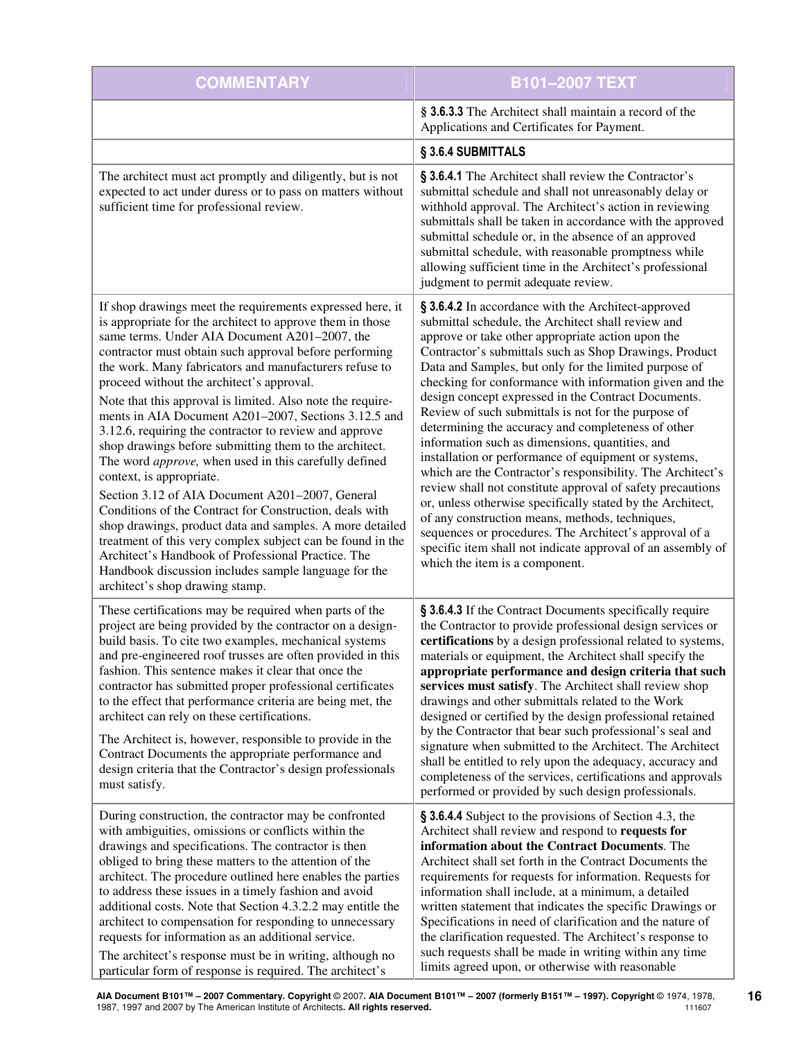| <b>COMMENTARY</b>                                                                                                                                                                                                                                                                                                                                                                                                                                                                                                                                                                                                                                                                                                                                                                                                                                                                                                                                                                                                                                                        | B101-2007 TEXT                                                                                                                                                                                                                                                                                                                                                                                                                                                                                                                                                                                                                                                                                                                                                                                                                                                                                                                                                                                                                      |
|--------------------------------------------------------------------------------------------------------------------------------------------------------------------------------------------------------------------------------------------------------------------------------------------------------------------------------------------------------------------------------------------------------------------------------------------------------------------------------------------------------------------------------------------------------------------------------------------------------------------------------------------------------------------------------------------------------------------------------------------------------------------------------------------------------------------------------------------------------------------------------------------------------------------------------------------------------------------------------------------------------------------------------------------------------------------------|-------------------------------------------------------------------------------------------------------------------------------------------------------------------------------------------------------------------------------------------------------------------------------------------------------------------------------------------------------------------------------------------------------------------------------------------------------------------------------------------------------------------------------------------------------------------------------------------------------------------------------------------------------------------------------------------------------------------------------------------------------------------------------------------------------------------------------------------------------------------------------------------------------------------------------------------------------------------------------------------------------------------------------------|
|                                                                                                                                                                                                                                                                                                                                                                                                                                                                                                                                                                                                                                                                                                                                                                                                                                                                                                                                                                                                                                                                          | § 3.6.3.3 The Architect shall maintain a record of the<br>Applications and Certificates for Payment.                                                                                                                                                                                                                                                                                                                                                                                                                                                                                                                                                                                                                                                                                                                                                                                                                                                                                                                                |
|                                                                                                                                                                                                                                                                                                                                                                                                                                                                                                                                                                                                                                                                                                                                                                                                                                                                                                                                                                                                                                                                          | § 3.6.4 SUBMITTALS                                                                                                                                                                                                                                                                                                                                                                                                                                                                                                                                                                                                                                                                                                                                                                                                                                                                                                                                                                                                                  |
| The architect must act promptly and diligently, but is not<br>expected to act under duress or to pass on matters without<br>sufficient time for professional review.                                                                                                                                                                                                                                                                                                                                                                                                                                                                                                                                                                                                                                                                                                                                                                                                                                                                                                     | § 3.6.4.1 The Architect shall review the Contractor's<br>submittal schedule and shall not unreasonably delay or<br>withhold approval. The Architect's action in reviewing<br>submittals shall be taken in accordance with the approved<br>submittal schedule or, in the absence of an approved<br>submittal schedule, with reasonable promptness while<br>allowing sufficient time in the Architect's professional<br>judgment to permit adequate review.                                                                                                                                                                                                                                                                                                                                                                                                                                                                                                                                                                           |
| If shop drawings meet the requirements expressed here, it<br>is appropriate for the architect to approve them in those<br>same terms. Under AIA Document A201-2007, the<br>contractor must obtain such approval before performing<br>the work. Many fabricators and manufacturers refuse to<br>proceed without the architect's approval.<br>Note that this approval is limited. Also note the require-<br>ments in AIA Document A201-2007, Sections 3.12.5 and<br>3.12.6, requiring the contractor to review and approve<br>shop drawings before submitting them to the architect.<br>The word <i>approve</i> , when used in this carefully defined<br>context, is appropriate.<br>Section 3.12 of AIA Document A201-2007, General<br>Conditions of the Contract for Construction, deals with<br>shop drawings, product data and samples. A more detailed<br>treatment of this very complex subject can be found in the<br>Architect's Handbook of Professional Practice. The<br>Handbook discussion includes sample language for the<br>architect's shop drawing stamp. | § 3.6.4.2 In accordance with the Architect-approved<br>submittal schedule, the Architect shall review and<br>approve or take other appropriate action upon the<br>Contractor's submittals such as Shop Drawings, Product<br>Data and Samples, but only for the limited purpose of<br>checking for conformance with information given and the<br>design concept expressed in the Contract Documents.<br>Review of such submittals is not for the purpose of<br>determining the accuracy and completeness of other<br>information such as dimensions, quantities, and<br>installation or performance of equipment or systems,<br>which are the Contractor's responsibility. The Architect's<br>review shall not constitute approval of safety precautions<br>or, unless otherwise specifically stated by the Architect,<br>of any construction means, methods, techniques,<br>sequences or procedures. The Architect's approval of a<br>specific item shall not indicate approval of an assembly of<br>which the item is a component. |
| These certifications may be required when parts of the<br>project are being provided by the contractor on a design-<br>build basis. To cite two examples, mechanical systems<br>and pre-engineered roof trusses are often provided in this<br>fashion. This sentence makes it clear that once the<br>contractor has submitted proper professional certificates<br>to the effect that performance criteria are being met, the<br>architect can rely on these certifications.<br>The Architect is, however, responsible to provide in the<br>Contract Documents the appropriate performance and<br>design criteria that the Contractor's design professionals<br>must satisfy.                                                                                                                                                                                                                                                                                                                                                                                             | § 3.6.4.3 If the Contract Documents specifically require<br>the Contractor to provide professional design services or<br>certifications by a design professional related to systems,<br>materials or equipment, the Architect shall specify the<br>appropriate performance and design criteria that such<br>services must satisfy. The Architect shall review shop<br>drawings and other submittals related to the Work<br>designed or certified by the design professional retained<br>by the Contractor that bear such professional's seal and<br>signature when submitted to the Architect. The Architect<br>shall be entitled to rely upon the adequacy, accuracy and<br>completeness of the services, certifications and approvals<br>performed or provided by such design professionals.                                                                                                                                                                                                                                      |
| During construction, the contractor may be confronted<br>with ambiguities, omissions or conflicts within the<br>drawings and specifications. The contractor is then<br>obliged to bring these matters to the attention of the<br>architect. The procedure outlined here enables the parties<br>to address these issues in a timely fashion and avoid<br>additional costs. Note that Section 4.3.2.2 may entitle the<br>architect to compensation for responding to unnecessary<br>requests for information as an additional service.<br>The architect's response must be in writing, although no<br>particular form of response is required. The architect's                                                                                                                                                                                                                                                                                                                                                                                                             | § 3.6.4.4 Subject to the provisions of Section 4.3, the<br>Architect shall review and respond to requests for<br>information about the Contract Documents. The<br>Architect shall set forth in the Contract Documents the<br>requirements for requests for information. Requests for<br>information shall include, at a minimum, a detailed<br>written statement that indicates the specific Drawings or<br>Specifications in need of clarification and the nature of<br>the clarification requested. The Architect's response to<br>such requests shall be made in writing within any time<br>limits agreed upon, or otherwise with reasonable                                                                                                                                                                                                                                                                                                                                                                                     |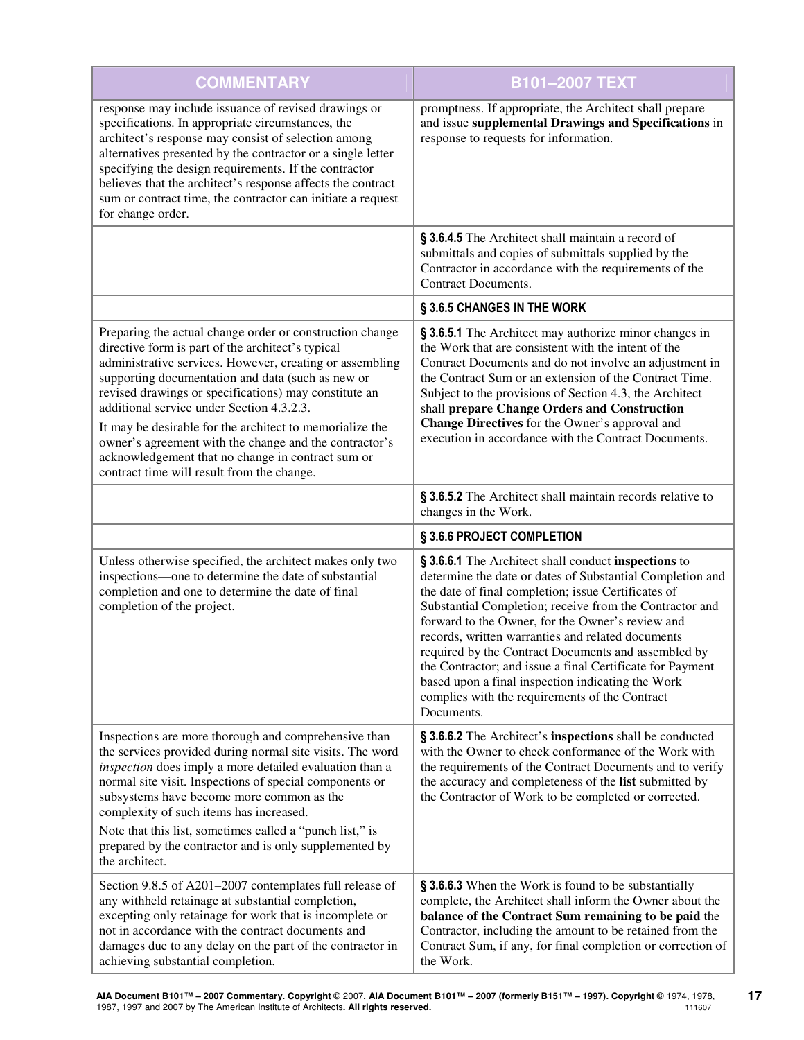| <b>COMMENTARY</b>                                                                                                                                                                                                                                                                                                                                                                                                                                                                                                                                             | B101-2007 TEXT                                                                                                                                                                                                                                                                                                                                                                                                                                                                                                                                                                        |
|---------------------------------------------------------------------------------------------------------------------------------------------------------------------------------------------------------------------------------------------------------------------------------------------------------------------------------------------------------------------------------------------------------------------------------------------------------------------------------------------------------------------------------------------------------------|---------------------------------------------------------------------------------------------------------------------------------------------------------------------------------------------------------------------------------------------------------------------------------------------------------------------------------------------------------------------------------------------------------------------------------------------------------------------------------------------------------------------------------------------------------------------------------------|
| response may include issuance of revised drawings or<br>specifications. In appropriate circumstances, the<br>architect's response may consist of selection among<br>alternatives presented by the contractor or a single letter<br>specifying the design requirements. If the contractor<br>believes that the architect's response affects the contract<br>sum or contract time, the contractor can initiate a request<br>for change order.                                                                                                                   | promptness. If appropriate, the Architect shall prepare<br>and issue supplemental Drawings and Specifications in<br>response to requests for information.                                                                                                                                                                                                                                                                                                                                                                                                                             |
|                                                                                                                                                                                                                                                                                                                                                                                                                                                                                                                                                               | § 3.6.4.5 The Architect shall maintain a record of<br>submittals and copies of submittals supplied by the<br>Contractor in accordance with the requirements of the<br>Contract Documents.                                                                                                                                                                                                                                                                                                                                                                                             |
|                                                                                                                                                                                                                                                                                                                                                                                                                                                                                                                                                               | § 3.6.5 CHANGES IN THE WORK                                                                                                                                                                                                                                                                                                                                                                                                                                                                                                                                                           |
| Preparing the actual change order or construction change<br>directive form is part of the architect's typical<br>administrative services. However, creating or assembling<br>supporting documentation and data (such as new or<br>revised drawings or specifications) may constitute an<br>additional service under Section 4.3.2.3.<br>It may be desirable for the architect to memorialize the<br>owner's agreement with the change and the contractor's<br>acknowledgement that no change in contract sum or<br>contract time will result from the change. | § 3.6.5.1 The Architect may authorize minor changes in<br>the Work that are consistent with the intent of the<br>Contract Documents and do not involve an adjustment in<br>the Contract Sum or an extension of the Contract Time.<br>Subject to the provisions of Section 4.3, the Architect<br>shall prepare Change Orders and Construction<br>Change Directives for the Owner's approval and<br>execution in accordance with the Contract Documents.                                                                                                                                |
|                                                                                                                                                                                                                                                                                                                                                                                                                                                                                                                                                               | § 3.6.5.2 The Architect shall maintain records relative to<br>changes in the Work.                                                                                                                                                                                                                                                                                                                                                                                                                                                                                                    |
|                                                                                                                                                                                                                                                                                                                                                                                                                                                                                                                                                               | § 3.6.6 PROJECT COMPLETION                                                                                                                                                                                                                                                                                                                                                                                                                                                                                                                                                            |
| Unless otherwise specified, the architect makes only two<br>inspections—one to determine the date of substantial<br>completion and one to determine the date of final<br>completion of the project.                                                                                                                                                                                                                                                                                                                                                           | § 3.6.6.1 The Architect shall conduct inspections to<br>determine the date or dates of Substantial Completion and<br>the date of final completion; issue Certificates of<br>Substantial Completion; receive from the Contractor and<br>forward to the Owner, for the Owner's review and<br>records, written warranties and related documents<br>required by the Contract Documents and assembled by<br>the Contractor; and issue a final Certificate for Payment<br>based upon a final inspection indicating the Work<br>complies with the requirements of the Contract<br>Documents. |
| Inspections are more thorough and comprehensive than<br>the services provided during normal site visits. The word<br>inspection does imply a more detailed evaluation than a<br>normal site visit. Inspections of special components or<br>subsystems have become more common as the<br>complexity of such items has increased.<br>Note that this list, sometimes called a "punch list," is<br>prepared by the contractor and is only supplemented by<br>the architect.                                                                                       | § 3.6.6.2 The Architect's inspections shall be conducted<br>with the Owner to check conformance of the Work with<br>the requirements of the Contract Documents and to verify<br>the accuracy and completeness of the list submitted by<br>the Contractor of Work to be completed or corrected.                                                                                                                                                                                                                                                                                        |
| Section 9.8.5 of A201-2007 contemplates full release of<br>any withheld retainage at substantial completion,<br>excepting only retainage for work that is incomplete or<br>not in accordance with the contract documents and<br>damages due to any delay on the part of the contractor in<br>achieving substantial completion.                                                                                                                                                                                                                                | § 3.6.6.3 When the Work is found to be substantially<br>complete, the Architect shall inform the Owner about the<br>balance of the Contract Sum remaining to be paid the<br>Contractor, including the amount to be retained from the<br>Contract Sum, if any, for final completion or correction of<br>the Work.                                                                                                                                                                                                                                                                      |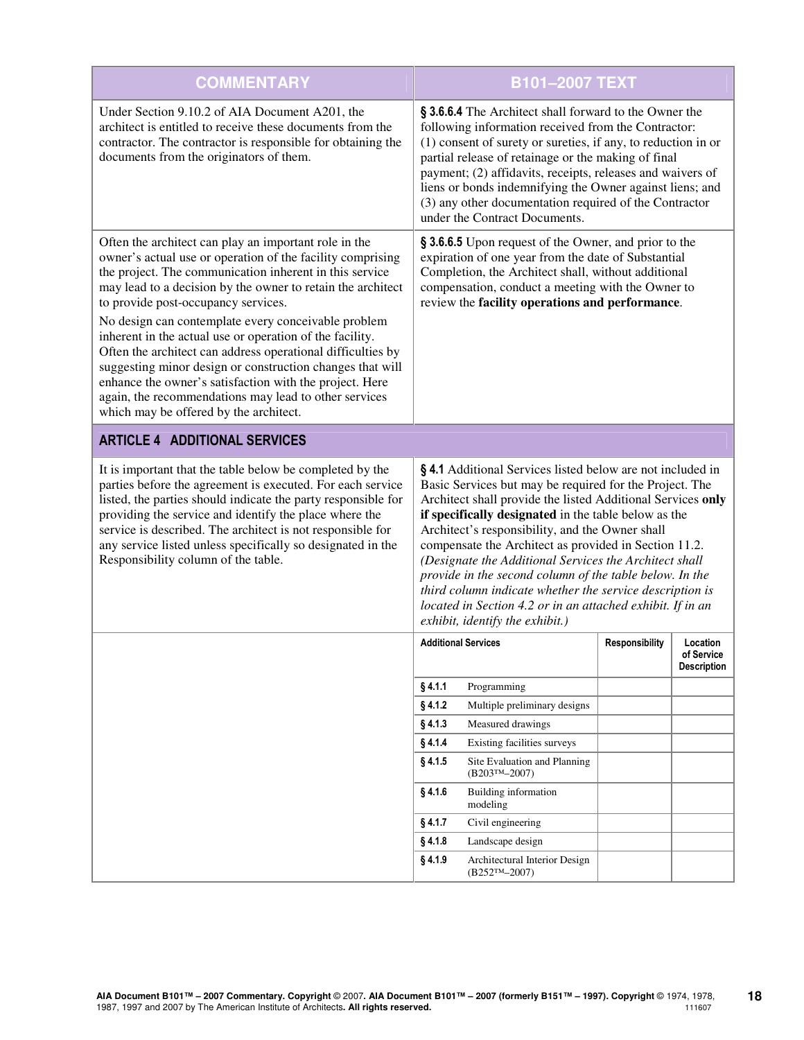| <b>COMMENTARY</b>                                                                                                                                                                                                                                                                                                                                                                                                                                                                                                                                                                                                                                                                                 |                                                                                                                                                                                                                                                                                                                                                                                                                                                                                                                                                                                                                                           | B101-2007 TEXT                                                                                                                                                                                                                                                                                                                                                                                                                                             |                       |                                              |
|---------------------------------------------------------------------------------------------------------------------------------------------------------------------------------------------------------------------------------------------------------------------------------------------------------------------------------------------------------------------------------------------------------------------------------------------------------------------------------------------------------------------------------------------------------------------------------------------------------------------------------------------------------------------------------------------------|-------------------------------------------------------------------------------------------------------------------------------------------------------------------------------------------------------------------------------------------------------------------------------------------------------------------------------------------------------------------------------------------------------------------------------------------------------------------------------------------------------------------------------------------------------------------------------------------------------------------------------------------|------------------------------------------------------------------------------------------------------------------------------------------------------------------------------------------------------------------------------------------------------------------------------------------------------------------------------------------------------------------------------------------------------------------------------------------------------------|-----------------------|----------------------------------------------|
| Under Section 9.10.2 of AIA Document A201, the<br>architect is entitled to receive these documents from the<br>contractor. The contractor is responsible for obtaining the<br>documents from the originators of them.                                                                                                                                                                                                                                                                                                                                                                                                                                                                             |                                                                                                                                                                                                                                                                                                                                                                                                                                                                                                                                                                                                                                           | § 3.6.6.4 The Architect shall forward to the Owner the<br>following information received from the Contractor:<br>(1) consent of surety or sureties, if any, to reduction in or<br>partial release of retainage or the making of final<br>payment; (2) affidavits, receipts, releases and waivers of<br>liens or bonds indemnifying the Owner against liens; and<br>(3) any other documentation required of the Contractor<br>under the Contract Documents. |                       |                                              |
| Often the architect can play an important role in the<br>owner's actual use or operation of the facility comprising<br>the project. The communication inherent in this service<br>may lead to a decision by the owner to retain the architect<br>to provide post-occupancy services.<br>No design can contemplate every conceivable problem<br>inherent in the actual use or operation of the facility.<br>Often the architect can address operational difficulties by<br>suggesting minor design or construction changes that will<br>enhance the owner's satisfaction with the project. Here<br>again, the recommendations may lead to other services<br>which may be offered by the architect. | § 3.6.6.5 Upon request of the Owner, and prior to the<br>expiration of one year from the date of Substantial<br>Completion, the Architect shall, without additional<br>compensation, conduct a meeting with the Owner to<br>review the facility operations and performance.                                                                                                                                                                                                                                                                                                                                                               |                                                                                                                                                                                                                                                                                                                                                                                                                                                            |                       |                                              |
| <b>ARTICLE 4 ADDITIONAL SERVICES</b>                                                                                                                                                                                                                                                                                                                                                                                                                                                                                                                                                                                                                                                              |                                                                                                                                                                                                                                                                                                                                                                                                                                                                                                                                                                                                                                           |                                                                                                                                                                                                                                                                                                                                                                                                                                                            |                       |                                              |
| It is important that the table below be completed by the<br>parties before the agreement is executed. For each service<br>listed, the parties should indicate the party responsible for<br>providing the service and identify the place where the<br>service is described. The architect is not responsible for<br>any service listed unless specifically so designated in the<br>Responsibility column of the table.                                                                                                                                                                                                                                                                             | §4.1 Additional Services listed below are not included in<br>Basic Services but may be required for the Project. The<br>Architect shall provide the listed Additional Services only<br>if specifically designated in the table below as the<br>Architect's responsibility, and the Owner shall<br>compensate the Architect as provided in Section 11.2.<br>(Designate the Additional Services the Architect shall<br>provide in the second column of the table below. In the<br>third column indicate whether the service description is<br>located in Section 4.2 or in an attached exhibit. If in an<br>exhibit, identify the exhibit.) |                                                                                                                                                                                                                                                                                                                                                                                                                                                            |                       |                                              |
|                                                                                                                                                                                                                                                                                                                                                                                                                                                                                                                                                                                                                                                                                                   |                                                                                                                                                                                                                                                                                                                                                                                                                                                                                                                                                                                                                                           | <b>Additional Services</b>                                                                                                                                                                                                                                                                                                                                                                                                                                 | <b>Responsibility</b> | Location<br>of Service<br><b>Description</b> |
|                                                                                                                                                                                                                                                                                                                                                                                                                                                                                                                                                                                                                                                                                                   | §4.1.1                                                                                                                                                                                                                                                                                                                                                                                                                                                                                                                                                                                                                                    | Programming                                                                                                                                                                                                                                                                                                                                                                                                                                                |                       |                                              |
|                                                                                                                                                                                                                                                                                                                                                                                                                                                                                                                                                                                                                                                                                                   | $§$ 4.1.2                                                                                                                                                                                                                                                                                                                                                                                                                                                                                                                                                                                                                                 | Multiple preliminary designs                                                                                                                                                                                                                                                                                                                                                                                                                               |                       |                                              |
|                                                                                                                                                                                                                                                                                                                                                                                                                                                                                                                                                                                                                                                                                                   | $§$ 4.1.3                                                                                                                                                                                                                                                                                                                                                                                                                                                                                                                                                                                                                                 | Measured drawings                                                                                                                                                                                                                                                                                                                                                                                                                                          |                       |                                              |
|                                                                                                                                                                                                                                                                                                                                                                                                                                                                                                                                                                                                                                                                                                   | § 4.1.4                                                                                                                                                                                                                                                                                                                                                                                                                                                                                                                                                                                                                                   | Existing facilities surveys                                                                                                                                                                                                                                                                                                                                                                                                                                |                       |                                              |
|                                                                                                                                                                                                                                                                                                                                                                                                                                                                                                                                                                                                                                                                                                   | § 4.1.5                                                                                                                                                                                                                                                                                                                                                                                                                                                                                                                                                                                                                                   | Site Evaluation and Planning<br>$(B203TM-2007)$                                                                                                                                                                                                                                                                                                                                                                                                            |                       |                                              |
|                                                                                                                                                                                                                                                                                                                                                                                                                                                                                                                                                                                                                                                                                                   | § 4.1.6                                                                                                                                                                                                                                                                                                                                                                                                                                                                                                                                                                                                                                   | <b>Building information</b><br>modeling                                                                                                                                                                                                                                                                                                                                                                                                                    |                       |                                              |
|                                                                                                                                                                                                                                                                                                                                                                                                                                                                                                                                                                                                                                                                                                   | § 4.1.7                                                                                                                                                                                                                                                                                                                                                                                                                                                                                                                                                                                                                                   | Civil engineering                                                                                                                                                                                                                                                                                                                                                                                                                                          |                       |                                              |
|                                                                                                                                                                                                                                                                                                                                                                                                                                                                                                                                                                                                                                                                                                   | § 4.1.8                                                                                                                                                                                                                                                                                                                                                                                                                                                                                                                                                                                                                                   | Landscape design                                                                                                                                                                                                                                                                                                                                                                                                                                           |                       |                                              |
|                                                                                                                                                                                                                                                                                                                                                                                                                                                                                                                                                                                                                                                                                                   | § 4.1.9                                                                                                                                                                                                                                                                                                                                                                                                                                                                                                                                                                                                                                   | Architectural Interior Design<br>$(B252TM-2007)$                                                                                                                                                                                                                                                                                                                                                                                                           |                       |                                              |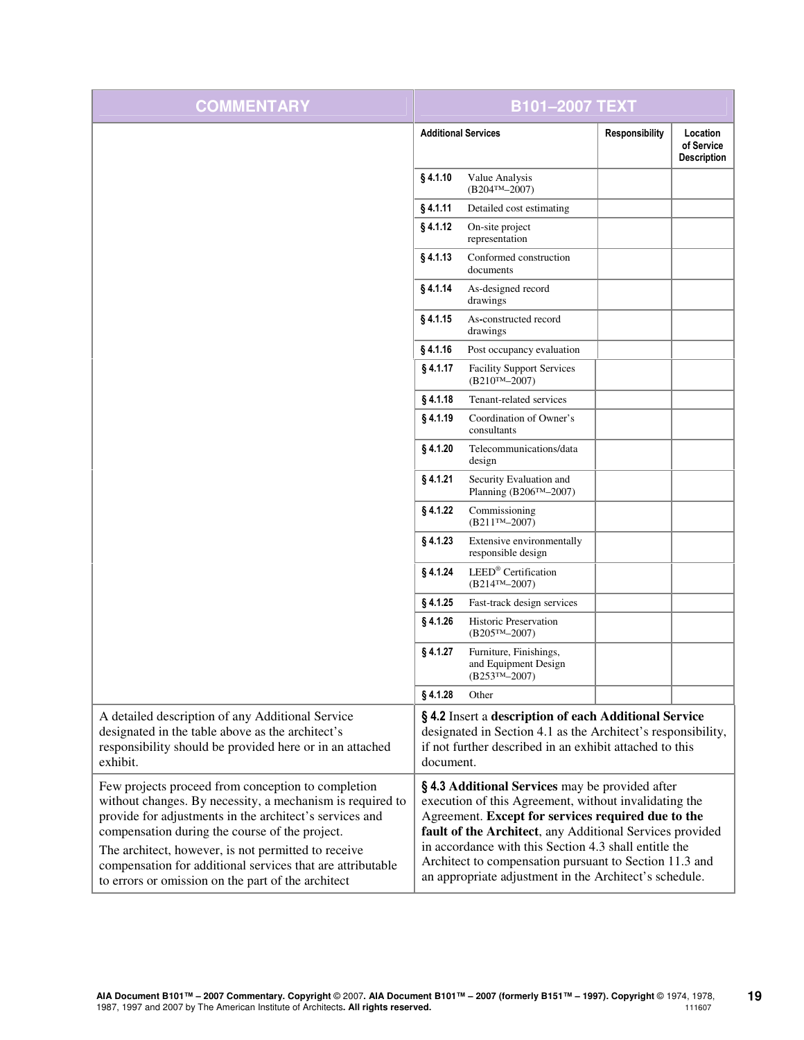| <b>COMMENTARY</b>                                                                                                                                                                                                                                                                                                                                                                                       |            | <b>B101-2007 TEXT</b>                                                                                                                                                                                                                                                                                                                                                                                  |                |                                              |
|---------------------------------------------------------------------------------------------------------------------------------------------------------------------------------------------------------------------------------------------------------------------------------------------------------------------------------------------------------------------------------------------------------|------------|--------------------------------------------------------------------------------------------------------------------------------------------------------------------------------------------------------------------------------------------------------------------------------------------------------------------------------------------------------------------------------------------------------|----------------|----------------------------------------------|
|                                                                                                                                                                                                                                                                                                                                                                                                         |            | <b>Additional Services</b>                                                                                                                                                                                                                                                                                                                                                                             | Responsibility | Location<br>of Service<br><b>Description</b> |
|                                                                                                                                                                                                                                                                                                                                                                                                         | §4.1.10    | Value Analysis<br>$(B204^{TM}-2007)$                                                                                                                                                                                                                                                                                                                                                                   |                |                                              |
|                                                                                                                                                                                                                                                                                                                                                                                                         | §4.1.11    | Detailed cost estimating                                                                                                                                                                                                                                                                                                                                                                               |                |                                              |
|                                                                                                                                                                                                                                                                                                                                                                                                         | § 4.1.12   | On-site project<br>representation                                                                                                                                                                                                                                                                                                                                                                      |                |                                              |
|                                                                                                                                                                                                                                                                                                                                                                                                         | §4.1.13    | Conformed construction<br>documents                                                                                                                                                                                                                                                                                                                                                                    |                |                                              |
|                                                                                                                                                                                                                                                                                                                                                                                                         | § 4.1.14   | As-designed record<br>drawings                                                                                                                                                                                                                                                                                                                                                                         |                |                                              |
|                                                                                                                                                                                                                                                                                                                                                                                                         | §4.1.15    | As-constructed record<br>drawings                                                                                                                                                                                                                                                                                                                                                                      |                |                                              |
|                                                                                                                                                                                                                                                                                                                                                                                                         | $§$ 4.1.16 | Post occupancy evaluation                                                                                                                                                                                                                                                                                                                                                                              |                |                                              |
|                                                                                                                                                                                                                                                                                                                                                                                                         | § 4.1.17   | <b>Facility Support Services</b><br>$(B210^{TM} - 2007)$                                                                                                                                                                                                                                                                                                                                               |                |                                              |
|                                                                                                                                                                                                                                                                                                                                                                                                         | § 4.1.18   | Tenant-related services                                                                                                                                                                                                                                                                                                                                                                                |                |                                              |
|                                                                                                                                                                                                                                                                                                                                                                                                         | $§$ 4.1.19 | Coordination of Owner's<br>consultants                                                                                                                                                                                                                                                                                                                                                                 |                |                                              |
|                                                                                                                                                                                                                                                                                                                                                                                                         | §4.1.20    | Telecommunications/data<br>design                                                                                                                                                                                                                                                                                                                                                                      |                |                                              |
|                                                                                                                                                                                                                                                                                                                                                                                                         | $§$ 4.1.21 | Security Evaluation and<br>Planning (B206TM-2007)                                                                                                                                                                                                                                                                                                                                                      |                |                                              |
|                                                                                                                                                                                                                                                                                                                                                                                                         | § 4.1.22   | Commissioning<br>$(B211^{TM} - 2007)$                                                                                                                                                                                                                                                                                                                                                                  |                |                                              |
|                                                                                                                                                                                                                                                                                                                                                                                                         | $§$ 4.1.23 | Extensive environmentally<br>responsible design                                                                                                                                                                                                                                                                                                                                                        |                |                                              |
|                                                                                                                                                                                                                                                                                                                                                                                                         | § 4.1.24   | LEED® Certification<br>$(B214^{TM} - 2007)$                                                                                                                                                                                                                                                                                                                                                            |                |                                              |
|                                                                                                                                                                                                                                                                                                                                                                                                         | $§$ 4.1.25 | Fast-track design services                                                                                                                                                                                                                                                                                                                                                                             |                |                                              |
|                                                                                                                                                                                                                                                                                                                                                                                                         | § 4.1.26   | <b>Historic Preservation</b><br>$(B205^{TM}-2007)$                                                                                                                                                                                                                                                                                                                                                     |                |                                              |
|                                                                                                                                                                                                                                                                                                                                                                                                         | § 4.1.27   | Furniture, Finishings,<br>and Equipment Design<br>$(B253^{\text{TM}}-2007)$                                                                                                                                                                                                                                                                                                                            |                |                                              |
|                                                                                                                                                                                                                                                                                                                                                                                                         | §4.1.28    | Other                                                                                                                                                                                                                                                                                                                                                                                                  |                |                                              |
| A detailed description of any Additional Service<br>designated in the table above as the architect's<br>responsibility should be provided here or in an attached<br>exhibit.                                                                                                                                                                                                                            | document.  | § 4.2 Insert a description of each Additional Service<br>designated in Section 4.1 as the Architect's responsibility,<br>if not further described in an exhibit attached to this                                                                                                                                                                                                                       |                |                                              |
| Few projects proceed from conception to completion<br>without changes. By necessity, a mechanism is required to<br>provide for adjustments in the architect's services and<br>compensation during the course of the project.<br>The architect, however, is not permitted to receive<br>compensation for additional services that are attributable<br>to errors or omission on the part of the architect |            | §4.3 Additional Services may be provided after<br>execution of this Agreement, without invalidating the<br>Agreement. Except for services required due to the<br>fault of the Architect, any Additional Services provided<br>in accordance with this Section 4.3 shall entitle the<br>Architect to compensation pursuant to Section 11.3 and<br>an appropriate adjustment in the Architect's schedule. |                |                                              |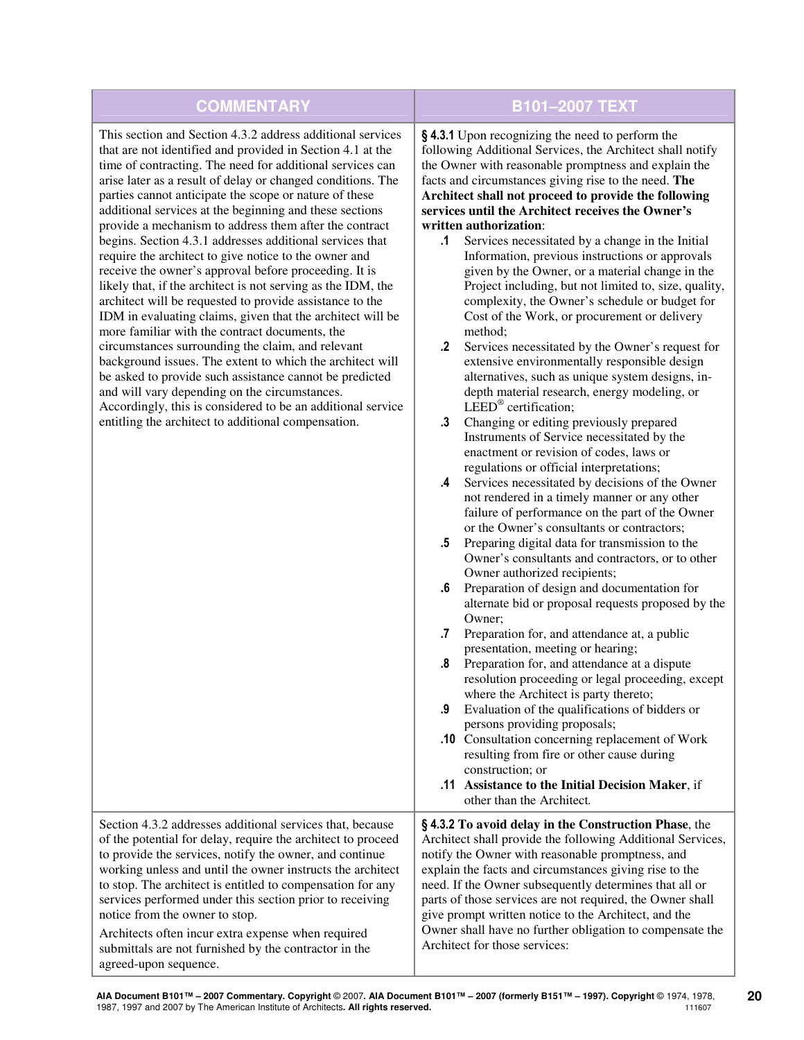| <b>COMMENTARY</b>                                                                                                                                                                                                                                                                                                                                                                                                                                                                                                                                                                                                                                                                                                                                                                                                                                                                                                                                                                                                                                                                                                                                                                                                 | <b>B101-2007 TEXT</b>                                                                                                                                                                                                                                                                                                                                                                                                                                                                                                                                                                                                                                                                                                                                                                                                                                                                                                                                                                                                                                                                                                                                                                                                                                                                                                                                                                                                                                                                                                                                                                                                                                                                                                                                                                                                                                                                                                                                                                                                                                                                                                                                                                           |
|-------------------------------------------------------------------------------------------------------------------------------------------------------------------------------------------------------------------------------------------------------------------------------------------------------------------------------------------------------------------------------------------------------------------------------------------------------------------------------------------------------------------------------------------------------------------------------------------------------------------------------------------------------------------------------------------------------------------------------------------------------------------------------------------------------------------------------------------------------------------------------------------------------------------------------------------------------------------------------------------------------------------------------------------------------------------------------------------------------------------------------------------------------------------------------------------------------------------|-------------------------------------------------------------------------------------------------------------------------------------------------------------------------------------------------------------------------------------------------------------------------------------------------------------------------------------------------------------------------------------------------------------------------------------------------------------------------------------------------------------------------------------------------------------------------------------------------------------------------------------------------------------------------------------------------------------------------------------------------------------------------------------------------------------------------------------------------------------------------------------------------------------------------------------------------------------------------------------------------------------------------------------------------------------------------------------------------------------------------------------------------------------------------------------------------------------------------------------------------------------------------------------------------------------------------------------------------------------------------------------------------------------------------------------------------------------------------------------------------------------------------------------------------------------------------------------------------------------------------------------------------------------------------------------------------------------------------------------------------------------------------------------------------------------------------------------------------------------------------------------------------------------------------------------------------------------------------------------------------------------------------------------------------------------------------------------------------------------------------------------------------------------------------------------------------|
| This section and Section 4.3.2 address additional services<br>that are not identified and provided in Section 4.1 at the<br>time of contracting. The need for additional services can<br>arise later as a result of delay or changed conditions. The<br>parties cannot anticipate the scope or nature of these<br>additional services at the beginning and these sections<br>provide a mechanism to address them after the contract<br>begins. Section 4.3.1 addresses additional services that<br>require the architect to give notice to the owner and<br>receive the owner's approval before proceeding. It is<br>likely that, if the architect is not serving as the IDM, the<br>architect will be requested to provide assistance to the<br>IDM in evaluating claims, given that the architect will be<br>more familiar with the contract documents, the<br>circumstances surrounding the claim, and relevant<br>background issues. The extent to which the architect will<br>be asked to provide such assistance cannot be predicted<br>and will vary depending on the circumstances.<br>Accordingly, this is considered to be an additional service<br>entitling the architect to additional compensation. | §4.3.1 Upon recognizing the need to perform the<br>following Additional Services, the Architect shall notify<br>the Owner with reasonable promptness and explain the<br>facts and circumstances giving rise to the need. The<br>Architect shall not proceed to provide the following<br>services until the Architect receives the Owner's<br>written authorization:<br>$\cdot$ 1<br>Services necessitated by a change in the Initial<br>Information, previous instructions or approvals<br>given by the Owner, or a material change in the<br>Project including, but not limited to, size, quality,<br>complexity, the Owner's schedule or budget for<br>Cost of the Work, or procurement or delivery<br>method;<br>$\cdot$<br>Services necessitated by the Owner's request for<br>extensive environmentally responsible design<br>alternatives, such as unique system designs, in-<br>depth material research, energy modeling, or<br>LEED <sup>®</sup> certification;<br>$\cdot$ 3<br>Changing or editing previously prepared<br>Instruments of Service necessitated by the<br>enactment or revision of codes, laws or<br>regulations or official interpretations;<br>Services necessitated by decisions of the Owner<br>.4<br>not rendered in a timely manner or any other<br>failure of performance on the part of the Owner<br>or the Owner's consultants or contractors;<br>Preparing digital data for transmission to the<br>$.5\,$<br>Owner's consultants and contractors, or to other<br>Owner authorized recipients;<br>Preparation of design and documentation for<br>.6<br>alternate bid or proposal requests proposed by the<br>Owner;<br>Preparation for, and attendance at, a public<br>.7<br>presentation, meeting or hearing;<br>Preparation for, and attendance at a dispute<br>.8<br>resolution proceeding or legal proceeding, except<br>where the Architect is party thereto;<br>Evaluation of the qualifications of bidders or<br>.9<br>persons providing proposals;<br>.10 Consultation concerning replacement of Work<br>resulting from fire or other cause during<br>construction; or<br>.11 Assistance to the Initial Decision Maker, if<br>other than the Architect. |
| Section 4.3.2 addresses additional services that, because<br>of the potential for delay, require the architect to proceed<br>to provide the services, notify the owner, and continue<br>working unless and until the owner instructs the architect<br>to stop. The architect is entitled to compensation for any<br>services performed under this section prior to receiving<br>notice from the owner to stop.<br>Architects often incur extra expense when required<br>submittals are not furnished by the contractor in the<br>agreed-upon sequence.                                                                                                                                                                                                                                                                                                                                                                                                                                                                                                                                                                                                                                                            | §4.3.2 To avoid delay in the Construction Phase, the<br>Architect shall provide the following Additional Services,<br>notify the Owner with reasonable promptness, and<br>explain the facts and circumstances giving rise to the<br>need. If the Owner subsequently determines that all or<br>parts of those services are not required, the Owner shall<br>give prompt written notice to the Architect, and the<br>Owner shall have no further obligation to compensate the<br>Architect for those services:                                                                                                                                                                                                                                                                                                                                                                                                                                                                                                                                                                                                                                                                                                                                                                                                                                                                                                                                                                                                                                                                                                                                                                                                                                                                                                                                                                                                                                                                                                                                                                                                                                                                                    |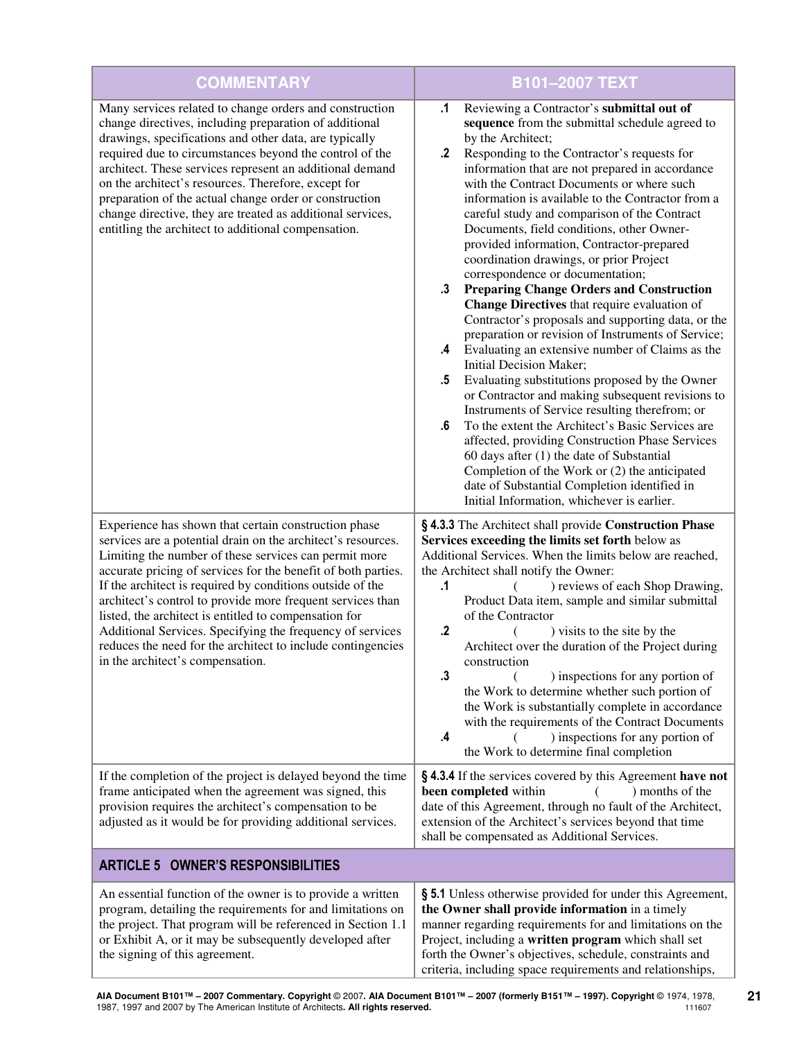| <b>COMMENTARY</b>                                                                                                                                                                                                                                                                                                                                                                                                                                                                                                                                                                                  | <b>B101-2007 TEXT</b>                                                                                                                                                                                                                                                                                                                                                                                                                                                                                                                                                                                                                                                                                                                                                                                                                                                                                                                                                                                                                                                                                                                                                                                                                                                                                                                                            |
|----------------------------------------------------------------------------------------------------------------------------------------------------------------------------------------------------------------------------------------------------------------------------------------------------------------------------------------------------------------------------------------------------------------------------------------------------------------------------------------------------------------------------------------------------------------------------------------------------|------------------------------------------------------------------------------------------------------------------------------------------------------------------------------------------------------------------------------------------------------------------------------------------------------------------------------------------------------------------------------------------------------------------------------------------------------------------------------------------------------------------------------------------------------------------------------------------------------------------------------------------------------------------------------------------------------------------------------------------------------------------------------------------------------------------------------------------------------------------------------------------------------------------------------------------------------------------------------------------------------------------------------------------------------------------------------------------------------------------------------------------------------------------------------------------------------------------------------------------------------------------------------------------------------------------------------------------------------------------|
| Many services related to change orders and construction<br>change directives, including preparation of additional<br>drawings, specifications and other data, are typically<br>required due to circumstances beyond the control of the<br>architect. These services represent an additional demand<br>on the architect's resources. Therefore, except for<br>preparation of the actual change order or construction<br>change directive, they are treated as additional services,<br>entitling the architect to additional compensation.                                                           | Reviewing a Contractor's submittal out of<br>$\cdot$ 1<br>sequence from the submittal schedule agreed to<br>by the Architect;<br>Responding to the Contractor's requests for<br>$\cdot$<br>information that are not prepared in accordance<br>with the Contract Documents or where such<br>information is available to the Contractor from a<br>careful study and comparison of the Contract<br>Documents, field conditions, other Owner-<br>provided information, Contractor-prepared<br>coordination drawings, or prior Project<br>correspondence or documentation;<br>$\cdot$ 3<br><b>Preparing Change Orders and Construction</b><br>Change Directives that require evaluation of<br>Contractor's proposals and supporting data, or the<br>preparation or revision of Instruments of Service;<br>Evaluating an extensive number of Claims as the<br>.4<br>Initial Decision Maker;<br>.5<br>Evaluating substitutions proposed by the Owner<br>or Contractor and making subsequent revisions to<br>Instruments of Service resulting therefrom; or<br>.6<br>To the extent the Architect's Basic Services are<br>affected, providing Construction Phase Services<br>$60$ days after $(1)$ the date of Substantial<br>Completion of the Work or (2) the anticipated<br>date of Substantial Completion identified in<br>Initial Information, whichever is earlier. |
| Experience has shown that certain construction phase<br>services are a potential drain on the architect's resources.<br>Limiting the number of these services can permit more<br>accurate pricing of services for the benefit of both parties.<br>If the architect is required by conditions outside of the<br>architect's control to provide more frequent services than<br>listed, the architect is entitled to compensation for<br>Additional Services. Specifying the frequency of services<br>reduces the need for the architect to include contingencies<br>in the architect's compensation. | §4.3.3 The Architect shall provide Construction Phase<br>Services exceeding the limits set forth below as<br>Additional Services. When the limits below are reached,<br>the Architect shall notify the Owner:<br>$\cdot$<br>) reviews of each Shop Drawing,<br>Product Data item, sample and similar submittal<br>of the Contractor<br>.2<br>) visits to the site by the<br>Architect over the duration of the Project during<br>construction<br>.3<br>) inspections for any portion of<br>the Work to determine whether such portion of<br>the Work is substantially complete in accordance<br>with the requirements of the Contract Documents<br>$\mathbf{.4}$<br>) inspections for any portion of<br>the Work to determine final completion                                                                                                                                                                                                                                                                                                                                                                                                                                                                                                                                                                                                                   |
| If the completion of the project is delayed beyond the time<br>frame anticipated when the agreement was signed, this<br>provision requires the architect's compensation to be<br>adjusted as it would be for providing additional services.                                                                                                                                                                                                                                                                                                                                                        | §4.3.4 If the services covered by this Agreement have not<br>been completed within<br>) months of the<br>date of this Agreement, through no fault of the Architect,<br>extension of the Architect's services beyond that time<br>shall be compensated as Additional Services.                                                                                                                                                                                                                                                                                                                                                                                                                                                                                                                                                                                                                                                                                                                                                                                                                                                                                                                                                                                                                                                                                    |
| <b>ARTICLE 5 OWNER'S RESPONSIBILITIES</b>                                                                                                                                                                                                                                                                                                                                                                                                                                                                                                                                                          |                                                                                                                                                                                                                                                                                                                                                                                                                                                                                                                                                                                                                                                                                                                                                                                                                                                                                                                                                                                                                                                                                                                                                                                                                                                                                                                                                                  |
| An essential function of the owner is to provide a written<br>program, detailing the requirements for and limitations on<br>the project. That program will be referenced in Section 1.1<br>or Exhibit A, or it may be subsequently developed after<br>the signing of this agreement.                                                                                                                                                                                                                                                                                                               | § 5.1 Unless otherwise provided for under this Agreement,<br>the Owner shall provide information in a timely<br>manner regarding requirements for and limitations on the<br>Project, including a written program which shall set<br>forth the Owner's objectives, schedule, constraints and<br>criteria, including space requirements and relationships,                                                                                                                                                                                                                                                                                                                                                                                                                                                                                                                                                                                                                                                                                                                                                                                                                                                                                                                                                                                                         |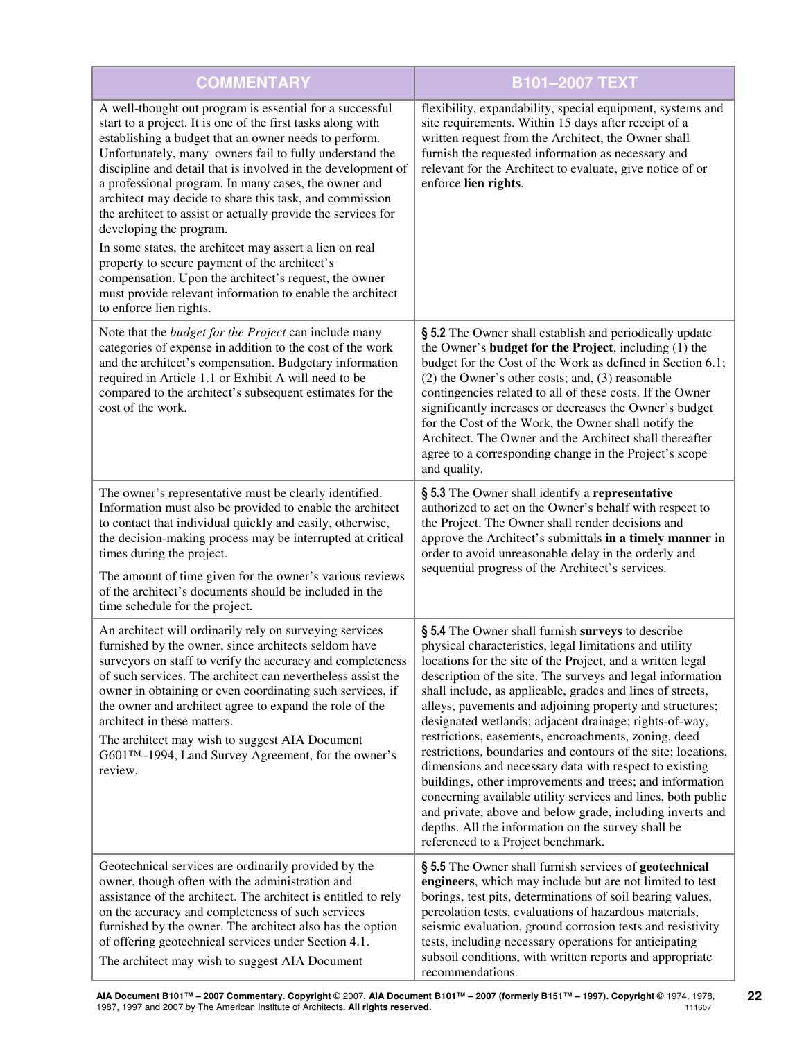| <b>COMMENTARY</b>                                                                                                                                                                                                                                                                                                                                                                                                                                                                                                                                                                                                                                                                                                                                                                      | <b>B101-2007 TEXT</b>                                                                                                                                                                                                                                                                                                                                                                                                                                                                                                                                                                                                                                                                                                                                                                                                                                                                                |
|----------------------------------------------------------------------------------------------------------------------------------------------------------------------------------------------------------------------------------------------------------------------------------------------------------------------------------------------------------------------------------------------------------------------------------------------------------------------------------------------------------------------------------------------------------------------------------------------------------------------------------------------------------------------------------------------------------------------------------------------------------------------------------------|------------------------------------------------------------------------------------------------------------------------------------------------------------------------------------------------------------------------------------------------------------------------------------------------------------------------------------------------------------------------------------------------------------------------------------------------------------------------------------------------------------------------------------------------------------------------------------------------------------------------------------------------------------------------------------------------------------------------------------------------------------------------------------------------------------------------------------------------------------------------------------------------------|
| A well-thought out program is essential for a successful<br>start to a project. It is one of the first tasks along with<br>establishing a budget that an owner needs to perform.<br>Unfortunately, many owners fail to fully understand the<br>discipline and detail that is involved in the development of<br>a professional program. In many cases, the owner and<br>architect may decide to share this task, and commission<br>the architect to assist or actually provide the services for<br>developing the program.<br>In some states, the architect may assert a lien on real<br>property to secure payment of the architect's<br>compensation. Upon the architect's request, the owner<br>must provide relevant information to enable the architect<br>to enforce lien rights. | flexibility, expandability, special equipment, systems and<br>site requirements. Within 15 days after receipt of a<br>written request from the Architect, the Owner shall<br>furnish the requested information as necessary and<br>relevant for the Architect to evaluate, give notice of or<br>enforce lien rights.                                                                                                                                                                                                                                                                                                                                                                                                                                                                                                                                                                                 |
| Note that the <i>budget for the Project</i> can include many<br>categories of expense in addition to the cost of the work<br>and the architect's compensation. Budgetary information<br>required in Article 1.1 or Exhibit A will need to be<br>compared to the architect's subsequent estimates for the<br>cost of the work.                                                                                                                                                                                                                                                                                                                                                                                                                                                          | § 5.2 The Owner shall establish and periodically update<br>the Owner's <b>budget for the Project</b> , including (1) the<br>budget for the Cost of the Work as defined in Section 6.1;<br>(2) the Owner's other costs; and, (3) reasonable<br>contingencies related to all of these costs. If the Owner<br>significantly increases or decreases the Owner's budget<br>for the Cost of the Work, the Owner shall notify the<br>Architect. The Owner and the Architect shall thereafter<br>agree to a corresponding change in the Project's scope<br>and quality.                                                                                                                                                                                                                                                                                                                                      |
| The owner's representative must be clearly identified.<br>Information must also be provided to enable the architect<br>to contact that individual quickly and easily, otherwise,<br>the decision-making process may be interrupted at critical<br>times during the project.<br>The amount of time given for the owner's various reviews<br>of the architect's documents should be included in the<br>time schedule for the project.                                                                                                                                                                                                                                                                                                                                                    | § 5.3 The Owner shall identify a representative<br>authorized to act on the Owner's behalf with respect to<br>the Project. The Owner shall render decisions and<br>approve the Architect's submittals in a timely manner in<br>order to avoid unreasonable delay in the orderly and<br>sequential progress of the Architect's services.                                                                                                                                                                                                                                                                                                                                                                                                                                                                                                                                                              |
| An architect will ordinarily rely on surveying services<br>furnished by the owner, since architects seldom have<br>surveyors on staff to verify the accuracy and completeness<br>of such services. The architect can nevertheless assist the<br>owner in obtaining or even coordinating such services, if<br>the owner and architect agree to expand the role of the<br>architect in these matters.<br>The architect may wish to suggest AIA Document<br>G601™-1994, Land Survey Agreement, for the owner's<br>review.                                                                                                                                                                                                                                                                 | § 5.4 The Owner shall furnish surveys to describe<br>physical characteristics, legal limitations and utility<br>locations for the site of the Project, and a written legal<br>description of the site. The surveys and legal information<br>shall include, as applicable, grades and lines of streets,<br>alleys, pavements and adjoining property and structures;<br>designated wetlands; adjacent drainage; rights-of-way,<br>restrictions, easements, encroachments, zoning, deed<br>restrictions, boundaries and contours of the site; locations,<br>dimensions and necessary data with respect to existing<br>buildings, other improvements and trees; and information<br>concerning available utility services and lines, both public<br>and private, above and below grade, including inverts and<br>depths. All the information on the survey shall be<br>referenced to a Project benchmark. |
| Geotechnical services are ordinarily provided by the<br>owner, though often with the administration and<br>assistance of the architect. The architect is entitled to rely<br>on the accuracy and completeness of such services<br>furnished by the owner. The architect also has the option<br>of offering geotechnical services under Section 4.1.<br>The architect may wish to suggest AIA Document                                                                                                                                                                                                                                                                                                                                                                                  | § 5.5 The Owner shall furnish services of geotechnical<br>engineers, which may include but are not limited to test<br>borings, test pits, determinations of soil bearing values,<br>percolation tests, evaluations of hazardous materials,<br>seismic evaluation, ground corrosion tests and resistivity<br>tests, including necessary operations for anticipating<br>subsoil conditions, with written reports and appropriate<br>recommendations.                                                                                                                                                                                                                                                                                                                                                                                                                                                   |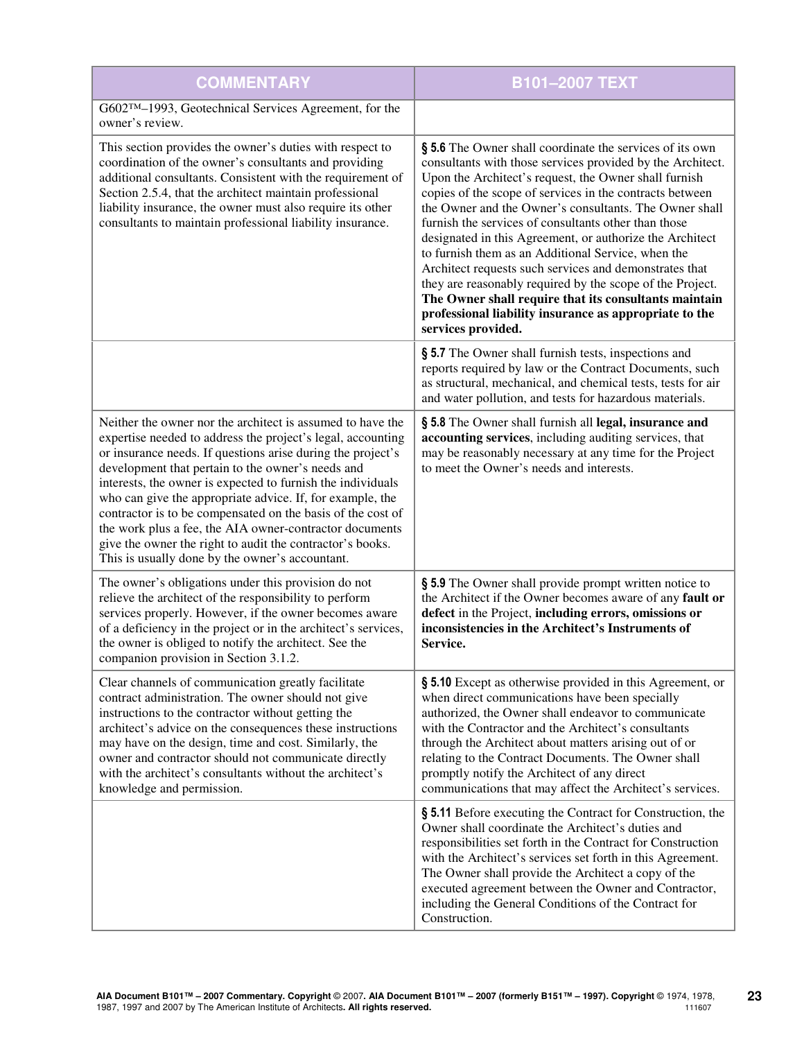| <b>COMMENTARY</b>                                                                                                                                                                                                                                                                                                                                                                                                                                                                                                                                                                                                   | B101-2007 TEXT                                                                                                                                                                                                                                                                                                                                                                                                                                                                                                                                                                                                                                                                                                                                  |
|---------------------------------------------------------------------------------------------------------------------------------------------------------------------------------------------------------------------------------------------------------------------------------------------------------------------------------------------------------------------------------------------------------------------------------------------------------------------------------------------------------------------------------------------------------------------------------------------------------------------|-------------------------------------------------------------------------------------------------------------------------------------------------------------------------------------------------------------------------------------------------------------------------------------------------------------------------------------------------------------------------------------------------------------------------------------------------------------------------------------------------------------------------------------------------------------------------------------------------------------------------------------------------------------------------------------------------------------------------------------------------|
| G602™-1993, Geotechnical Services Agreement, for the<br>owner's review.                                                                                                                                                                                                                                                                                                                                                                                                                                                                                                                                             |                                                                                                                                                                                                                                                                                                                                                                                                                                                                                                                                                                                                                                                                                                                                                 |
| This section provides the owner's duties with respect to<br>coordination of the owner's consultants and providing<br>additional consultants. Consistent with the requirement of<br>Section 2.5.4, that the architect maintain professional<br>liability insurance, the owner must also require its other<br>consultants to maintain professional liability insurance.                                                                                                                                                                                                                                               | § 5.6 The Owner shall coordinate the services of its own<br>consultants with those services provided by the Architect.<br>Upon the Architect's request, the Owner shall furnish<br>copies of the scope of services in the contracts between<br>the Owner and the Owner's consultants. The Owner shall<br>furnish the services of consultants other than those<br>designated in this Agreement, or authorize the Architect<br>to furnish them as an Additional Service, when the<br>Architect requests such services and demonstrates that<br>they are reasonably required by the scope of the Project.<br>The Owner shall require that its consultants maintain<br>professional liability insurance as appropriate to the<br>services provided. |
|                                                                                                                                                                                                                                                                                                                                                                                                                                                                                                                                                                                                                     | § 5.7 The Owner shall furnish tests, inspections and<br>reports required by law or the Contract Documents, such<br>as structural, mechanical, and chemical tests, tests for air<br>and water pollution, and tests for hazardous materials.                                                                                                                                                                                                                                                                                                                                                                                                                                                                                                      |
| Neither the owner nor the architect is assumed to have the<br>expertise needed to address the project's legal, accounting<br>or insurance needs. If questions arise during the project's<br>development that pertain to the owner's needs and<br>interests, the owner is expected to furnish the individuals<br>who can give the appropriate advice. If, for example, the<br>contractor is to be compensated on the basis of the cost of<br>the work plus a fee, the AIA owner-contractor documents<br>give the owner the right to audit the contractor's books.<br>This is usually done by the owner's accountant. | § 5.8 The Owner shall furnish all legal, insurance and<br>accounting services, including auditing services, that<br>may be reasonably necessary at any time for the Project<br>to meet the Owner's needs and interests.                                                                                                                                                                                                                                                                                                                                                                                                                                                                                                                         |
| The owner's obligations under this provision do not<br>relieve the architect of the responsibility to perform<br>services properly. However, if the owner becomes aware<br>of a deficiency in the project or in the architect's services,<br>the owner is obliged to notify the architect. See the<br>companion provision in Section 3.1.2.                                                                                                                                                                                                                                                                         | § 5.9 The Owner shall provide prompt written notice to<br>the Architect if the Owner becomes aware of any fault or<br>defect in the Project, including errors, omissions or<br>inconsistencies in the Architect's Instruments of<br>Service.                                                                                                                                                                                                                                                                                                                                                                                                                                                                                                    |
| Clear channels of communication greatly facilitate<br>contract administration. The owner should not give<br>instructions to the contractor without getting the<br>architect's advice on the consequences these instructions<br>may have on the design, time and cost. Similarly, the<br>owner and contractor should not communicate directly<br>with the architect's consultants without the architect's<br>knowledge and permission.                                                                                                                                                                               | § 5.10 Except as otherwise provided in this Agreement, or<br>when direct communications have been specially<br>authorized, the Owner shall endeavor to communicate<br>with the Contractor and the Architect's consultants<br>through the Architect about matters arising out of or<br>relating to the Contract Documents. The Owner shall<br>promptly notify the Architect of any direct<br>communications that may affect the Architect's services.                                                                                                                                                                                                                                                                                            |
|                                                                                                                                                                                                                                                                                                                                                                                                                                                                                                                                                                                                                     | § 5.11 Before executing the Contract for Construction, the<br>Owner shall coordinate the Architect's duties and<br>responsibilities set forth in the Contract for Construction<br>with the Architect's services set forth in this Agreement.<br>The Owner shall provide the Architect a copy of the<br>executed agreement between the Owner and Contractor,<br>including the General Conditions of the Contract for<br>Construction.                                                                                                                                                                                                                                                                                                            |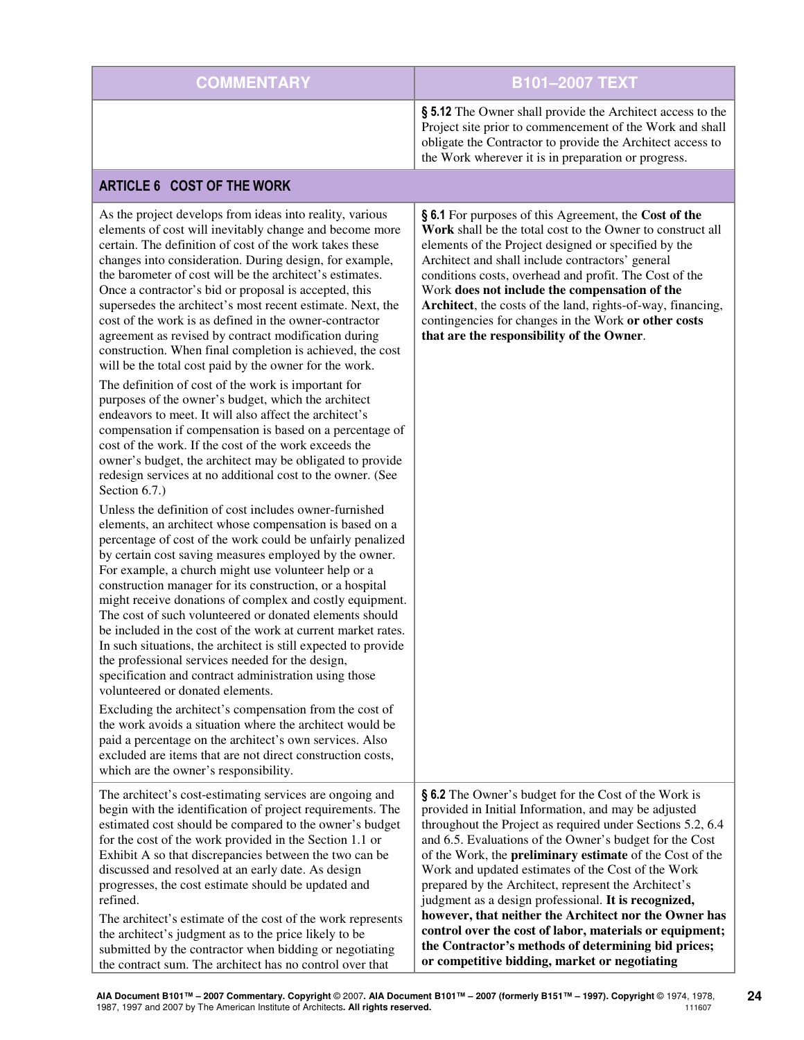| <b>COMMENTARY</b> | <b>B101-2007 TEXT</b>                                                                                                                                                                                                                       |
|-------------------|---------------------------------------------------------------------------------------------------------------------------------------------------------------------------------------------------------------------------------------------|
|                   | § 5.12 The Owner shall provide the Architect access to the<br>Project site prior to commencement of the Work and shall<br>obligate the Contractor to provide the Architect access to<br>the Work wherever it is in preparation or progress. |

# ARTICLE 6 COST OF THE WORK

| As the project develops from ideas into reality, various<br>elements of cost will inevitably change and become more<br>certain. The definition of cost of the work takes these<br>changes into consideration. During design, for example,<br>the barometer of cost will be the architect's estimates.<br>Once a contractor's bid or proposal is accepted, this<br>supersedes the architect's most recent estimate. Next, the<br>cost of the work is as defined in the owner-contractor<br>agreement as revised by contract modification during<br>construction. When final completion is achieved, the cost<br>will be the total cost paid by the owner for the work.                                                                                                  | § 6.1 For purposes of this Agreement, the Cost of the<br>Work shall be the total cost to the Owner to construct all<br>elements of the Project designed or specified by the<br>Architect and shall include contractors' general<br>conditions costs, overhead and profit. The Cost of the<br>Work does not include the compensation of the<br>Architect, the costs of the land, rights-of-way, financing,<br>contingencies for changes in the Work or other costs<br>that are the responsibility of the Owner.                                                                                                                                                                                             |
|------------------------------------------------------------------------------------------------------------------------------------------------------------------------------------------------------------------------------------------------------------------------------------------------------------------------------------------------------------------------------------------------------------------------------------------------------------------------------------------------------------------------------------------------------------------------------------------------------------------------------------------------------------------------------------------------------------------------------------------------------------------------|------------------------------------------------------------------------------------------------------------------------------------------------------------------------------------------------------------------------------------------------------------------------------------------------------------------------------------------------------------------------------------------------------------------------------------------------------------------------------------------------------------------------------------------------------------------------------------------------------------------------------------------------------------------------------------------------------------|
| The definition of cost of the work is important for<br>purposes of the owner's budget, which the architect<br>endeavors to meet. It will also affect the architect's<br>compensation if compensation is based on a percentage of<br>cost of the work. If the cost of the work exceeds the<br>owner's budget, the architect may be obligated to provide<br>redesign services at no additional cost to the owner. (See<br>Section 6.7.)                                                                                                                                                                                                                                                                                                                                  |                                                                                                                                                                                                                                                                                                                                                                                                                                                                                                                                                                                                                                                                                                            |
| Unless the definition of cost includes owner-furnished<br>elements, an architect whose compensation is based on a<br>percentage of cost of the work could be unfairly penalized<br>by certain cost saving measures employed by the owner.<br>For example, a church might use volunteer help or a<br>construction manager for its construction, or a hospital<br>might receive donations of complex and costly equipment.<br>The cost of such volunteered or donated elements should<br>be included in the cost of the work at current market rates.<br>In such situations, the architect is still expected to provide<br>the professional services needed for the design,<br>specification and contract administration using those<br>volunteered or donated elements. |                                                                                                                                                                                                                                                                                                                                                                                                                                                                                                                                                                                                                                                                                                            |
| Excluding the architect's compensation from the cost of<br>the work avoids a situation where the architect would be<br>paid a percentage on the architect's own services. Also<br>excluded are items that are not direct construction costs,<br>which are the owner's responsibility.                                                                                                                                                                                                                                                                                                                                                                                                                                                                                  |                                                                                                                                                                                                                                                                                                                                                                                                                                                                                                                                                                                                                                                                                                            |
| The architect's cost-estimating services are ongoing and<br>begin with the identification of project requirements. The<br>estimated cost should be compared to the owner's budget<br>for the cost of the work provided in the Section 1.1 or<br>Exhibit A so that discrepancies between the two can be<br>discussed and resolved at an early date. As design<br>progresses, the cost estimate should be updated and<br>refined.<br>The architect's estimate of the cost of the work represents<br>the architect's judgment as to the price likely to be<br>submitted by the contractor when bidding or negotiating<br>the contract sum. The architect has no control over that                                                                                         | § 6.2 The Owner's budget for the Cost of the Work is<br>provided in Initial Information, and may be adjusted<br>throughout the Project as required under Sections 5.2, 6.4<br>and 6.5. Evaluations of the Owner's budget for the Cost<br>of the Work, the <b>preliminary estimate</b> of the Cost of the<br>Work and updated estimates of the Cost of the Work<br>prepared by the Architect, represent the Architect's<br>judgment as a design professional. It is recognized,<br>however, that neither the Architect nor the Owner has<br>control over the cost of labor, materials or equipment;<br>the Contractor's methods of determining bid prices;<br>or competitive bidding, market or negotiating |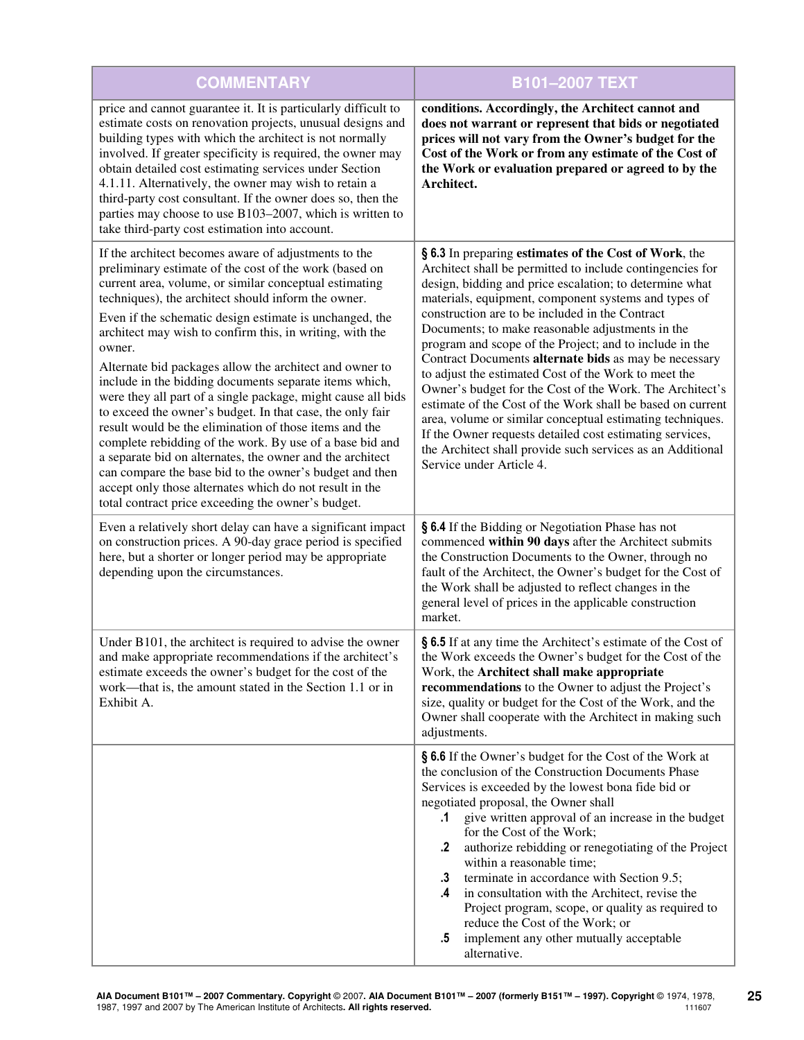| <b>COMMENTARY</b>                                                                                                                                                                                                                                                                                                                                                                                                                                                                                                                                                                                                                                                                                                                                                                                                                                                                                                                                                                 | <b>B101-2007 TEXT</b>                                                                                                                                                                                                                                                                                                                                                                                                                                                                                                                                                                                                                                                                                                                                                                                                                                                 |
|-----------------------------------------------------------------------------------------------------------------------------------------------------------------------------------------------------------------------------------------------------------------------------------------------------------------------------------------------------------------------------------------------------------------------------------------------------------------------------------------------------------------------------------------------------------------------------------------------------------------------------------------------------------------------------------------------------------------------------------------------------------------------------------------------------------------------------------------------------------------------------------------------------------------------------------------------------------------------------------|-----------------------------------------------------------------------------------------------------------------------------------------------------------------------------------------------------------------------------------------------------------------------------------------------------------------------------------------------------------------------------------------------------------------------------------------------------------------------------------------------------------------------------------------------------------------------------------------------------------------------------------------------------------------------------------------------------------------------------------------------------------------------------------------------------------------------------------------------------------------------|
| price and cannot guarantee it. It is particularly difficult to<br>estimate costs on renovation projects, unusual designs and<br>building types with which the architect is not normally<br>involved. If greater specificity is required, the owner may<br>obtain detailed cost estimating services under Section<br>4.1.11. Alternatively, the owner may wish to retain a<br>third-party cost consultant. If the owner does so, then the<br>parties may choose to use B103-2007, which is written to<br>take third-party cost estimation into account.                                                                                                                                                                                                                                                                                                                                                                                                                            | conditions. Accordingly, the Architect cannot and<br>does not warrant or represent that bids or negotiated<br>prices will not vary from the Owner's budget for the<br>Cost of the Work or from any estimate of the Cost of<br>the Work or evaluation prepared or agreed to by the<br>Architect.                                                                                                                                                                                                                                                                                                                                                                                                                                                                                                                                                                       |
| If the architect becomes aware of adjustments to the<br>preliminary estimate of the cost of the work (based on<br>current area, volume, or similar conceptual estimating<br>techniques), the architect should inform the owner.<br>Even if the schematic design estimate is unchanged, the<br>architect may wish to confirm this, in writing, with the<br>owner.<br>Alternate bid packages allow the architect and owner to<br>include in the bidding documents separate items which,<br>were they all part of a single package, might cause all bids<br>to exceed the owner's budget. In that case, the only fair<br>result would be the elimination of those items and the<br>complete rebidding of the work. By use of a base bid and<br>a separate bid on alternates, the owner and the architect<br>can compare the base bid to the owner's budget and then<br>accept only those alternates which do not result in the<br>total contract price exceeding the owner's budget. | § 6.3 In preparing estimates of the Cost of Work, the<br>Architect shall be permitted to include contingencies for<br>design, bidding and price escalation; to determine what<br>materials, equipment, component systems and types of<br>construction are to be included in the Contract<br>Documents; to make reasonable adjustments in the<br>program and scope of the Project; and to include in the<br>Contract Documents alternate bids as may be necessary<br>to adjust the estimated Cost of the Work to meet the<br>Owner's budget for the Cost of the Work. The Architect's<br>estimate of the Cost of the Work shall be based on current<br>area, volume or similar conceptual estimating techniques.<br>If the Owner requests detailed cost estimating services,<br>the Architect shall provide such services as an Additional<br>Service under Article 4. |
| Even a relatively short delay can have a significant impact<br>on construction prices. A 90-day grace period is specified<br>here, but a shorter or longer period may be appropriate<br>depending upon the circumstances.                                                                                                                                                                                                                                                                                                                                                                                                                                                                                                                                                                                                                                                                                                                                                         | § 6.4 If the Bidding or Negotiation Phase has not<br>commenced within 90 days after the Architect submits<br>the Construction Documents to the Owner, through no<br>fault of the Architect, the Owner's budget for the Cost of<br>the Work shall be adjusted to reflect changes in the<br>general level of prices in the applicable construction<br>market.                                                                                                                                                                                                                                                                                                                                                                                                                                                                                                           |
| Under B101, the architect is required to advise the owner<br>and make appropriate recommendations if the architect's<br>estimate exceeds the owner's budget for the cost of the<br>work—that is, the amount stated in the Section 1.1 or in<br>Exhibit A.                                                                                                                                                                                                                                                                                                                                                                                                                                                                                                                                                                                                                                                                                                                         | § 6.5 If at any time the Architect's estimate of the Cost of<br>the Work exceeds the Owner's budget for the Cost of the<br>Work, the Architect shall make appropriate<br>recommendations to the Owner to adjust the Project's<br>size, quality or budget for the Cost of the Work, and the<br>Owner shall cooperate with the Architect in making such<br>adjustments.                                                                                                                                                                                                                                                                                                                                                                                                                                                                                                 |
|                                                                                                                                                                                                                                                                                                                                                                                                                                                                                                                                                                                                                                                                                                                                                                                                                                                                                                                                                                                   | § 6.6 If the Owner's budget for the Cost of the Work at<br>the conclusion of the Construction Documents Phase<br>Services is exceeded by the lowest bona fide bid or<br>negotiated proposal, the Owner shall<br>give written approval of an increase in the budget<br>$\cdot$ 1<br>for the Cost of the Work;<br>authorize rebidding or renegotiating of the Project<br>.2<br>within a reasonable time;<br>terminate in accordance with Section 9.5;<br>$\cdot$ 3<br>in consultation with the Architect, revise the<br>.4<br>Project program, scope, or quality as required to<br>reduce the Cost of the Work; or<br>implement any other mutually acceptable<br>$.5\,$<br>alternative.                                                                                                                                                                                 |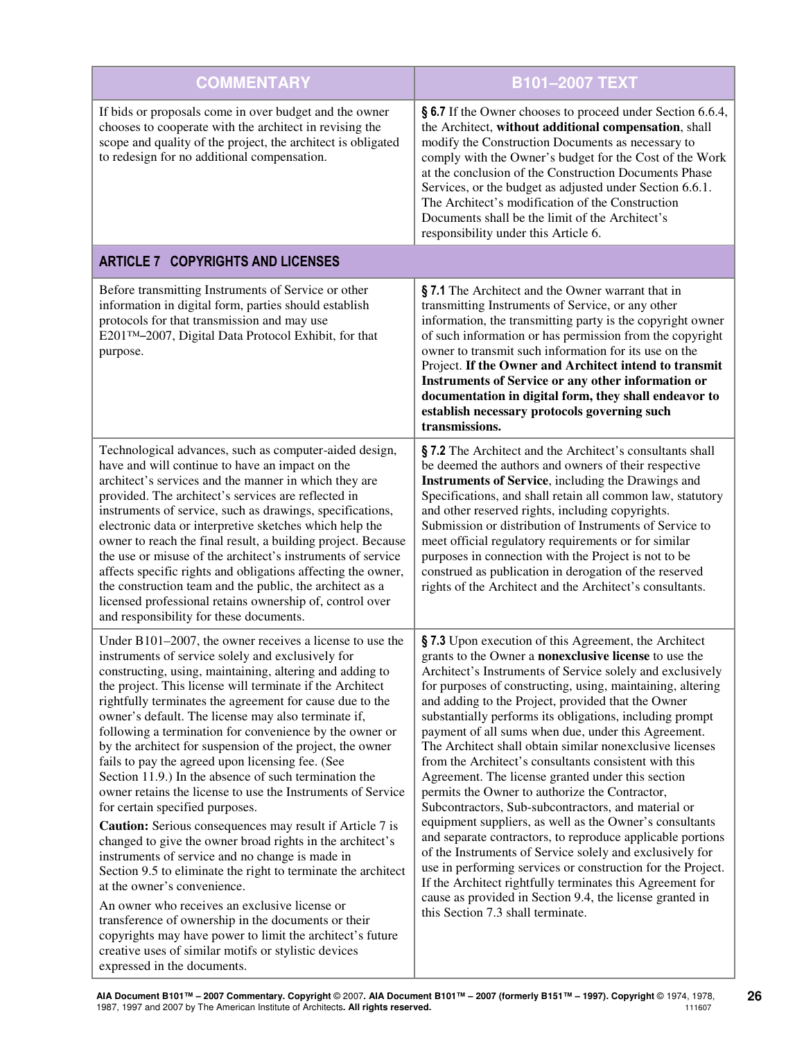| <b>COMMENTARY</b>                                                                                                                                                                                                                                                                                                                                                                                                                                                                                                                                                                                                                                                                                                                                                                                                                                                                                                                                                                                                                                                                                                                                                                                                                                  | B101-2007 TEXT                                                                                                                                                                                                                                                                                                                                                                                                                                                                                                                                                                                                                                                                                                                                                                                                                                                                                                                                                                                                                                                                                                         |
|----------------------------------------------------------------------------------------------------------------------------------------------------------------------------------------------------------------------------------------------------------------------------------------------------------------------------------------------------------------------------------------------------------------------------------------------------------------------------------------------------------------------------------------------------------------------------------------------------------------------------------------------------------------------------------------------------------------------------------------------------------------------------------------------------------------------------------------------------------------------------------------------------------------------------------------------------------------------------------------------------------------------------------------------------------------------------------------------------------------------------------------------------------------------------------------------------------------------------------------------------|------------------------------------------------------------------------------------------------------------------------------------------------------------------------------------------------------------------------------------------------------------------------------------------------------------------------------------------------------------------------------------------------------------------------------------------------------------------------------------------------------------------------------------------------------------------------------------------------------------------------------------------------------------------------------------------------------------------------------------------------------------------------------------------------------------------------------------------------------------------------------------------------------------------------------------------------------------------------------------------------------------------------------------------------------------------------------------------------------------------------|
| If bids or proposals come in over budget and the owner<br>chooses to cooperate with the architect in revising the<br>scope and quality of the project, the architect is obligated<br>to redesign for no additional compensation.                                                                                                                                                                                                                                                                                                                                                                                                                                                                                                                                                                                                                                                                                                                                                                                                                                                                                                                                                                                                                   | § 6.7 If the Owner chooses to proceed under Section 6.6.4,<br>the Architect, without additional compensation, shall<br>modify the Construction Documents as necessary to<br>comply with the Owner's budget for the Cost of the Work<br>at the conclusion of the Construction Documents Phase<br>Services, or the budget as adjusted under Section 6.6.1.<br>The Architect's modification of the Construction<br>Documents shall be the limit of the Architect's<br>responsibility under this Article 6.                                                                                                                                                                                                                                                                                                                                                                                                                                                                                                                                                                                                                |
| <b>ARTICLE 7 COPYRIGHTS AND LICENSES</b>                                                                                                                                                                                                                                                                                                                                                                                                                                                                                                                                                                                                                                                                                                                                                                                                                                                                                                                                                                                                                                                                                                                                                                                                           |                                                                                                                                                                                                                                                                                                                                                                                                                                                                                                                                                                                                                                                                                                                                                                                                                                                                                                                                                                                                                                                                                                                        |
| Before transmitting Instruments of Service or other<br>information in digital form, parties should establish<br>protocols for that transmission and may use<br>E201™-2007, Digital Data Protocol Exhibit, for that<br>purpose.                                                                                                                                                                                                                                                                                                                                                                                                                                                                                                                                                                                                                                                                                                                                                                                                                                                                                                                                                                                                                     | §7.1 The Architect and the Owner warrant that in<br>transmitting Instruments of Service, or any other<br>information, the transmitting party is the copyright owner<br>of such information or has permission from the copyright<br>owner to transmit such information for its use on the<br>Project. If the Owner and Architect intend to transmit<br>Instruments of Service or any other information or<br>documentation in digital form, they shall endeavor to<br>establish necessary protocols governing such<br>transmissions.                                                                                                                                                                                                                                                                                                                                                                                                                                                                                                                                                                                    |
| Technological advances, such as computer-aided design,<br>have and will continue to have an impact on the<br>architect's services and the manner in which they are<br>provided. The architect's services are reflected in<br>instruments of service, such as drawings, specifications,<br>electronic data or interpretive sketches which help the<br>owner to reach the final result, a building project. Because<br>the use or misuse of the architect's instruments of service<br>affects specific rights and obligations affecting the owner,<br>the construction team and the public, the architect as a<br>licensed professional retains ownership of, control over<br>and responsibility for these documents.                                                                                                                                                                                                                                                                                                                                                                                                                                                                                                                                | §7.2 The Architect and the Architect's consultants shall<br>be deemed the authors and owners of their respective<br>Instruments of Service, including the Drawings and<br>Specifications, and shall retain all common law, statutory<br>and other reserved rights, including copyrights.<br>Submission or distribution of Instruments of Service to<br>meet official regulatory requirements or for similar<br>purposes in connection with the Project is not to be<br>construed as publication in derogation of the reserved<br>rights of the Architect and the Architect's consultants.                                                                                                                                                                                                                                                                                                                                                                                                                                                                                                                              |
| Under $B101-2007$ , the owner receives a license to use the<br>instruments of service solely and exclusively for<br>constructing, using, maintaining, altering and adding to<br>the project. This license will terminate if the Architect<br>rightfully terminates the agreement for cause due to the<br>owner's default. The license may also terminate if,<br>following a termination for convenience by the owner or<br>by the architect for suspension of the project, the owner<br>fails to pay the agreed upon licensing fee. (See<br>Section 11.9.) In the absence of such termination the<br>owner retains the license to use the Instruments of Service<br>for certain specified purposes.<br><b>Caution:</b> Serious consequences may result if Article 7 is<br>changed to give the owner broad rights in the architect's<br>instruments of service and no change is made in<br>Section 9.5 to eliminate the right to terminate the architect<br>at the owner's convenience.<br>An owner who receives an exclusive license or<br>transference of ownership in the documents or their<br>copyrights may have power to limit the architect's future<br>creative uses of similar motifs or stylistic devices<br>expressed in the documents. | §7.3 Upon execution of this Agreement, the Architect<br>grants to the Owner a nonexclusive license to use the<br>Architect's Instruments of Service solely and exclusively<br>for purposes of constructing, using, maintaining, altering<br>and adding to the Project, provided that the Owner<br>substantially performs its obligations, including prompt<br>payment of all sums when due, under this Agreement.<br>The Architect shall obtain similar nonexclusive licenses<br>from the Architect's consultants consistent with this<br>Agreement. The license granted under this section<br>permits the Owner to authorize the Contractor,<br>Subcontractors, Sub-subcontractors, and material or<br>equipment suppliers, as well as the Owner's consultants<br>and separate contractors, to reproduce applicable portions<br>of the Instruments of Service solely and exclusively for<br>use in performing services or construction for the Project.<br>If the Architect rightfully terminates this Agreement for<br>cause as provided in Section 9.4, the license granted in<br>this Section 7.3 shall terminate. |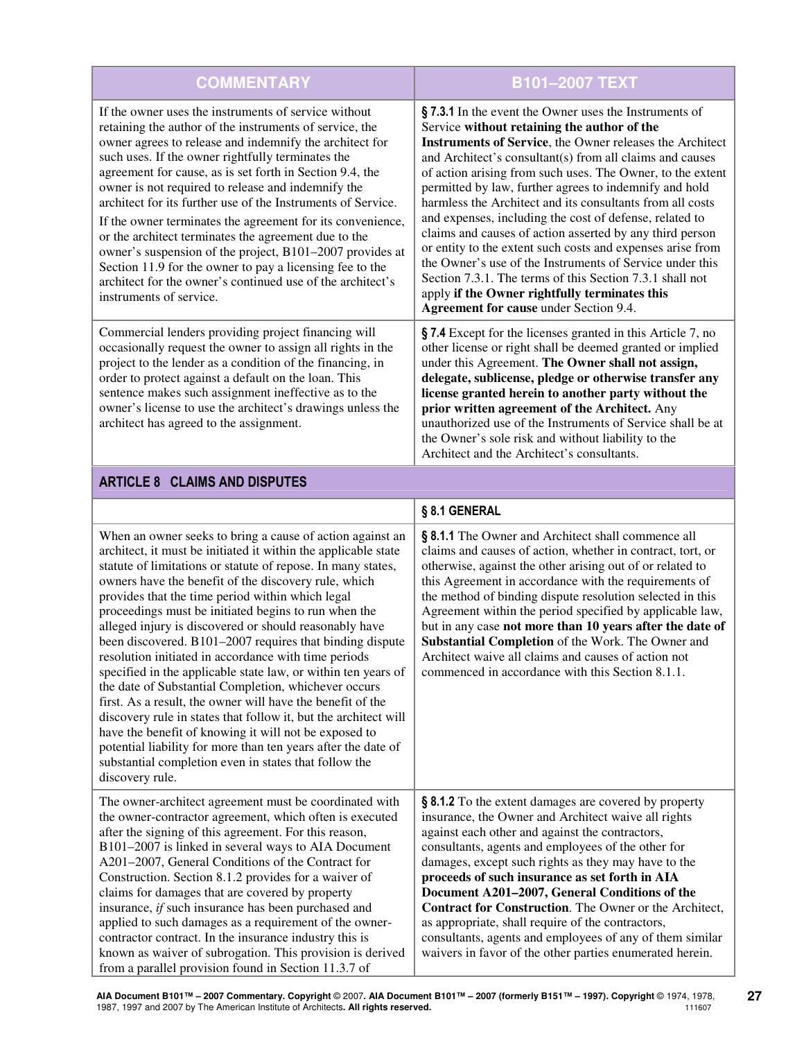| <b>COMMENTARY</b>                                                                                                                                                                                                                                                                                                                                                                                                                                                                                                                                                                                                                                                                                                                                        | <b>B101-2007 TEXT</b>                                                                                                                                                                                                                                                                                                                                                                                                                                                                                                                                                                                                                                                                                                                                                                                                              |
|----------------------------------------------------------------------------------------------------------------------------------------------------------------------------------------------------------------------------------------------------------------------------------------------------------------------------------------------------------------------------------------------------------------------------------------------------------------------------------------------------------------------------------------------------------------------------------------------------------------------------------------------------------------------------------------------------------------------------------------------------------|------------------------------------------------------------------------------------------------------------------------------------------------------------------------------------------------------------------------------------------------------------------------------------------------------------------------------------------------------------------------------------------------------------------------------------------------------------------------------------------------------------------------------------------------------------------------------------------------------------------------------------------------------------------------------------------------------------------------------------------------------------------------------------------------------------------------------------|
| If the owner uses the instruments of service without<br>retaining the author of the instruments of service, the<br>owner agrees to release and indemnify the architect for<br>such uses. If the owner rightfully terminates the<br>agreement for cause, as is set forth in Section 9.4, the<br>owner is not required to release and indemnify the<br>architect for its further use of the Instruments of Service.<br>If the owner terminates the agreement for its convenience,<br>or the architect terminates the agreement due to the<br>owner's suspension of the project, B101-2007 provides at<br>Section 11.9 for the owner to pay a licensing fee to the<br>architect for the owner's continued use of the architect's<br>instruments of service. | § 7.3.1 In the event the Owner uses the Instruments of<br>Service without retaining the author of the<br><b>Instruments of Service</b> , the Owner releases the Architect<br>and Architect's consultant(s) from all claims and causes<br>of action arising from such uses. The Owner, to the extent<br>permitted by law, further agrees to indemnify and hold<br>harmless the Architect and its consultants from all costs<br>and expenses, including the cost of defense, related to<br>claims and causes of action asserted by any third person<br>or entity to the extent such costs and expenses arise from<br>the Owner's use of the Instruments of Service under this<br>Section 7.3.1. The terms of this Section 7.3.1 shall not<br>apply if the Owner rightfully terminates this<br>Agreement for cause under Section 9.4. |
| Commercial lenders providing project financing will<br>occasionally request the owner to assign all rights in the<br>project to the lender as a condition of the financing, in<br>order to protect against a default on the loan. This<br>sentence makes such assignment ineffective as to the<br>owner's license to use the architect's drawings unless the<br>architect has agreed to the assignment.                                                                                                                                                                                                                                                                                                                                                  | § 7.4 Except for the licenses granted in this Article 7, no<br>other license or right shall be deemed granted or implied<br>under this Agreement. The Owner shall not assign,<br>delegate, sublicense, pledge or otherwise transfer any<br>license granted herein to another party without the<br>prior written agreement of the Architect. Any<br>unauthorized use of the Instruments of Service shall be at<br>the Owner's sole risk and without liability to the<br>Architect and the Architect's consultants.                                                                                                                                                                                                                                                                                                                  |

# ARTICLE 8 CLAIMS AND DISPUTES

|                                                                                                                                                                                                                                                                                                                                                                                                                                                                                                                                                                                                                                                                                                                                                                                                                                                                                                                                                                                                               | § 8.1 GENERAL                                                                                                                                                                                                                                                                                                                                                                                                                                                                                                                                                                                                          |
|---------------------------------------------------------------------------------------------------------------------------------------------------------------------------------------------------------------------------------------------------------------------------------------------------------------------------------------------------------------------------------------------------------------------------------------------------------------------------------------------------------------------------------------------------------------------------------------------------------------------------------------------------------------------------------------------------------------------------------------------------------------------------------------------------------------------------------------------------------------------------------------------------------------------------------------------------------------------------------------------------------------|------------------------------------------------------------------------------------------------------------------------------------------------------------------------------------------------------------------------------------------------------------------------------------------------------------------------------------------------------------------------------------------------------------------------------------------------------------------------------------------------------------------------------------------------------------------------------------------------------------------------|
| When an owner seeks to bring a cause of action against an<br>architect, it must be initiated it within the applicable state<br>statute of limitations or statute of repose. In many states,<br>owners have the benefit of the discovery rule, which<br>provides that the time period within which legal<br>proceedings must be initiated begins to run when the<br>alleged injury is discovered or should reasonably have<br>been discovered. B101-2007 requires that binding dispute<br>resolution initiated in accordance with time periods<br>specified in the applicable state law, or within ten years of<br>the date of Substantial Completion, whichever occurs<br>first. As a result, the owner will have the benefit of the<br>discovery rule in states that follow it, but the architect will<br>have the benefit of knowing it will not be exposed to<br>potential liability for more than ten years after the date of<br>substantial completion even in states that follow the<br>discovery rule. | § 8.1.1 The Owner and Architect shall commence all<br>claims and causes of action, whether in contract, tort, or<br>otherwise, against the other arising out of or related to<br>this Agreement in accordance with the requirements of<br>the method of binding dispute resolution selected in this<br>Agreement within the period specified by applicable law,<br>but in any case not more than 10 years after the date of<br>Substantial Completion of the Work. The Owner and<br>Architect waive all claims and causes of action not<br>commenced in accordance with this Section 8.1.1.                            |
| The owner-architect agreement must be coordinated with<br>the owner-contractor agreement, which often is executed<br>after the signing of this agreement. For this reason,<br>B101-2007 is linked in several ways to AIA Document<br>A201-2007, General Conditions of the Contract for<br>Construction. Section 8.1.2 provides for a waiver of<br>claims for damages that are covered by property<br>insurance, if such insurance has been purchased and<br>applied to such damages as a requirement of the owner-<br>contractor contract. In the insurance industry this is<br>known as waiver of subrogation. This provision is derived<br>from a parallel provision found in Section 11.3.7 of                                                                                                                                                                                                                                                                                                             | § 8.1.2 To the extent damages are covered by property<br>insurance, the Owner and Architect waive all rights<br>against each other and against the contractors,<br>consultants, agents and employees of the other for<br>damages, except such rights as they may have to the<br>proceeds of such insurance as set forth in AIA<br>Document A201-2007, General Conditions of the<br>Contract for Construction. The Owner or the Architect,<br>as appropriate, shall require of the contractors,<br>consultants, agents and employees of any of them similar<br>waivers in favor of the other parties enumerated herein. |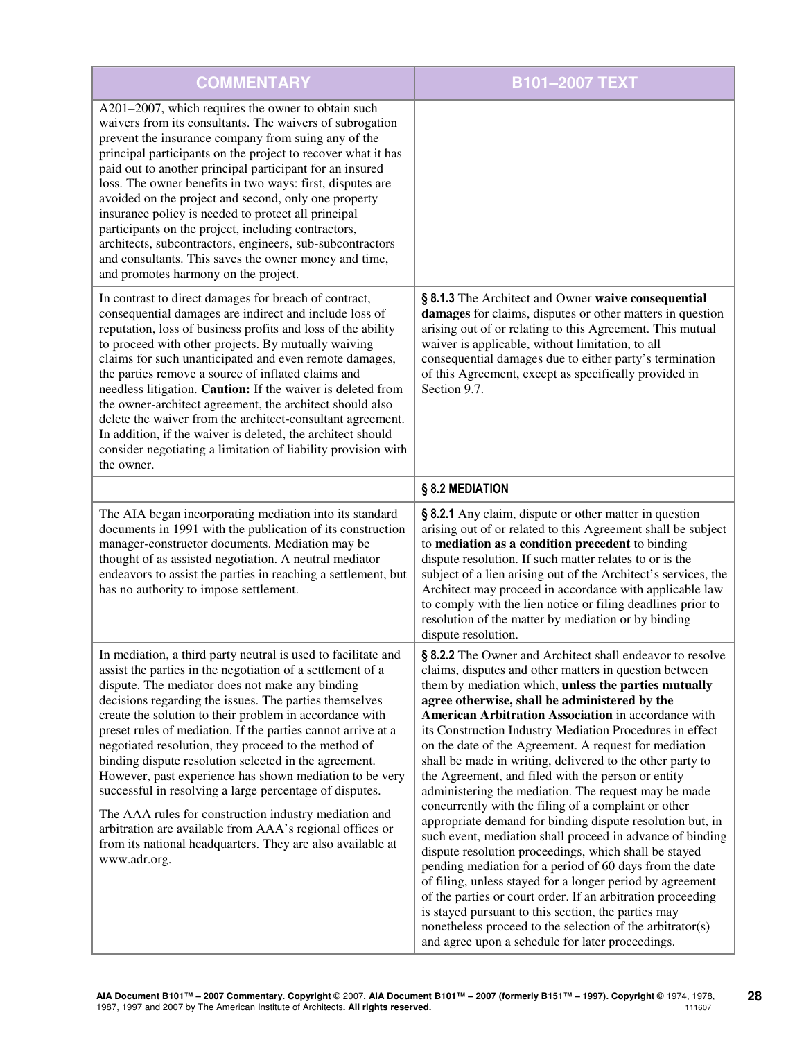| <b>COMMENTARY</b>                                                                                                                                                                                                                                                                                                                                                                                                                                                                                                                                                                                                                                                                                                                                                                                             | B101-2007 TEXT                                                                                                                                                                                                                                                                                                                                                                                                                                                                                                                                                                                                                                                                                                                                                                                                                                                                                                                                                                                                                                                                                                                                                                                |
|---------------------------------------------------------------------------------------------------------------------------------------------------------------------------------------------------------------------------------------------------------------------------------------------------------------------------------------------------------------------------------------------------------------------------------------------------------------------------------------------------------------------------------------------------------------------------------------------------------------------------------------------------------------------------------------------------------------------------------------------------------------------------------------------------------------|-----------------------------------------------------------------------------------------------------------------------------------------------------------------------------------------------------------------------------------------------------------------------------------------------------------------------------------------------------------------------------------------------------------------------------------------------------------------------------------------------------------------------------------------------------------------------------------------------------------------------------------------------------------------------------------------------------------------------------------------------------------------------------------------------------------------------------------------------------------------------------------------------------------------------------------------------------------------------------------------------------------------------------------------------------------------------------------------------------------------------------------------------------------------------------------------------|
| A201-2007, which requires the owner to obtain such<br>waivers from its consultants. The waivers of subrogation<br>prevent the insurance company from suing any of the<br>principal participants on the project to recover what it has<br>paid out to another principal participant for an insured<br>loss. The owner benefits in two ways: first, disputes are<br>avoided on the project and second, only one property<br>insurance policy is needed to protect all principal<br>participants on the project, including contractors,<br>architects, subcontractors, engineers, sub-subcontractors<br>and consultants. This saves the owner money and time,<br>and promotes harmony on the project.                                                                                                            |                                                                                                                                                                                                                                                                                                                                                                                                                                                                                                                                                                                                                                                                                                                                                                                                                                                                                                                                                                                                                                                                                                                                                                                               |
| In contrast to direct damages for breach of contract,<br>consequential damages are indirect and include loss of<br>reputation, loss of business profits and loss of the ability<br>to proceed with other projects. By mutually waiving<br>claims for such unanticipated and even remote damages,<br>the parties remove a source of inflated claims and<br>needless litigation. Caution: If the waiver is deleted from<br>the owner-architect agreement, the architect should also<br>delete the waiver from the architect-consultant agreement.<br>In addition, if the waiver is deleted, the architect should<br>consider negotiating a limitation of liability provision with<br>the owner.                                                                                                                 | § 8.1.3 The Architect and Owner waive consequential<br>damages for claims, disputes or other matters in question<br>arising out of or relating to this Agreement. This mutual<br>waiver is applicable, without limitation, to all<br>consequential damages due to either party's termination<br>of this Agreement, except as specifically provided in<br>Section 9.7.                                                                                                                                                                                                                                                                                                                                                                                                                                                                                                                                                                                                                                                                                                                                                                                                                         |
|                                                                                                                                                                                                                                                                                                                                                                                                                                                                                                                                                                                                                                                                                                                                                                                                               | § 8.2 MEDIATION                                                                                                                                                                                                                                                                                                                                                                                                                                                                                                                                                                                                                                                                                                                                                                                                                                                                                                                                                                                                                                                                                                                                                                               |
| The AIA began incorporating mediation into its standard<br>documents in 1991 with the publication of its construction<br>manager-constructor documents. Mediation may be<br>thought of as assisted negotiation. A neutral mediator<br>endeavors to assist the parties in reaching a settlement, but<br>has no authority to impose settlement.                                                                                                                                                                                                                                                                                                                                                                                                                                                                 | § 8.2.1 Any claim, dispute or other matter in question<br>arising out of or related to this Agreement shall be subject<br>to mediation as a condition precedent to binding<br>dispute resolution. If such matter relates to or is the<br>subject of a lien arising out of the Architect's services, the<br>Architect may proceed in accordance with applicable law<br>to comply with the lien notice or filing deadlines prior to<br>resolution of the matter by mediation or by binding<br>dispute resolution.                                                                                                                                                                                                                                                                                                                                                                                                                                                                                                                                                                                                                                                                               |
| In mediation, a third party neutral is used to facilitate and<br>assist the parties in the negotiation of a settlement of a<br>dispute. The mediator does not make any binding<br>decisions regarding the issues. The parties themselves<br>create the solution to their problem in accordance with<br>preset rules of mediation. If the parties cannot arrive at a<br>negotiated resolution, they proceed to the method of<br>binding dispute resolution selected in the agreement.<br>However, past experience has shown mediation to be very<br>successful in resolving a large percentage of disputes.<br>The AAA rules for construction industry mediation and<br>arbitration are available from AAA's regional offices or<br>from its national headquarters. They are also available at<br>www.adr.org. | § 8.2.2 The Owner and Architect shall endeavor to resolve<br>claims, disputes and other matters in question between<br>them by mediation which, unless the parties mutually<br>agree otherwise, shall be administered by the<br>American Arbitration Association in accordance with<br>its Construction Industry Mediation Procedures in effect<br>on the date of the Agreement. A request for mediation<br>shall be made in writing, delivered to the other party to<br>the Agreement, and filed with the person or entity<br>administering the mediation. The request may be made<br>concurrently with the filing of a complaint or other<br>appropriate demand for binding dispute resolution but, in<br>such event, mediation shall proceed in advance of binding<br>dispute resolution proceedings, which shall be stayed<br>pending mediation for a period of 60 days from the date<br>of filing, unless stayed for a longer period by agreement<br>of the parties or court order. If an arbitration proceeding<br>is stayed pursuant to this section, the parties may<br>nonetheless proceed to the selection of the arbitrator(s)<br>and agree upon a schedule for later proceedings. |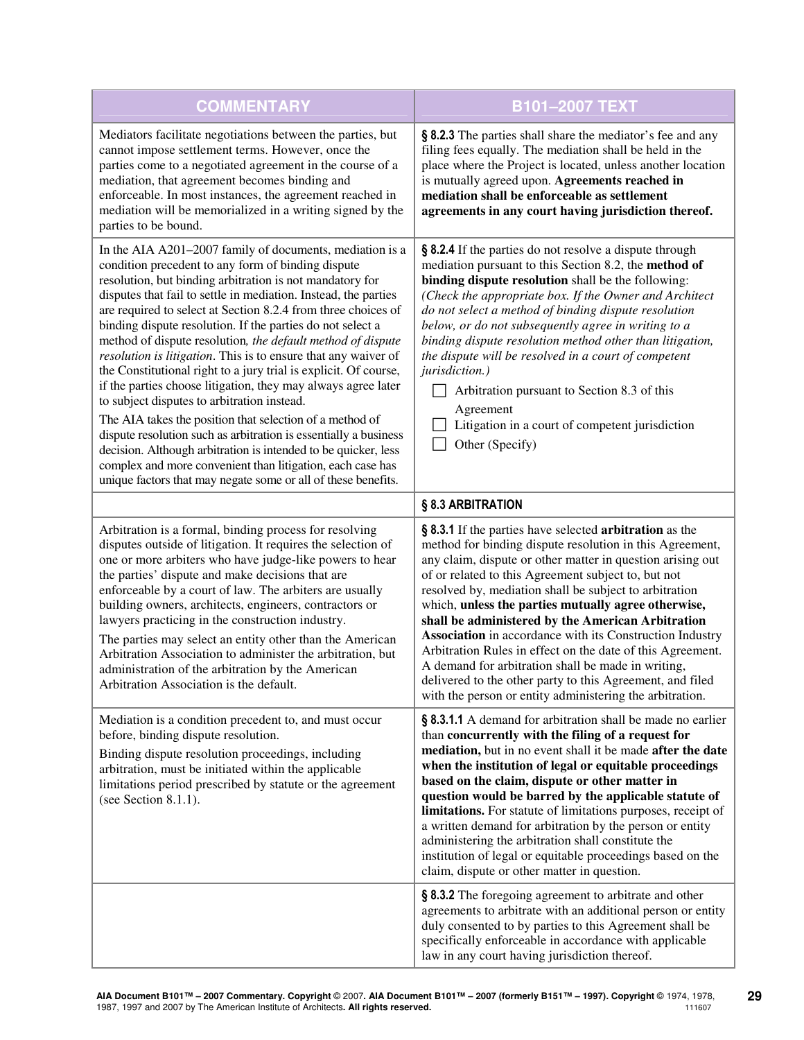| <b>COMMENTARY</b>                                                                                                                                                                                                                                                                                                                                                                                                                                                                                                                                                                                                                                                                                                                                                                                                                                                                                                                                                                                                                  | B101-2007 TEXT                                                                                                                                                                                                                                                                                                                                                                                                                                                                                                                                                                                                                                                                                                          |
|------------------------------------------------------------------------------------------------------------------------------------------------------------------------------------------------------------------------------------------------------------------------------------------------------------------------------------------------------------------------------------------------------------------------------------------------------------------------------------------------------------------------------------------------------------------------------------------------------------------------------------------------------------------------------------------------------------------------------------------------------------------------------------------------------------------------------------------------------------------------------------------------------------------------------------------------------------------------------------------------------------------------------------|-------------------------------------------------------------------------------------------------------------------------------------------------------------------------------------------------------------------------------------------------------------------------------------------------------------------------------------------------------------------------------------------------------------------------------------------------------------------------------------------------------------------------------------------------------------------------------------------------------------------------------------------------------------------------------------------------------------------------|
| Mediators facilitate negotiations between the parties, but<br>cannot impose settlement terms. However, once the<br>parties come to a negotiated agreement in the course of a<br>mediation, that agreement becomes binding and<br>enforceable. In most instances, the agreement reached in<br>mediation will be memorialized in a writing signed by the<br>parties to be bound.                                                                                                                                                                                                                                                                                                                                                                                                                                                                                                                                                                                                                                                     | § 8.2.3 The parties shall share the mediator's fee and any<br>filing fees equally. The mediation shall be held in the<br>place where the Project is located, unless another location<br>is mutually agreed upon. Agreements reached in<br>mediation shall be enforceable as settlement<br>agreements in any court having jurisdiction thereof.                                                                                                                                                                                                                                                                                                                                                                          |
| In the AIA A201-2007 family of documents, mediation is a<br>condition precedent to any form of binding dispute<br>resolution, but binding arbitration is not mandatory for<br>disputes that fail to settle in mediation. Instead, the parties<br>are required to select at Section 8.2.4 from three choices of<br>binding dispute resolution. If the parties do not select a<br>method of dispute resolution, the default method of dispute<br>resolution is litigation. This is to ensure that any waiver of<br>the Constitutional right to a jury trial is explicit. Of course,<br>if the parties choose litigation, they may always agree later<br>to subject disputes to arbitration instead.<br>The AIA takes the position that selection of a method of<br>dispute resolution such as arbitration is essentially a business<br>decision. Although arbitration is intended to be quicker, less<br>complex and more convenient than litigation, each case has<br>unique factors that may negate some or all of these benefits. | § 8.2.4 If the parties do not resolve a dispute through<br>mediation pursuant to this Section 8.2, the method of<br>binding dispute resolution shall be the following:<br>(Check the appropriate box. If the Owner and Architect<br>do not select a method of binding dispute resolution<br>below, or do not subsequently agree in writing to a<br>binding dispute resolution method other than litigation,<br>the dispute will be resolved in a court of competent<br>jurisdiction.)<br>Arbitration pursuant to Section 8.3 of this<br>Agreement<br>Litigation in a court of competent jurisdiction<br>Other (Specify)                                                                                                 |
|                                                                                                                                                                                                                                                                                                                                                                                                                                                                                                                                                                                                                                                                                                                                                                                                                                                                                                                                                                                                                                    | § 8.3 ARBITRATION                                                                                                                                                                                                                                                                                                                                                                                                                                                                                                                                                                                                                                                                                                       |
| Arbitration is a formal, binding process for resolving<br>disputes outside of litigation. It requires the selection of<br>one or more arbiters who have judge-like powers to hear<br>the parties' dispute and make decisions that are<br>enforceable by a court of law. The arbiters are usually<br>building owners, architects, engineers, contractors or<br>lawyers practicing in the construction industry.<br>The parties may select an entity other than the American<br>Arbitration Association to administer the arbitration, but<br>administration of the arbitration by the American<br>Arbitration Association is the default.                                                                                                                                                                                                                                                                                                                                                                                           | § 8.3.1 If the parties have selected arbitration as the<br>method for binding dispute resolution in this Agreement,<br>any claim, dispute or other matter in question arising out<br>of or related to this Agreement subject to, but not<br>resolved by, mediation shall be subject to arbitration<br>which, unless the parties mutually agree otherwise,<br>shall be administered by the American Arbitration<br>Association in accordance with its Construction Industry<br>Arbitration Rules in effect on the date of this Agreement.<br>A demand for arbitration shall be made in writing,<br>delivered to the other party to this Agreement, and filed<br>with the person or entity administering the arbitration. |
| Mediation is a condition precedent to, and must occur<br>before, binding dispute resolution.<br>Binding dispute resolution proceedings, including<br>arbitration, must be initiated within the applicable<br>limitations period prescribed by statute or the agreement<br>(see Section 8.1.1).                                                                                                                                                                                                                                                                                                                                                                                                                                                                                                                                                                                                                                                                                                                                     | § 8.3.1.1 A demand for arbitration shall be made no earlier<br>than concurrently with the filing of a request for<br>mediation, but in no event shall it be made after the date<br>when the institution of legal or equitable proceedings<br>based on the claim, dispute or other matter in<br>question would be barred by the applicable statute of<br>limitations. For statute of limitations purposes, receipt of<br>a written demand for arbitration by the person or entity<br>administering the arbitration shall constitute the<br>institution of legal or equitable proceedings based on the<br>claim, dispute or other matter in question.                                                                     |
|                                                                                                                                                                                                                                                                                                                                                                                                                                                                                                                                                                                                                                                                                                                                                                                                                                                                                                                                                                                                                                    | § 8.3.2 The foregoing agreement to arbitrate and other<br>agreements to arbitrate with an additional person or entity<br>duly consented to by parties to this Agreement shall be<br>specifically enforceable in accordance with applicable<br>law in any court having jurisdiction thereof.                                                                                                                                                                                                                                                                                                                                                                                                                             |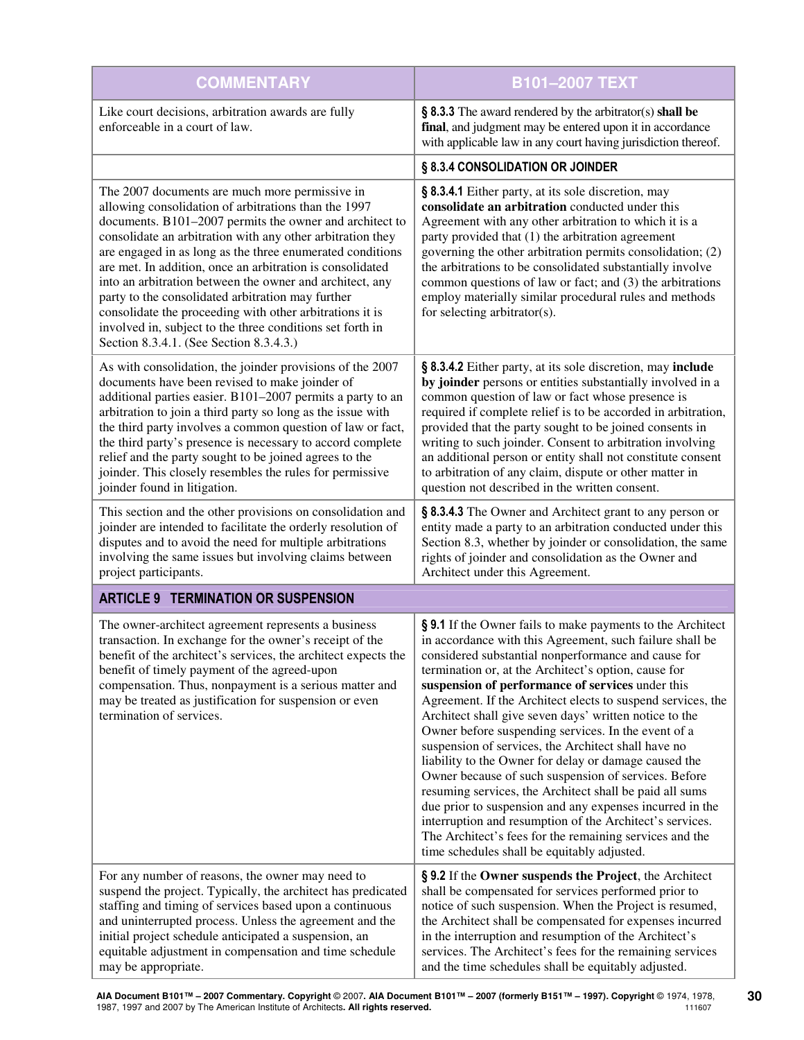| <b>COMMENTARY</b>                                                                                                                                                                                                                                                                                                                                                                                                                                                                                                                                                                                                                              | B101-2007 TEXT                                                                                                                                                                                                                                                                                                                                                                                                                                                                                                                                                                                                                                                                                                                                                                                                                                                                                                                                 |
|------------------------------------------------------------------------------------------------------------------------------------------------------------------------------------------------------------------------------------------------------------------------------------------------------------------------------------------------------------------------------------------------------------------------------------------------------------------------------------------------------------------------------------------------------------------------------------------------------------------------------------------------|------------------------------------------------------------------------------------------------------------------------------------------------------------------------------------------------------------------------------------------------------------------------------------------------------------------------------------------------------------------------------------------------------------------------------------------------------------------------------------------------------------------------------------------------------------------------------------------------------------------------------------------------------------------------------------------------------------------------------------------------------------------------------------------------------------------------------------------------------------------------------------------------------------------------------------------------|
| Like court decisions, arbitration awards are fully<br>enforceable in a court of law.                                                                                                                                                                                                                                                                                                                                                                                                                                                                                                                                                           | § 8.3.3 The award rendered by the arbitrator(s) shall be<br>final, and judgment may be entered upon it in accordance<br>with applicable law in any court having jurisdiction thereof.                                                                                                                                                                                                                                                                                                                                                                                                                                                                                                                                                                                                                                                                                                                                                          |
|                                                                                                                                                                                                                                                                                                                                                                                                                                                                                                                                                                                                                                                | § 8.3.4 CONSOLIDATION OR JOINDER                                                                                                                                                                                                                                                                                                                                                                                                                                                                                                                                                                                                                                                                                                                                                                                                                                                                                                               |
| The 2007 documents are much more permissive in<br>allowing consolidation of arbitrations than the 1997<br>documents. B101-2007 permits the owner and architect to<br>consolidate an arbitration with any other arbitration they<br>are engaged in as long as the three enumerated conditions<br>are met. In addition, once an arbitration is consolidated<br>into an arbitration between the owner and architect, any<br>party to the consolidated arbitration may further<br>consolidate the proceeding with other arbitrations it is<br>involved in, subject to the three conditions set forth in<br>Section 8.3.4.1. (See Section 8.3.4.3.) | § 8.3.4.1 Either party, at its sole discretion, may<br>consolidate an arbitration conducted under this<br>Agreement with any other arbitration to which it is a<br>party provided that (1) the arbitration agreement<br>governing the other arbitration permits consolidation; (2)<br>the arbitrations to be consolidated substantially involve<br>common questions of law or fact; and (3) the arbitrations<br>employ materially similar procedural rules and methods<br>for selecting arbitrator(s).                                                                                                                                                                                                                                                                                                                                                                                                                                         |
| As with consolidation, the joinder provisions of the 2007<br>documents have been revised to make joinder of<br>additional parties easier. B101-2007 permits a party to an<br>arbitration to join a third party so long as the issue with<br>the third party involves a common question of law or fact,<br>the third party's presence is necessary to accord complete<br>relief and the party sought to be joined agrees to the<br>joinder. This closely resembles the rules for permissive<br>joinder found in litigation.                                                                                                                     | § 8.3.4.2 Either party, at its sole discretion, may include<br>by joinder persons or entities substantially involved in a<br>common question of law or fact whose presence is<br>required if complete relief is to be accorded in arbitration,<br>provided that the party sought to be joined consents in<br>writing to such joinder. Consent to arbitration involving<br>an additional person or entity shall not constitute consent<br>to arbitration of any claim, dispute or other matter in<br>question not described in the written consent.                                                                                                                                                                                                                                                                                                                                                                                             |
| This section and the other provisions on consolidation and<br>joinder are intended to facilitate the orderly resolution of<br>disputes and to avoid the need for multiple arbitrations<br>involving the same issues but involving claims between<br>project participants.                                                                                                                                                                                                                                                                                                                                                                      | § 8.3.4.3 The Owner and Architect grant to any person or<br>entity made a party to an arbitration conducted under this<br>Section 8.3, whether by joinder or consolidation, the same<br>rights of joinder and consolidation as the Owner and<br>Architect under this Agreement.                                                                                                                                                                                                                                                                                                                                                                                                                                                                                                                                                                                                                                                                |
| <b>ARTICLE 9 TERMINATION OR SUSPENSION</b>                                                                                                                                                                                                                                                                                                                                                                                                                                                                                                                                                                                                     |                                                                                                                                                                                                                                                                                                                                                                                                                                                                                                                                                                                                                                                                                                                                                                                                                                                                                                                                                |
| The owner-architect agreement represents a business<br>transaction. In exchange for the owner's receipt of the<br>benefit of the architect's services, the architect expects the<br>benefit of timely payment of the agreed-upon<br>compensation. Thus, nonpayment is a serious matter and<br>may be treated as justification for suspension or even<br>termination of services.                                                                                                                                                                                                                                                               | § 9.1 If the Owner fails to make payments to the Architect<br>in accordance with this Agreement, such failure shall be<br>considered substantial nonperformance and cause for<br>termination or, at the Architect's option, cause for<br>suspension of performance of services under this<br>Agreement. If the Architect elects to suspend services, the<br>Architect shall give seven days' written notice to the<br>Owner before suspending services. In the event of a<br>suspension of services, the Architect shall have no<br>liability to the Owner for delay or damage caused the<br>Owner because of such suspension of services. Before<br>resuming services, the Architect shall be paid all sums<br>due prior to suspension and any expenses incurred in the<br>interruption and resumption of the Architect's services.<br>The Architect's fees for the remaining services and the<br>time schedules shall be equitably adjusted. |
| For any number of reasons, the owner may need to<br>suspend the project. Typically, the architect has predicated<br>staffing and timing of services based upon a continuous<br>and uninterrupted process. Unless the agreement and the<br>initial project schedule anticipated a suspension, an<br>equitable adjustment in compensation and time schedule<br>may be appropriate.                                                                                                                                                                                                                                                               | § 9.2 If the Owner suspends the Project, the Architect<br>shall be compensated for services performed prior to<br>notice of such suspension. When the Project is resumed,<br>the Architect shall be compensated for expenses incurred<br>in the interruption and resumption of the Architect's<br>services. The Architect's fees for the remaining services<br>and the time schedules shall be equitably adjusted.                                                                                                                                                                                                                                                                                                                                                                                                                                                                                                                             |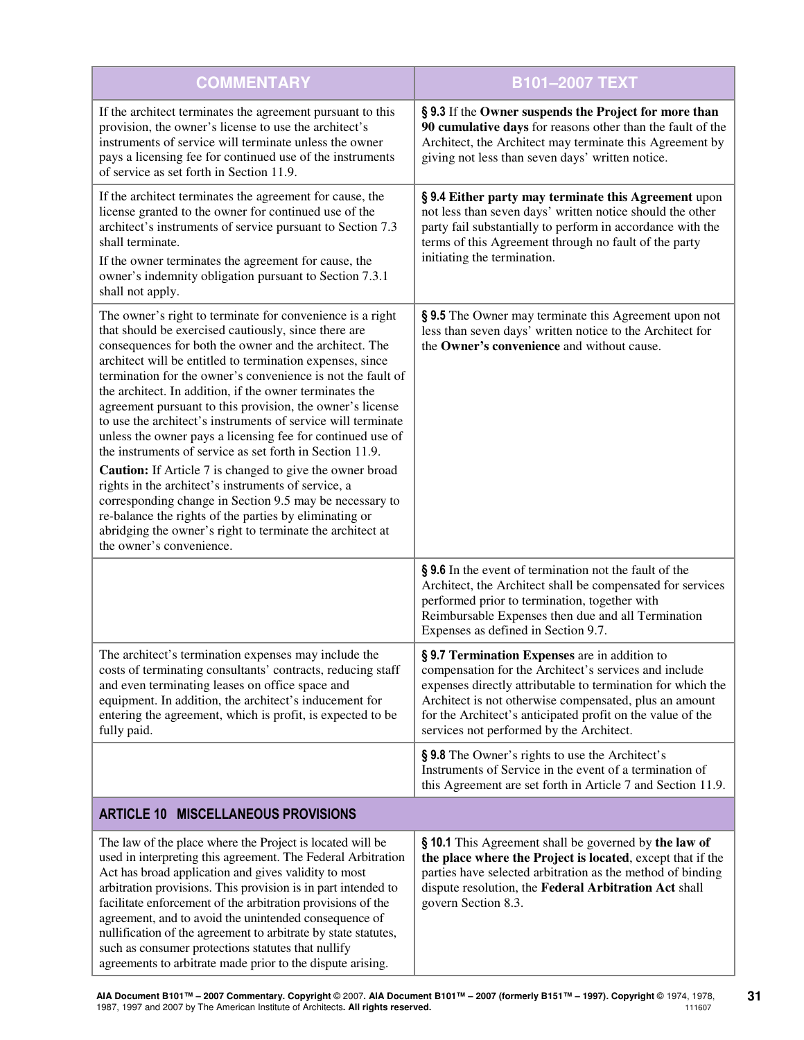| <b>COMMENTARY</b>                                                                                                                                                                                                                                                                                                                                                                                                                                                                                                                                                                                                                                                                                                                                                                                                                                                                                                                                          | <b>B101-2007 TEXT</b>                                                                                                                                                                                                                                                                                                                     |
|------------------------------------------------------------------------------------------------------------------------------------------------------------------------------------------------------------------------------------------------------------------------------------------------------------------------------------------------------------------------------------------------------------------------------------------------------------------------------------------------------------------------------------------------------------------------------------------------------------------------------------------------------------------------------------------------------------------------------------------------------------------------------------------------------------------------------------------------------------------------------------------------------------------------------------------------------------|-------------------------------------------------------------------------------------------------------------------------------------------------------------------------------------------------------------------------------------------------------------------------------------------------------------------------------------------|
| If the architect terminates the agreement pursuant to this<br>provision, the owner's license to use the architect's<br>instruments of service will terminate unless the owner<br>pays a licensing fee for continued use of the instruments<br>of service as set forth in Section 11.9.                                                                                                                                                                                                                                                                                                                                                                                                                                                                                                                                                                                                                                                                     | § 9.3 If the Owner suspends the Project for more than<br>90 cumulative days for reasons other than the fault of the<br>Architect, the Architect may terminate this Agreement by<br>giving not less than seven days' written notice.                                                                                                       |
| If the architect terminates the agreement for cause, the<br>license granted to the owner for continued use of the<br>architect's instruments of service pursuant to Section 7.3<br>shall terminate.<br>If the owner terminates the agreement for cause, the<br>owner's indemnity obligation pursuant to Section 7.3.1<br>shall not apply.                                                                                                                                                                                                                                                                                                                                                                                                                                                                                                                                                                                                                  | § 9.4 Either party may terminate this Agreement upon<br>not less than seven days' written notice should the other<br>party fail substantially to perform in accordance with the<br>terms of this Agreement through no fault of the party<br>initiating the termination.                                                                   |
| The owner's right to terminate for convenience is a right<br>that should be exercised cautiously, since there are<br>consequences for both the owner and the architect. The<br>architect will be entitled to termination expenses, since<br>termination for the owner's convenience is not the fault of<br>the architect. In addition, if the owner terminates the<br>agreement pursuant to this provision, the owner's license<br>to use the architect's instruments of service will terminate<br>unless the owner pays a licensing fee for continued use of<br>the instruments of service as set forth in Section 11.9.<br>Caution: If Article 7 is changed to give the owner broad<br>rights in the architect's instruments of service, a<br>corresponding change in Section 9.5 may be necessary to<br>re-balance the rights of the parties by eliminating or<br>abridging the owner's right to terminate the architect at<br>the owner's convenience. | § 9.5 The Owner may terminate this Agreement upon not<br>less than seven days' written notice to the Architect for<br>the Owner's convenience and without cause.                                                                                                                                                                          |
|                                                                                                                                                                                                                                                                                                                                                                                                                                                                                                                                                                                                                                                                                                                                                                                                                                                                                                                                                            | § 9.6 In the event of termination not the fault of the<br>Architect, the Architect shall be compensated for services<br>performed prior to termination, together with<br>Reimbursable Expenses then due and all Termination<br>Expenses as defined in Section 9.7.                                                                        |
| The architect's termination expenses may include the<br>costs of terminating consultants' contracts, reducing staff<br>and even terminating leases on office space and<br>equipment. In addition, the architect's inducement for<br>entering the agreement, which is profit, is expected to be<br>fully paid.                                                                                                                                                                                                                                                                                                                                                                                                                                                                                                                                                                                                                                              | § 9.7 Termination Expenses are in addition to<br>compensation for the Architect's services and include<br>expenses directly attributable to termination for which the<br>Architect is not otherwise compensated, plus an amount<br>for the Architect's anticipated profit on the value of the<br>services not performed by the Architect. |
|                                                                                                                                                                                                                                                                                                                                                                                                                                                                                                                                                                                                                                                                                                                                                                                                                                                                                                                                                            | § 9.8 The Owner's rights to use the Architect's<br>Instruments of Service in the event of a termination of<br>this Agreement are set forth in Article 7 and Section 11.9.                                                                                                                                                                 |
| <b>ARTICLE 10 MISCELLANEOUS PROVISIONS</b>                                                                                                                                                                                                                                                                                                                                                                                                                                                                                                                                                                                                                                                                                                                                                                                                                                                                                                                 |                                                                                                                                                                                                                                                                                                                                           |
| The law of the place where the Project is located will be<br>used in interpreting this agreement. The Federal Arbitration<br>Act has broad application and gives validity to most<br>arbitration provisions. This provision is in part intended to<br>facilitate enforcement of the arbitration provisions of the<br>agreement, and to avoid the unintended consequence of<br>nullification of the agreement to arbitrate by state statutes,<br>such as consumer protections statutes that nullify<br>agreements to arbitrate made prior to the dispute arising.                                                                                                                                                                                                                                                                                                                                                                                           | § 10.1 This Agreement shall be governed by the law of<br>the place where the Project is located, except that if the<br>parties have selected arbitration as the method of binding<br>dispute resolution, the Federal Arbitration Act shall<br>govern Section 8.3.                                                                         |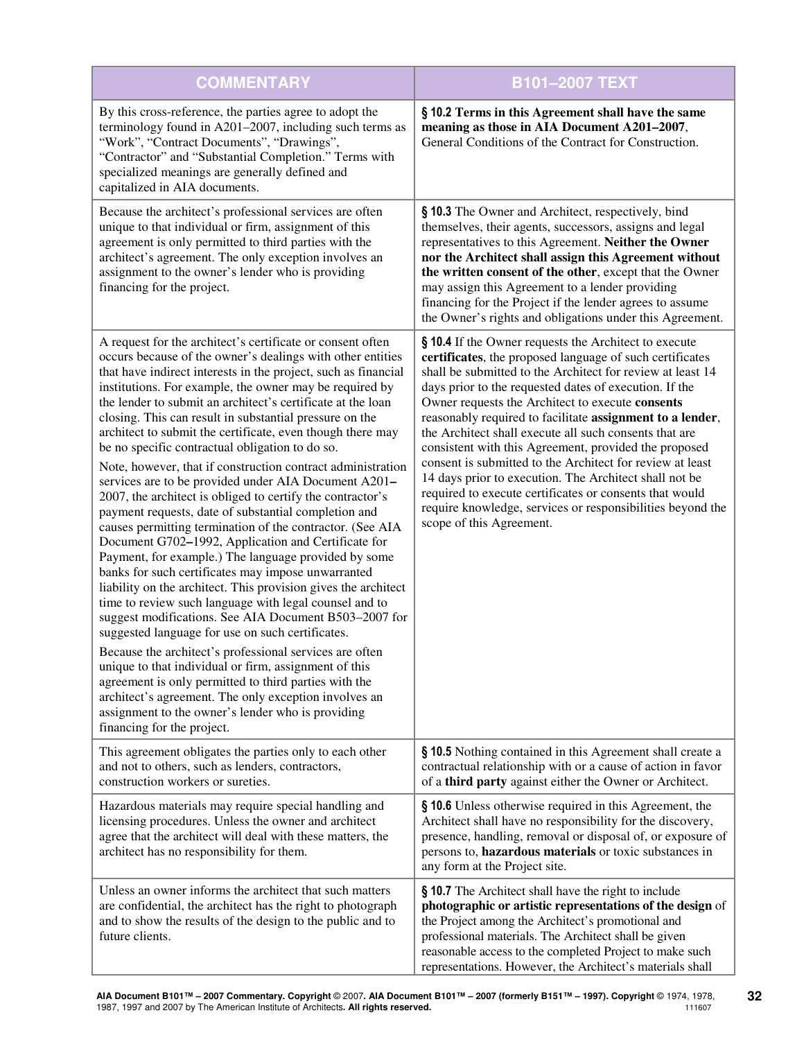| <b>COMMENTARY</b>                                                                                                                                                                                                                                                                                                                                                                                                                                                                                                                                                                                                                                                                                                                                                                                                                                                                                                                                                                                                                                                                                                                                                                                                                                                                                                                                                                                                                                                                                                                                 | <b>B101-2007 TEXT</b>                                                                                                                                                                                                                                                                                                                                                                                                                                                                                                                                                                                                                                                                                                                                     |
|---------------------------------------------------------------------------------------------------------------------------------------------------------------------------------------------------------------------------------------------------------------------------------------------------------------------------------------------------------------------------------------------------------------------------------------------------------------------------------------------------------------------------------------------------------------------------------------------------------------------------------------------------------------------------------------------------------------------------------------------------------------------------------------------------------------------------------------------------------------------------------------------------------------------------------------------------------------------------------------------------------------------------------------------------------------------------------------------------------------------------------------------------------------------------------------------------------------------------------------------------------------------------------------------------------------------------------------------------------------------------------------------------------------------------------------------------------------------------------------------------------------------------------------------------|-----------------------------------------------------------------------------------------------------------------------------------------------------------------------------------------------------------------------------------------------------------------------------------------------------------------------------------------------------------------------------------------------------------------------------------------------------------------------------------------------------------------------------------------------------------------------------------------------------------------------------------------------------------------------------------------------------------------------------------------------------------|
| By this cross-reference, the parties agree to adopt the<br>terminology found in A201-2007, including such terms as<br>"Work", "Contract Documents", "Drawings",<br>"Contractor" and "Substantial Completion." Terms with<br>specialized meanings are generally defined and<br>capitalized in AIA documents.                                                                                                                                                                                                                                                                                                                                                                                                                                                                                                                                                                                                                                                                                                                                                                                                                                                                                                                                                                                                                                                                                                                                                                                                                                       | § 10.2 Terms in this Agreement shall have the same<br>meaning as those in AIA Document A201-2007,<br>General Conditions of the Contract for Construction.                                                                                                                                                                                                                                                                                                                                                                                                                                                                                                                                                                                                 |
| Because the architect's professional services are often<br>unique to that individual or firm, assignment of this<br>agreement is only permitted to third parties with the<br>architect's agreement. The only exception involves an<br>assignment to the owner's lender who is providing<br>financing for the project.                                                                                                                                                                                                                                                                                                                                                                                                                                                                                                                                                                                                                                                                                                                                                                                                                                                                                                                                                                                                                                                                                                                                                                                                                             | § 10.3 The Owner and Architect, respectively, bind<br>themselves, their agents, successors, assigns and legal<br>representatives to this Agreement. Neither the Owner<br>nor the Architect shall assign this Agreement without<br>the written consent of the other, except that the Owner<br>may assign this Agreement to a lender providing<br>financing for the Project if the lender agrees to assume<br>the Owner's rights and obligations under this Agreement.                                                                                                                                                                                                                                                                                      |
| A request for the architect's certificate or consent often<br>occurs because of the owner's dealings with other entities<br>that have indirect interests in the project, such as financial<br>institutions. For example, the owner may be required by<br>the lender to submit an architect's certificate at the loan<br>closing. This can result in substantial pressure on the<br>architect to submit the certificate, even though there may<br>be no specific contractual obligation to do so.<br>Note, however, that if construction contract administration<br>services are to be provided under AIA Document A201-<br>2007, the architect is obliged to certify the contractor's<br>payment requests, date of substantial completion and<br>causes permitting termination of the contractor. (See AIA<br>Document G702-1992, Application and Certificate for<br>Payment, for example.) The language provided by some<br>banks for such certificates may impose unwarranted<br>liability on the architect. This provision gives the architect<br>time to review such language with legal counsel and to<br>suggest modifications. See AIA Document B503-2007 for<br>suggested language for use on such certificates.<br>Because the architect's professional services are often<br>unique to that individual or firm, assignment of this<br>agreement is only permitted to third parties with the<br>architect's agreement. The only exception involves an<br>assignment to the owner's lender who is providing<br>financing for the project. | § 10.4 If the Owner requests the Architect to execute<br>certificates, the proposed language of such certificates<br>shall be submitted to the Architect for review at least 14<br>days prior to the requested dates of execution. If the<br>Owner requests the Architect to execute consents<br>reasonably required to facilitate assignment to a lender,<br>the Architect shall execute all such consents that are<br>consistent with this Agreement, provided the proposed<br>consent is submitted to the Architect for review at least<br>14 days prior to execution. The Architect shall not be<br>required to execute certificates or consents that would<br>require knowledge, services or responsibilities beyond the<br>scope of this Agreement. |
| This agreement obligates the parties only to each other<br>and not to others, such as lenders, contractors,<br>construction workers or sureties.                                                                                                                                                                                                                                                                                                                                                                                                                                                                                                                                                                                                                                                                                                                                                                                                                                                                                                                                                                                                                                                                                                                                                                                                                                                                                                                                                                                                  | § 10.5 Nothing contained in this Agreement shall create a<br>contractual relationship with or a cause of action in favor<br>of a third party against either the Owner or Architect.                                                                                                                                                                                                                                                                                                                                                                                                                                                                                                                                                                       |
| Hazardous materials may require special handling and<br>licensing procedures. Unless the owner and architect<br>agree that the architect will deal with these matters, the<br>architect has no responsibility for them.                                                                                                                                                                                                                                                                                                                                                                                                                                                                                                                                                                                                                                                                                                                                                                                                                                                                                                                                                                                                                                                                                                                                                                                                                                                                                                                           | § 10.6 Unless otherwise required in this Agreement, the<br>Architect shall have no responsibility for the discovery,<br>presence, handling, removal or disposal of, or exposure of<br>persons to, hazardous materials or toxic substances in<br>any form at the Project site.                                                                                                                                                                                                                                                                                                                                                                                                                                                                             |
| Unless an owner informs the architect that such matters<br>are confidential, the architect has the right to photograph<br>and to show the results of the design to the public and to<br>future clients.                                                                                                                                                                                                                                                                                                                                                                                                                                                                                                                                                                                                                                                                                                                                                                                                                                                                                                                                                                                                                                                                                                                                                                                                                                                                                                                                           | § 10.7 The Architect shall have the right to include<br>photographic or artistic representations of the design of<br>the Project among the Architect's promotional and<br>professional materials. The Architect shall be given<br>reasonable access to the completed Project to make such<br>representations. However, the Architect's materials shall                                                                                                                                                                                                                                                                                                                                                                                                    |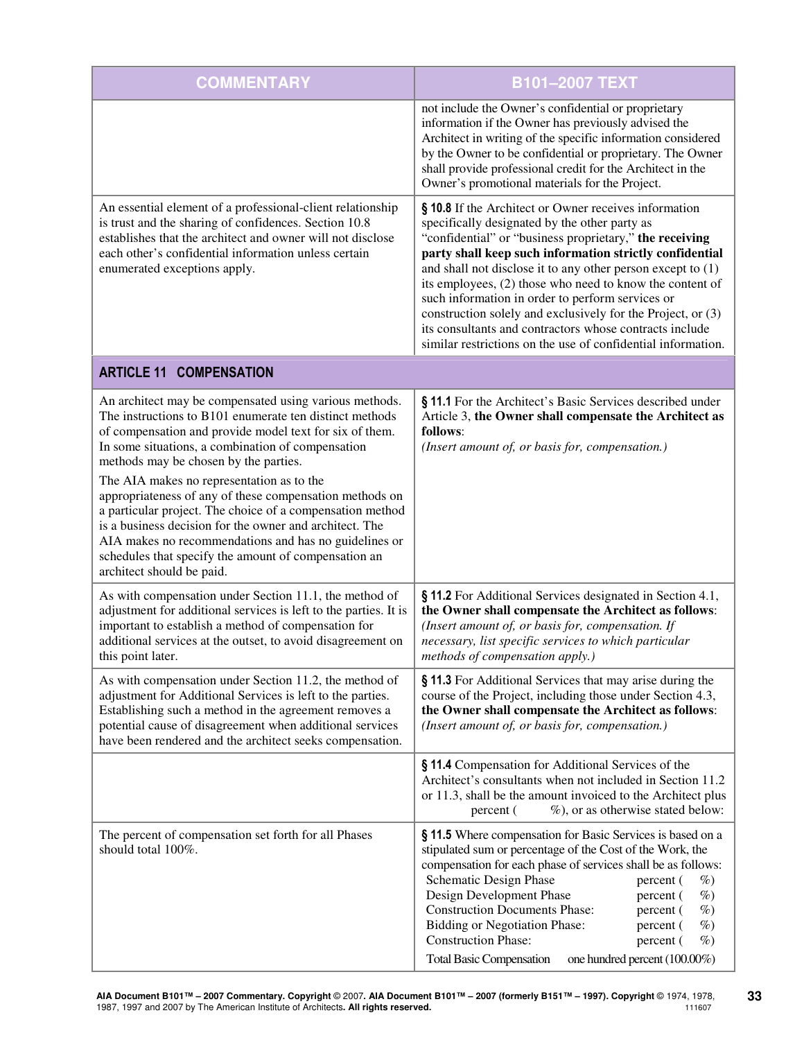| <b>COMMENTARY</b>                                                                                                                                                                                                                                                                                                                                                          | B101-2007 TEXT                                                                                                                                                                                                                                                                                                                                                                                                                                                                                                                                                                                          |
|----------------------------------------------------------------------------------------------------------------------------------------------------------------------------------------------------------------------------------------------------------------------------------------------------------------------------------------------------------------------------|---------------------------------------------------------------------------------------------------------------------------------------------------------------------------------------------------------------------------------------------------------------------------------------------------------------------------------------------------------------------------------------------------------------------------------------------------------------------------------------------------------------------------------------------------------------------------------------------------------|
|                                                                                                                                                                                                                                                                                                                                                                            | not include the Owner's confidential or proprietary<br>information if the Owner has previously advised the<br>Architect in writing of the specific information considered<br>by the Owner to be confidential or proprietary. The Owner<br>shall provide professional credit for the Architect in the<br>Owner's promotional materials for the Project.                                                                                                                                                                                                                                                  |
| An essential element of a professional-client relationship<br>is trust and the sharing of confidences. Section 10.8<br>establishes that the architect and owner will not disclose<br>each other's confidential information unless certain<br>enumerated exceptions apply.                                                                                                  | § 10.8 If the Architect or Owner receives information<br>specifically designated by the other party as<br>"confidential" or "business proprietary," the receiving<br>party shall keep such information strictly confidential<br>and shall not disclose it to any other person except to $(1)$<br>its employees, (2) those who need to know the content of<br>such information in order to perform services or<br>construction solely and exclusively for the Project, or (3)<br>its consultants and contractors whose contracts include<br>similar restrictions on the use of confidential information. |
| <b>ARTICLE 11 COMPENSATION</b>                                                                                                                                                                                                                                                                                                                                             |                                                                                                                                                                                                                                                                                                                                                                                                                                                                                                                                                                                                         |
| An architect may be compensated using various methods.<br>The instructions to B101 enumerate ten distinct methods<br>of compensation and provide model text for six of them.<br>In some situations, a combination of compensation<br>methods may be chosen by the parties.                                                                                                 | § 11.1 For the Architect's Basic Services described under<br>Article 3, the Owner shall compensate the Architect as<br>follows:<br>(Insert amount of, or basis for, compensation.)                                                                                                                                                                                                                                                                                                                                                                                                                      |
| The AIA makes no representation as to the<br>appropriateness of any of these compensation methods on<br>a particular project. The choice of a compensation method<br>is a business decision for the owner and architect. The<br>AIA makes no recommendations and has no guidelines or<br>schedules that specify the amount of compensation an<br>architect should be paid. |                                                                                                                                                                                                                                                                                                                                                                                                                                                                                                                                                                                                         |
| As with compensation under Section 11.1, the method of<br>adjustment for additional services is left to the parties. It is<br>important to establish a method of compensation for<br>additional services at the outset, to avoid disagreement on<br>this point later.                                                                                                      | § 11.2 For Additional Services designated in Section 4.1,<br>the Owner shall compensate the Architect as follows:<br>(Insert amount of, or basis for, compensation. If<br>necessary, list specific services to which particular<br>methods of compensation apply.)                                                                                                                                                                                                                                                                                                                                      |
| As with compensation under Section 11.2, the method of<br>adjustment for Additional Services is left to the parties.<br>Establishing such a method in the agreement removes a<br>potential cause of disagreement when additional services<br>have been rendered and the architect seeks compensation.                                                                      | § 11.3 For Additional Services that may arise during the<br>course of the Project, including those under Section 4.3,<br>the Owner shall compensate the Architect as follows:<br>(Insert amount of, or basis for, compensation.)                                                                                                                                                                                                                                                                                                                                                                        |
|                                                                                                                                                                                                                                                                                                                                                                            | § 11.4 Compensation for Additional Services of the<br>Architect's consultants when not included in Section 11.2<br>or 11.3, shall be the amount invoiced to the Architect plus<br>%), or as otherwise stated below:<br>percent (                                                                                                                                                                                                                                                                                                                                                                        |
| The percent of compensation set forth for all Phases<br>should total 100%.                                                                                                                                                                                                                                                                                                 | § 11.5 Where compensation for Basic Services is based on a<br>stipulated sum or percentage of the Cost of the Work, the<br>compensation for each phase of services shall be as follows:<br>Schematic Design Phase<br>$\%$<br>percent (<br>Design Development Phase<br>$\%$<br>percent (<br><b>Construction Documents Phase:</b><br>$\%$<br>percent (<br><b>Bidding or Negotiation Phase:</b><br>$\%$<br>percent (<br><b>Construction Phase:</b><br>$\%$<br>percent (<br>one hundred percent (100.00%)<br><b>Total Basic Compensation</b>                                                                |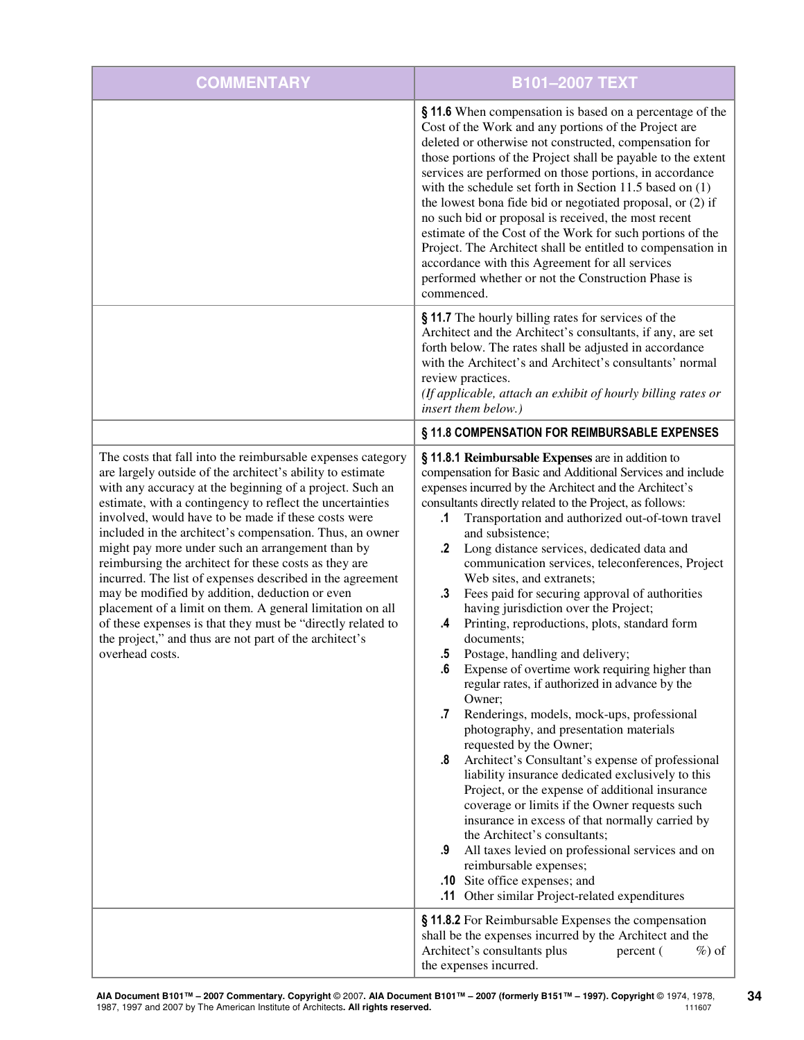| <b>COMMENTARY</b>                                                                                                                                                                                                                                                                                                                                                                                                                                                                                                                                                                                                                                                                                                                                                                                          | <b>B101-2007 TEXT</b>                                                                                                                                                                                                                                                                                                                                                                                                                                                                                                                                                                                                                                                                                                                                                                                                                                                                                                                                                                                                                                                                                                                                                                                                                                                                                                                                                                              |
|------------------------------------------------------------------------------------------------------------------------------------------------------------------------------------------------------------------------------------------------------------------------------------------------------------------------------------------------------------------------------------------------------------------------------------------------------------------------------------------------------------------------------------------------------------------------------------------------------------------------------------------------------------------------------------------------------------------------------------------------------------------------------------------------------------|----------------------------------------------------------------------------------------------------------------------------------------------------------------------------------------------------------------------------------------------------------------------------------------------------------------------------------------------------------------------------------------------------------------------------------------------------------------------------------------------------------------------------------------------------------------------------------------------------------------------------------------------------------------------------------------------------------------------------------------------------------------------------------------------------------------------------------------------------------------------------------------------------------------------------------------------------------------------------------------------------------------------------------------------------------------------------------------------------------------------------------------------------------------------------------------------------------------------------------------------------------------------------------------------------------------------------------------------------------------------------------------------------|
|                                                                                                                                                                                                                                                                                                                                                                                                                                                                                                                                                                                                                                                                                                                                                                                                            | § 11.6 When compensation is based on a percentage of the<br>Cost of the Work and any portions of the Project are<br>deleted or otherwise not constructed, compensation for<br>those portions of the Project shall be payable to the extent<br>services are performed on those portions, in accordance<br>with the schedule set forth in Section 11.5 based on $(1)$<br>the lowest bona fide bid or negotiated proposal, or (2) if<br>no such bid or proposal is received, the most recent<br>estimate of the Cost of the Work for such portions of the<br>Project. The Architect shall be entitled to compensation in<br>accordance with this Agreement for all services<br>performed whether or not the Construction Phase is<br>commenced.                                                                                                                                                                                                                                                                                                                                                                                                                                                                                                                                                                                                                                                       |
|                                                                                                                                                                                                                                                                                                                                                                                                                                                                                                                                                                                                                                                                                                                                                                                                            | § 11.7 The hourly billing rates for services of the<br>Architect and the Architect's consultants, if any, are set<br>forth below. The rates shall be adjusted in accordance<br>with the Architect's and Architect's consultants' normal<br>review practices.<br>(If applicable, attach an exhibit of hourly billing rates or<br>insert them below.)                                                                                                                                                                                                                                                                                                                                                                                                                                                                                                                                                                                                                                                                                                                                                                                                                                                                                                                                                                                                                                                |
|                                                                                                                                                                                                                                                                                                                                                                                                                                                                                                                                                                                                                                                                                                                                                                                                            | § 11.8 COMPENSATION FOR REIMBURSABLE EXPENSES                                                                                                                                                                                                                                                                                                                                                                                                                                                                                                                                                                                                                                                                                                                                                                                                                                                                                                                                                                                                                                                                                                                                                                                                                                                                                                                                                      |
| The costs that fall into the reimbursable expenses category<br>are largely outside of the architect's ability to estimate<br>with any accuracy at the beginning of a project. Such an<br>estimate, with a contingency to reflect the uncertainties<br>involved, would have to be made if these costs were<br>included in the architect's compensation. Thus, an owner<br>might pay more under such an arrangement than by<br>reimbursing the architect for these costs as they are<br>incurred. The list of expenses described in the agreement<br>may be modified by addition, deduction or even<br>placement of a limit on them. A general limitation on all<br>of these expenses is that they must be "directly related to<br>the project," and thus are not part of the architect's<br>overhead costs. | § 11.8.1 Reimbursable Expenses are in addition to<br>compensation for Basic and Additional Services and include<br>expenses incurred by the Architect and the Architect's<br>consultants directly related to the Project, as follows:<br>Transportation and authorized out-of-town travel<br>.1<br>and subsistence;<br>Long distance services, dedicated data and<br>.2<br>communication services, teleconferences, Project<br>Web sites, and extranets;<br>Fees paid for securing approval of authorities<br>.3<br>having jurisdiction over the Project;<br>Printing, reproductions, plots, standard form<br>.4<br>documents;<br>5.<br>Postage, handling and delivery;<br>Expense of overtime work requiring higher than<br>.6<br>regular rates, if authorized in advance by the<br>Owner;<br>Renderings, models, mock-ups, professional<br>.7<br>photography, and presentation materials<br>requested by the Owner;<br>Architect's Consultant's expense of professional<br>.8<br>liability insurance dedicated exclusively to this<br>Project, or the expense of additional insurance<br>coverage or limits if the Owner requests such<br>insurance in excess of that normally carried by<br>the Architect's consultants;<br>All taxes levied on professional services and on<br>.9<br>reimbursable expenses;<br>.10 Site office expenses; and<br>.11 Other similar Project-related expenditures |
|                                                                                                                                                                                                                                                                                                                                                                                                                                                                                                                                                                                                                                                                                                                                                                                                            | § 11.8.2 For Reimbursable Expenses the compensation<br>shall be the expenses incurred by the Architect and the<br>Architect's consultants plus<br>percent (<br>$\%$ ) of<br>the expenses incurred.                                                                                                                                                                                                                                                                                                                                                                                                                                                                                                                                                                                                                                                                                                                                                                                                                                                                                                                                                                                                                                                                                                                                                                                                 |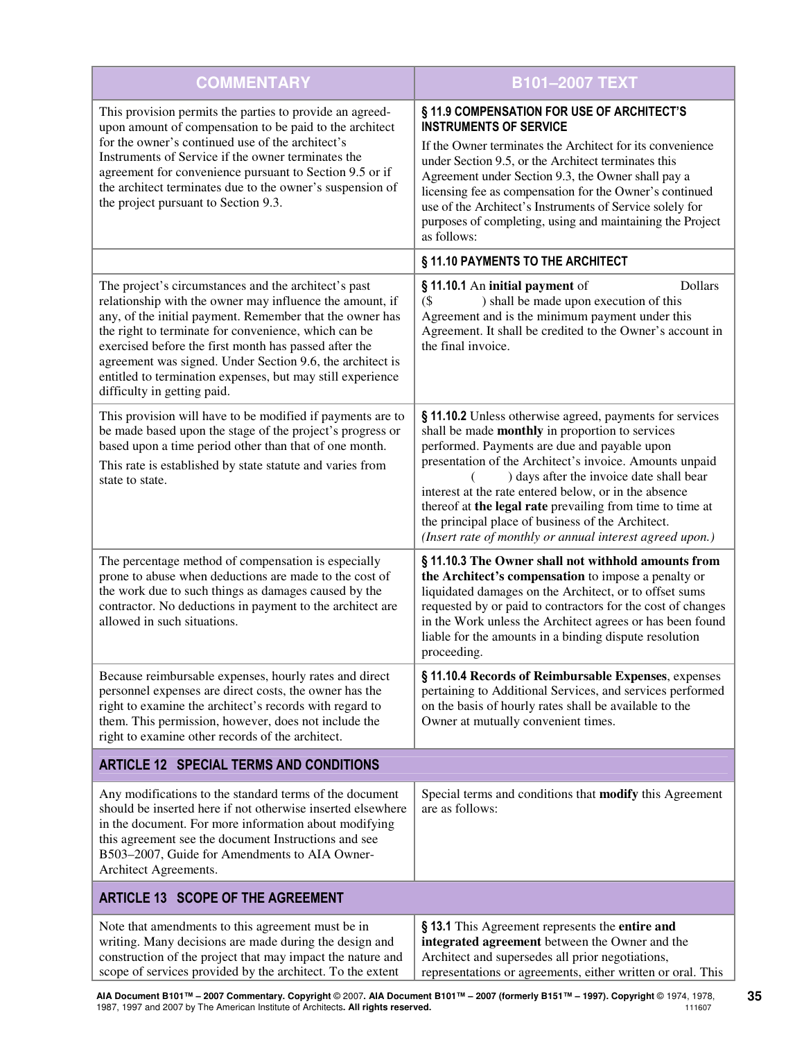| <b>COMMENTARY</b>                                                                                                                                                                                                                                                                                                                                                                                                                                       | <b>B101-2007 TEXT</b>                                                                                                                                                                                                                                                                                                                                                                                                                                                                                     |  |
|---------------------------------------------------------------------------------------------------------------------------------------------------------------------------------------------------------------------------------------------------------------------------------------------------------------------------------------------------------------------------------------------------------------------------------------------------------|-----------------------------------------------------------------------------------------------------------------------------------------------------------------------------------------------------------------------------------------------------------------------------------------------------------------------------------------------------------------------------------------------------------------------------------------------------------------------------------------------------------|--|
| This provision permits the parties to provide an agreed-<br>upon amount of compensation to be paid to the architect<br>for the owner's continued use of the architect's<br>Instruments of Service if the owner terminates the<br>agreement for convenience pursuant to Section 9.5 or if<br>the architect terminates due to the owner's suspension of<br>the project pursuant to Section 9.3.                                                           | § 11.9 COMPENSATION FOR USE OF ARCHITECT'S<br><b>INSTRUMENTS OF SERVICE</b><br>If the Owner terminates the Architect for its convenience<br>under Section 9.5, or the Architect terminates this<br>Agreement under Section 9.3, the Owner shall pay a<br>licensing fee as compensation for the Owner's continued<br>use of the Architect's Instruments of Service solely for<br>purposes of completing, using and maintaining the Project<br>as follows:                                                  |  |
|                                                                                                                                                                                                                                                                                                                                                                                                                                                         | § 11.10 PAYMENTS TO THE ARCHITECT                                                                                                                                                                                                                                                                                                                                                                                                                                                                         |  |
| The project's circumstances and the architect's past<br>relationship with the owner may influence the amount, if<br>any, of the initial payment. Remember that the owner has<br>the right to terminate for convenience, which can be<br>exercised before the first month has passed after the<br>agreement was signed. Under Section 9.6, the architect is<br>entitled to termination expenses, but may still experience<br>difficulty in getting paid. | <b>Dollars</b><br>§ 11.10.1 An initial payment of<br>) shall be made upon execution of this<br>(<br>Agreement and is the minimum payment under this<br>Agreement. It shall be credited to the Owner's account in<br>the final invoice.                                                                                                                                                                                                                                                                    |  |
| This provision will have to be modified if payments are to<br>be made based upon the stage of the project's progress or<br>based upon a time period other than that of one month.<br>This rate is established by state statute and varies from<br>state to state.                                                                                                                                                                                       | § 11.10.2 Unless otherwise agreed, payments for services<br>shall be made monthly in proportion to services<br>performed. Payments are due and payable upon<br>presentation of the Architect's invoice. Amounts unpaid<br>) days after the invoice date shall bear<br>interest at the rate entered below, or in the absence<br>thereof at the legal rate prevailing from time to time at<br>the principal place of business of the Architect.<br>(Insert rate of monthly or annual interest agreed upon.) |  |
| The percentage method of compensation is especially<br>prone to abuse when deductions are made to the cost of<br>the work due to such things as damages caused by the<br>contractor. No deductions in payment to the architect are<br>allowed in such situations.                                                                                                                                                                                       | § 11.10.3 The Owner shall not withhold amounts from<br>the Architect's compensation to impose a penalty or<br>liquidated damages on the Architect, or to offset sums<br>requested by or paid to contractors for the cost of changes<br>in the Work unless the Architect agrees or has been found<br>liable for the amounts in a binding dispute resolution<br>proceeding.                                                                                                                                 |  |
| Because reimbursable expenses, hourly rates and direct<br>personnel expenses are direct costs, the owner has the<br>right to examine the architect's records with regard to<br>them. This permission, however, does not include the<br>right to examine other records of the architect.                                                                                                                                                                 | §11.10.4 Records of Reimbursable Expenses, expenses<br>pertaining to Additional Services, and services performed<br>on the basis of hourly rates shall be available to the<br>Owner at mutually convenient times.                                                                                                                                                                                                                                                                                         |  |
| <b>ARTICLE 12 SPECIAL TERMS AND CONDITIONS</b>                                                                                                                                                                                                                                                                                                                                                                                                          |                                                                                                                                                                                                                                                                                                                                                                                                                                                                                                           |  |
| Any modifications to the standard terms of the document<br>should be inserted here if not otherwise inserted elsewhere<br>in the document. For more information about modifying<br>this agreement see the document Instructions and see<br>B503-2007, Guide for Amendments to AIA Owner-<br>Architect Agreements.                                                                                                                                       | Special terms and conditions that modify this Agreement<br>are as follows:                                                                                                                                                                                                                                                                                                                                                                                                                                |  |
| <b>ARTICLE 13 SCOPE OF THE AGREEMENT</b>                                                                                                                                                                                                                                                                                                                                                                                                                |                                                                                                                                                                                                                                                                                                                                                                                                                                                                                                           |  |
| Note that amendments to this agreement must be in<br>writing. Many decisions are made during the design and<br>construction of the project that may impact the nature and<br>scope of services provided by the architect. To the extent                                                                                                                                                                                                                 | § 13.1 This Agreement represents the entire and<br>integrated agreement between the Owner and the<br>Architect and supersedes all prior negotiations,<br>representations or agreements, either written or oral. This                                                                                                                                                                                                                                                                                      |  |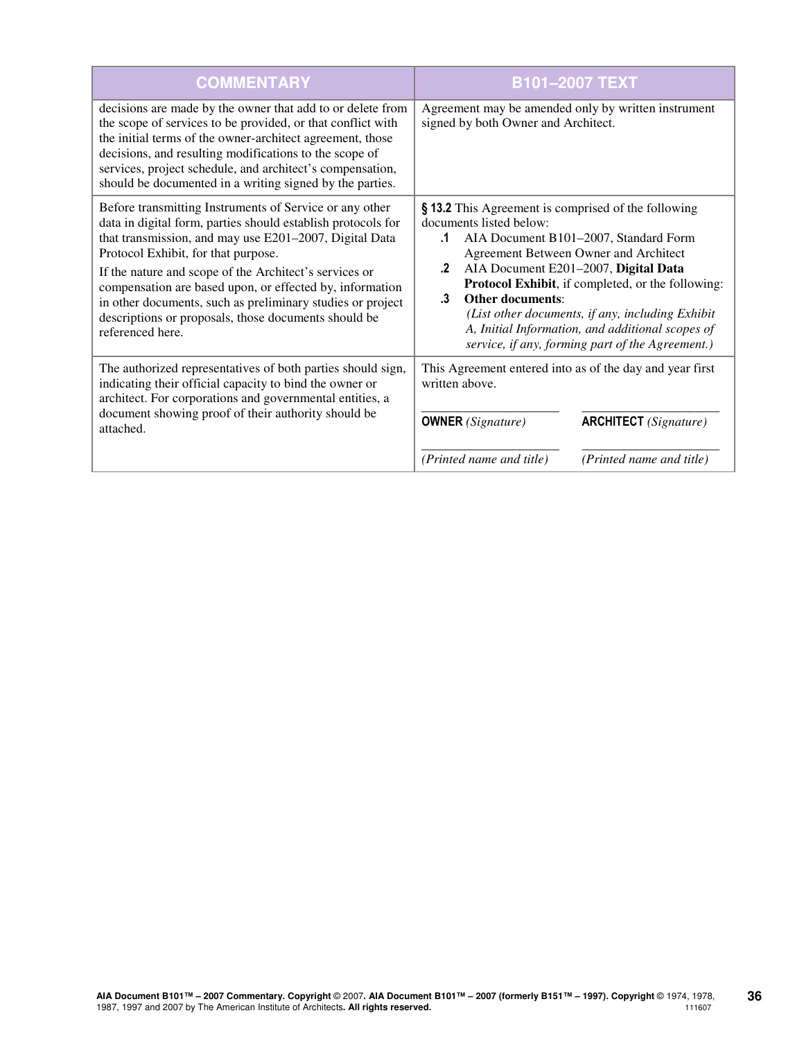| <b>COMMENTARY</b>                                                                                                                                                                                                                                                                                                                                                                                                                                                                        | <b>B101-2007 TEXT</b>                                                                                                                                                                                                                                                                                                                                                                                                                                                         |
|------------------------------------------------------------------------------------------------------------------------------------------------------------------------------------------------------------------------------------------------------------------------------------------------------------------------------------------------------------------------------------------------------------------------------------------------------------------------------------------|-------------------------------------------------------------------------------------------------------------------------------------------------------------------------------------------------------------------------------------------------------------------------------------------------------------------------------------------------------------------------------------------------------------------------------------------------------------------------------|
| decisions are made by the owner that add to or delete from<br>the scope of services to be provided, or that conflict with<br>the initial terms of the owner-architect agreement, those<br>decisions, and resulting modifications to the scope of<br>services, project schedule, and architect's compensation,<br>should be documented in a writing signed by the parties.                                                                                                                | Agreement may be amended only by written instrument<br>signed by both Owner and Architect.                                                                                                                                                                                                                                                                                                                                                                                    |
| Before transmitting Instruments of Service or any other<br>data in digital form, parties should establish protocols for<br>that transmission, and may use E201-2007, Digital Data<br>Protocol Exhibit, for that purpose.<br>If the nature and scope of the Architect's services or<br>compensation are based upon, or effected by, information<br>in other documents, such as preliminary studies or project<br>descriptions or proposals, those documents should be<br>referenced here. | § 13.2 This Agreement is comprised of the following<br>documents listed below:<br>AIA Document B101-2007, Standard Form<br>.1<br>Agreement Between Owner and Architect<br>AIA Document E201-2007, Digital Data<br>.2<br>Protocol Exhibit, if completed, or the following:<br><b>Other documents:</b><br>$\cdot$ 3<br>(List other documents, if any, including Exhibit<br>A, Initial Information, and additional scopes of<br>service, if any, forming part of the Agreement.) |
| The authorized representatives of both parties should sign,<br>indicating their official capacity to bind the owner or<br>architect. For corporations and governmental entities, a<br>document showing proof of their authority should be<br>attached.                                                                                                                                                                                                                                   | This Agreement entered into as of the day and year first<br>written above.<br><b>ARCHITECT</b> (Signature)<br><b>OWNER</b> (Signature)                                                                                                                                                                                                                                                                                                                                        |
|                                                                                                                                                                                                                                                                                                                                                                                                                                                                                          | (Printed name and title)<br>(Printed name and title)                                                                                                                                                                                                                                                                                                                                                                                                                          |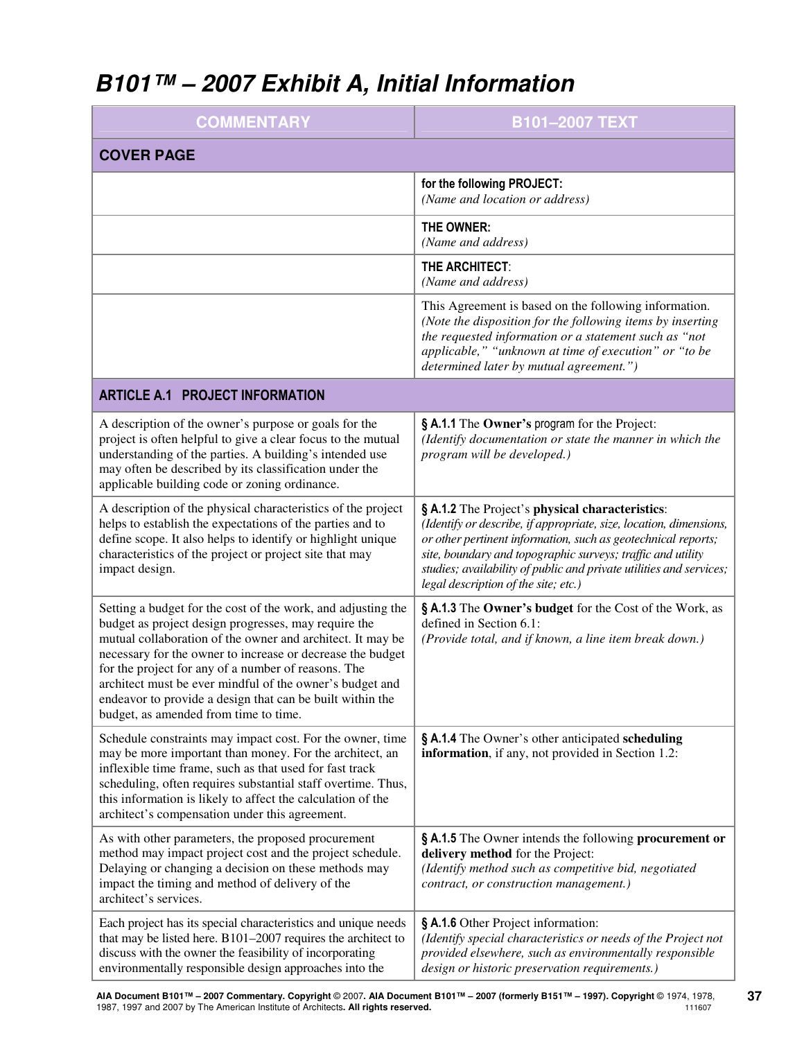# **B101™ – 2007 Exhibit A, Initial Information**

| <b>COMMENTARY</b>                                                                                                                                                                                                                                                                                                                                                                                                                                                         | <b>B101-2007 TEXT</b>                                                                                                                                                                                                                                                                                                                                                |  |
|---------------------------------------------------------------------------------------------------------------------------------------------------------------------------------------------------------------------------------------------------------------------------------------------------------------------------------------------------------------------------------------------------------------------------------------------------------------------------|----------------------------------------------------------------------------------------------------------------------------------------------------------------------------------------------------------------------------------------------------------------------------------------------------------------------------------------------------------------------|--|
| <b>COVER PAGE</b>                                                                                                                                                                                                                                                                                                                                                                                                                                                         |                                                                                                                                                                                                                                                                                                                                                                      |  |
|                                                                                                                                                                                                                                                                                                                                                                                                                                                                           | for the following PROJECT:<br>(Name and location or address)                                                                                                                                                                                                                                                                                                         |  |
|                                                                                                                                                                                                                                                                                                                                                                                                                                                                           | THE OWNER:<br>(Name and address)                                                                                                                                                                                                                                                                                                                                     |  |
|                                                                                                                                                                                                                                                                                                                                                                                                                                                                           | THE ARCHITECT:<br>(Name and address)                                                                                                                                                                                                                                                                                                                                 |  |
|                                                                                                                                                                                                                                                                                                                                                                                                                                                                           | This Agreement is based on the following information.<br>(Note the disposition for the following items by inserting<br>the requested information or a statement such as "not<br>applicable," "unknown at time of execution" or "to be<br>determined later by mutual agreement.")                                                                                     |  |
| <b>ARTICLE A.1 PROJECT INFORMATION</b>                                                                                                                                                                                                                                                                                                                                                                                                                                    |                                                                                                                                                                                                                                                                                                                                                                      |  |
| A description of the owner's purpose or goals for the<br>project is often helpful to give a clear focus to the mutual<br>understanding of the parties. A building's intended use<br>may often be described by its classification under the<br>applicable building code or zoning ordinance.                                                                                                                                                                               | § A.1.1 The Owner's program for the Project:<br>(Identify documentation or state the manner in which the<br>program will be developed.)                                                                                                                                                                                                                              |  |
| A description of the physical characteristics of the project<br>helps to establish the expectations of the parties and to<br>define scope. It also helps to identify or highlight unique<br>characteristics of the project or project site that may<br>impact design.                                                                                                                                                                                                     | § A.1.2 The Project's physical characteristics:<br>(Identify or describe, if appropriate, size, location, dimensions,<br>or other pertinent information, such as geotechnical reports;<br>site, boundary and topographic surveys; traffic and utility<br>studies; availability of public and private utilities and services;<br>legal description of the site; etc.) |  |
| Setting a budget for the cost of the work, and adjusting the<br>budget as project design progresses, may require the<br>mutual collaboration of the owner and architect. It may be<br>necessary for the owner to increase or decrease the budget<br>for the project for any of a number of reasons. The<br>architect must be ever mindful of the owner's budget and<br>endeavor to provide a design that can be built within the<br>budget, as amended from time to time. | § A.1.3 The Owner's budget for the Cost of the Work, as<br>defined in Section 6.1:<br>(Provide total, and if known, a line item break down.)                                                                                                                                                                                                                         |  |
| Schedule constraints may impact cost. For the owner, time<br>may be more important than money. For the architect, an<br>inflexible time frame, such as that used for fast track<br>scheduling, often requires substantial staff overtime. Thus,<br>this information is likely to affect the calculation of the<br>architect's compensation under this agreement.                                                                                                          | § A.1.4 The Owner's other anticipated scheduling<br>information, if any, not provided in Section 1.2:                                                                                                                                                                                                                                                                |  |
| As with other parameters, the proposed procurement<br>method may impact project cost and the project schedule.<br>Delaying or changing a decision on these methods may<br>impact the timing and method of delivery of the<br>architect's services.                                                                                                                                                                                                                        | § A.1.5 The Owner intends the following procurement or<br>delivery method for the Project:<br>(Identify method such as competitive bid, negotiated<br>contract, or construction management.)                                                                                                                                                                         |  |
| Each project has its special characteristics and unique needs<br>that may be listed here. $B101-2007$ requires the architect to<br>discuss with the owner the feasibility of incorporating<br>environmentally responsible design approaches into the                                                                                                                                                                                                                      | § A.1.6 Other Project information:<br>(Identify special characteristics or needs of the Project not<br>provided elsewhere, such as environmentally responsible<br>design or historic preservation requirements.)                                                                                                                                                     |  |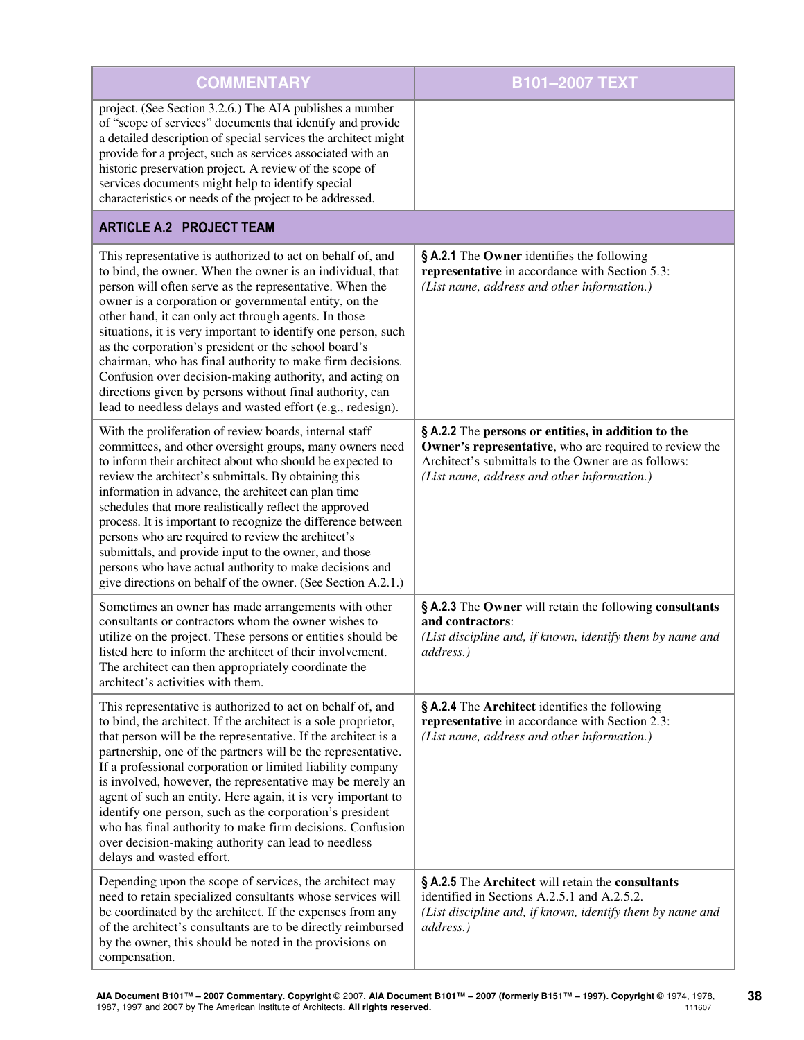| <b>COMMENTARY</b>                                                                                                                                                                                                                                                                                                                                                                                                                                                                                                                                                                                                                                                               | B101-2007 TEXT                                                                                                                                                                                                      |
|---------------------------------------------------------------------------------------------------------------------------------------------------------------------------------------------------------------------------------------------------------------------------------------------------------------------------------------------------------------------------------------------------------------------------------------------------------------------------------------------------------------------------------------------------------------------------------------------------------------------------------------------------------------------------------|---------------------------------------------------------------------------------------------------------------------------------------------------------------------------------------------------------------------|
| project. (See Section 3.2.6.) The AIA publishes a number<br>of "scope of services" documents that identify and provide<br>a detailed description of special services the architect might<br>provide for a project, such as services associated with an<br>historic preservation project. A review of the scope of<br>services documents might help to identify special<br>characteristics or needs of the project to be addressed.                                                                                                                                                                                                                                              |                                                                                                                                                                                                                     |
| <b>ARTICLE A.2 PROJECT TEAM</b>                                                                                                                                                                                                                                                                                                                                                                                                                                                                                                                                                                                                                                                 |                                                                                                                                                                                                                     |
| This representative is authorized to act on behalf of, and<br>to bind, the owner. When the owner is an individual, that<br>person will often serve as the representative. When the<br>owner is a corporation or governmental entity, on the<br>other hand, it can only act through agents. In those<br>situations, it is very important to identify one person, such<br>as the corporation's president or the school board's<br>chairman, who has final authority to make firm decisions.<br>Confusion over decision-making authority, and acting on<br>directions given by persons without final authority, can<br>lead to needless delays and wasted effort (e.g., redesign). | § A.2.1 The Owner identifies the following<br>representative in accordance with Section 5.3:<br>(List name, address and other information.)                                                                         |
| With the proliferation of review boards, internal staff<br>committees, and other oversight groups, many owners need<br>to inform their architect about who should be expected to<br>review the architect's submittals. By obtaining this<br>information in advance, the architect can plan time<br>schedules that more realistically reflect the approved<br>process. It is important to recognize the difference between<br>persons who are required to review the architect's<br>submittals, and provide input to the owner, and those<br>persons who have actual authority to make decisions and<br>give directions on behalf of the owner. (See Section A.2.1.)             | § A.2.2 The persons or entities, in addition to the<br>Owner's representative, who are required to review the<br>Architect's submittals to the Owner are as follows:<br>(List name, address and other information.) |
| Sometimes an owner has made arrangements with other<br>consultants or contractors whom the owner wishes to<br>utilize on the project. These persons or entities should be<br>listed here to inform the architect of their involvement.<br>The architect can then appropriately coordinate the<br>architect's activities with them.                                                                                                                                                                                                                                                                                                                                              | § A.2.3 The Owner will retain the following consultants<br>and contractors:<br>(List discipline and, if known, identify them by name and<br>address.)                                                               |
| This representative is authorized to act on behalf of, and<br>to bind, the architect. If the architect is a sole proprietor,<br>that person will be the representative. If the architect is a<br>partnership, one of the partners will be the representative.<br>If a professional corporation or limited liability company<br>is involved, however, the representative may be merely an<br>agent of such an entity. Here again, it is very important to<br>identify one person, such as the corporation's president<br>who has final authority to make firm decisions. Confusion<br>over decision-making authority can lead to needless<br>delays and wasted effort.           | § A.2.4 The Architect identifies the following<br>representative in accordance with Section 2.3:<br>(List name, address and other information.)                                                                     |
| Depending upon the scope of services, the architect may<br>need to retain specialized consultants whose services will<br>be coordinated by the architect. If the expenses from any<br>of the architect's consultants are to be directly reimbursed<br>by the owner, this should be noted in the provisions on<br>compensation.                                                                                                                                                                                                                                                                                                                                                  | § A.2.5 The Architect will retain the consultants<br>identified in Sections A.2.5.1 and A.2.5.2.<br>(List discipline and, if known, identify them by name and<br>address.)                                          |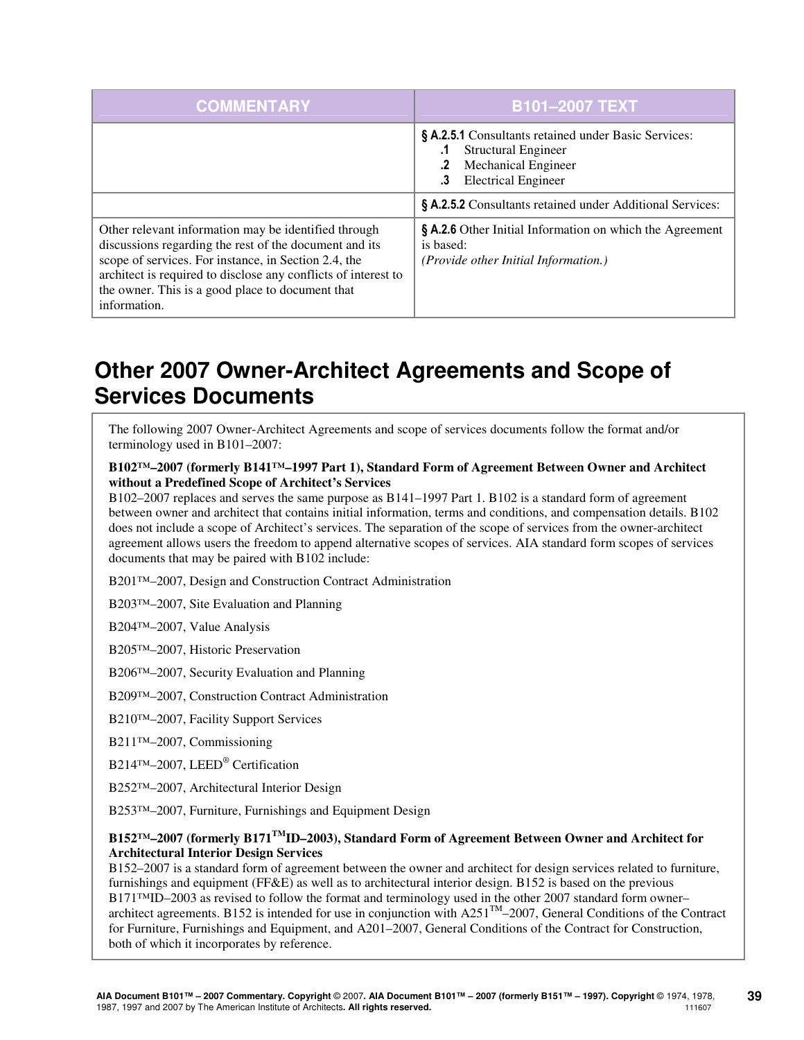| <b>COMMENTARY</b>                                                                                                                                                                                                                                                                                            | <b>B101-2007 TEXT</b>                                                                                                                                |
|--------------------------------------------------------------------------------------------------------------------------------------------------------------------------------------------------------------------------------------------------------------------------------------------------------------|------------------------------------------------------------------------------------------------------------------------------------------------------|
|                                                                                                                                                                                                                                                                                                              | § A.2.5.1 Consultants retained under Basic Services:<br><b>Structural Engineer</b><br><b>Mechanical Engineer</b><br><b>Electrical Engineer</b><br>.3 |
|                                                                                                                                                                                                                                                                                                              | § A.2.5.2 Consultants retained under Additional Services:                                                                                            |
| Other relevant information may be identified through<br>discussions regarding the rest of the document and its<br>scope of services. For instance, in Section 2.4, the<br>architect is required to disclose any conflicts of interest to<br>the owner. This is a good place to document that<br>information. | § A.2.6 Other Initial Information on which the Agreement<br>is based:<br>( <i>Provide other Initial Information.</i> )                               |

# **Other 2007 Owner-Architect Agreements and Scope of Services Documents**

The following 2007 Owner-Architect Agreements and scope of services documents follow the format and/or terminology used in B101–2007:

### **B102™–2007 (formerly B141™–1997 Part 1), Standard Form of Agreement Between Owner and Architect without a Predefined Scope of Architect's Services**

B102–2007 replaces and serves the same purpose as B141–1997 Part 1. B102 is a standard form of agreement between owner and architect that contains initial information, terms and conditions, and compensation details. B102 does not include a scope of Architect's services. The separation of the scope of services from the owner-architect agreement allows users the freedom to append alternative scopes of services. AIA standard form scopes of services documents that may be paired with B102 include:

B201™–2007, Design and Construction Contract Administration

B203™–2007, Site Evaluation and Planning

B204™–2007, Value Analysis

B205™–2007, Historic Preservation

B206™–2007, Security Evaluation and Planning

B209™–2007, Construction Contract Administration

B210™–2007, Facility Support Services

B211™–2007, Commissioning

B214™–2007, LEED® Certification

B252™–2007, Architectural Interior Design

B253TM-2007, Furniture, Furnishings and Equipment Design

### **B152™–2007 (formerly B171TMID–2003), Standard Form of Agreement Between Owner and Architect for Architectural Interior Design Services**

B152–2007 is a standard form of agreement between the owner and architect for design services related to furniture, furnishings and equipment (FF&E) as well as to architectural interior design. B152 is based on the previous B171<sup>™</sup>ID–2003 as revised to follow the format and terminology used in the other 2007 standard form owner– architect agreements. B152 is intended for use in conjunction with  $A251^{TM}-2007$ , General Conditions of the Contract for Furniture, Furnishings and Equipment, and A201–2007, General Conditions of the Contract for Construction, both of which it incorporates by reference.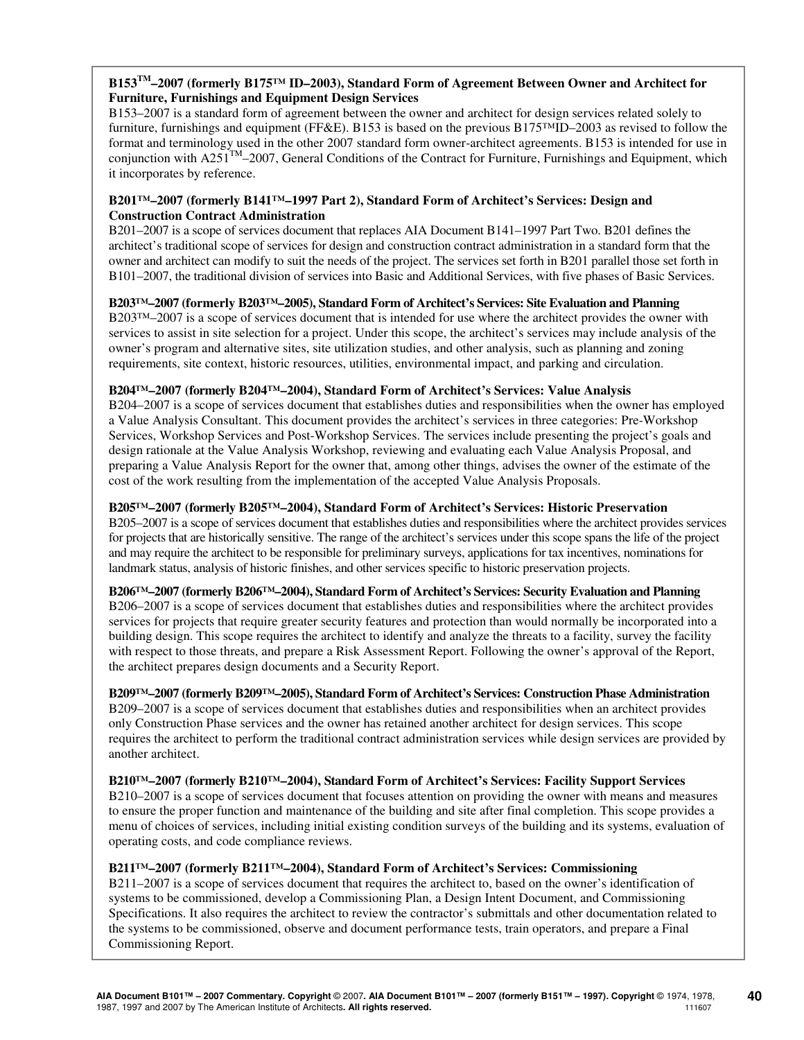### **B153TM–2007 (formerly B175™ ID–2003), Standard Form of Agreement Between Owner and Architect for Furniture, Furnishings and Equipment Design Services**

B153–2007 is a standard form of agreement between the owner and architect for design services related solely to furniture, furnishings and equipment (FF&E). B153 is based on the previous B175™ID–2003 as revised to follow the format and terminology used in the other 2007 standard form owner-architect agreements. B153 is intended for use in conjunction with  $A251^{TM}-2007$ , General Conditions of the Contract for Furniture, Furnishings and Equipment, which it incorporates by reference.

### **B201™–2007 (formerly B141™–1997 Part 2), Standard Form of Architect's Services: Design and Construction Contract Administration**

B201–2007 is a scope of services document that replaces AIA Document B141–1997 Part Two. B201 defines the architect's traditional scope of services for design and construction contract administration in a standard form that the owner and architect can modify to suit the needs of the project. The services set forth in B201 parallel those set forth in B101–2007, the traditional division of services into Basic and Additional Services, with five phases of Basic Services.

### **B203™–2007 (formerly B203™–2005), Standard Form of Architect's Services: Site Evaluation and Planning**

B203™–2007 is a scope of services document that is intended for use where the architect provides the owner with services to assist in site selection for a project. Under this scope, the architect's services may include analysis of the owner's program and alternative sites, site utilization studies, and other analysis, such as planning and zoning requirements, site context, historic resources, utilities, environmental impact, and parking and circulation.

### **B204™–2007 (formerly B204™–2004), Standard Form of Architect's Services: Value Analysis**

B204–2007 is a scope of services document that establishes duties and responsibilities when the owner has employed a Value Analysis Consultant. This document provides the architect's services in three categories: Pre-Workshop Services, Workshop Services and Post-Workshop Services. The services include presenting the project's goals and design rationale at the Value Analysis Workshop, reviewing and evaluating each Value Analysis Proposal, and preparing a Value Analysis Report for the owner that, among other things, advises the owner of the estimate of the cost of the work resulting from the implementation of the accepted Value Analysis Proposals.

### **B205™–2007 (formerly B205™–2004), Standard Form of Architect's Services: Historic Preservation**

B205–2007 is a scope of services document that establishes duties and responsibilities where the architect provides services for projects that are historically sensitive. The range of the architect's services under this scope spans the life of the project and may require the architect to be responsible for preliminary surveys, applications for tax incentives, nominations for landmark status, analysis of historic finishes, and other services specific to historic preservation projects.

### **B206™–2007 (formerly B206™–2004), Standard Form of Architect's Services: Security Evaluation and Planning**

B206–2007 is a scope of services document that establishes duties and responsibilities where the architect provides services for projects that require greater security features and protection than would normally be incorporated into a building design. This scope requires the architect to identify and analyze the threats to a facility, survey the facility with respect to those threats, and prepare a Risk Assessment Report. Following the owner's approval of the Report, the architect prepares design documents and a Security Report.

# **B209™–2007 (formerly B209™–2005), Standard Form of Architect's Services: Construction Phase Administration**

B209–2007 is a scope of services document that establishes duties and responsibilities when an architect provides only Construction Phase services and the owner has retained another architect for design services. This scope requires the architect to perform the traditional contract administration services while design services are provided by another architect.

**B210™–2007 (formerly B210™–2004), Standard Form of Architect's Services: Facility Support Services**  B210–2007 is a scope of services document that focuses attention on providing the owner with means and measures to ensure the proper function and maintenance of the building and site after final completion. This scope provides a menu of choices of services, including initial existing condition surveys of the building and its systems, evaluation of operating costs, and code compliance reviews.

### **B211™–2007 (formerly B211™–2004), Standard Form of Architect's Services: Commissioning**

B211–2007 is a scope of services document that requires the architect to, based on the owner's identification of systems to be commissioned, develop a Commissioning Plan, a Design Intent Document, and Commissioning Specifications. It also requires the architect to review the contractor's submittals and other documentation related to the systems to be commissioned, observe and document performance tests, train operators, and prepare a Final Commissioning Report.